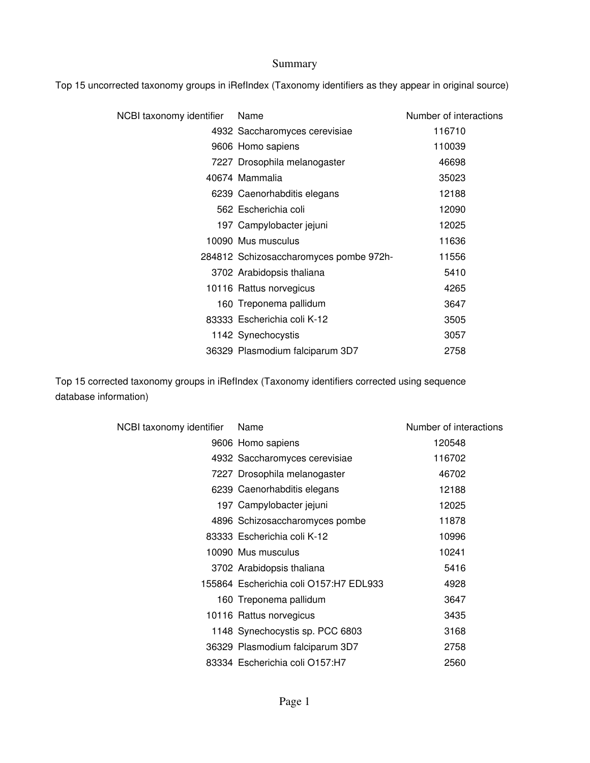#### Summary

Top 15 uncorrected taxonomy groups in iRefIndex (Taxonomy identifiers as they appear in original source)

| NCBI taxonomy identifier | Name                                   | Number of interactions |
|--------------------------|----------------------------------------|------------------------|
|                          | 4932 Saccharomyces cerevisiae          | 116710                 |
|                          | 9606 Homo sapiens                      | 110039                 |
|                          | 7227 Drosophila melanogaster           | 46698                  |
|                          | 40674 Mammalia                         | 35023                  |
|                          | 6239 Caenorhabditis elegans            | 12188                  |
|                          | 562 Escherichia coli                   | 12090                  |
|                          | 197 Campylobacter jejuni               | 12025                  |
|                          | 10090 Mus musculus                     | 11636                  |
|                          | 284812 Schizosaccharomyces pombe 972h- | 11556                  |
|                          | 3702 Arabidopsis thaliana              | 5410                   |
|                          | 10116 Rattus norvegicus                | 4265                   |
|                          | 160 Treponema pallidum                 | 3647                   |
|                          | 83333 Escherichia coli K-12            | 3505                   |
|                          | 1142 Synechocystis                     | 3057                   |
|                          | 36329 Plasmodium falciparum 3D7        | 2758                   |

Top 15 corrected taxonomy groups in iRefIndex (Taxonomy identifiers corrected using sequence database information)

| NCBI taxonomy identifier | Name                                   | Number of interactions |
|--------------------------|----------------------------------------|------------------------|
|                          | 9606 Homo sapiens                      | 120548                 |
|                          | 4932 Saccharomyces cerevisiae          | 116702                 |
|                          | 7227 Drosophila melanogaster           | 46702                  |
|                          | 6239 Caenorhabditis elegans            | 12188                  |
|                          | 197 Campylobacter jejuni               | 12025                  |
|                          | 4896 Schizosaccharomyces pombe         | 11878                  |
|                          | 83333 Escherichia coli K-12            | 10996                  |
|                          | 10090 Mus musculus                     | 10241                  |
|                          | 3702 Arabidopsis thaliana              | 5416                   |
|                          | 155864 Escherichia coli O157:H7 EDL933 | 4928                   |
|                          | 160 Treponema pallidum                 | 3647                   |
|                          | 10116 Rattus norvegicus                | 3435                   |
|                          | 1148 Synechocystis sp. PCC 6803        | 3168                   |
|                          | 36329 Plasmodium falciparum 3D7        | 2758                   |
|                          | 83334 Escherichia coli O157:H7         | 2560                   |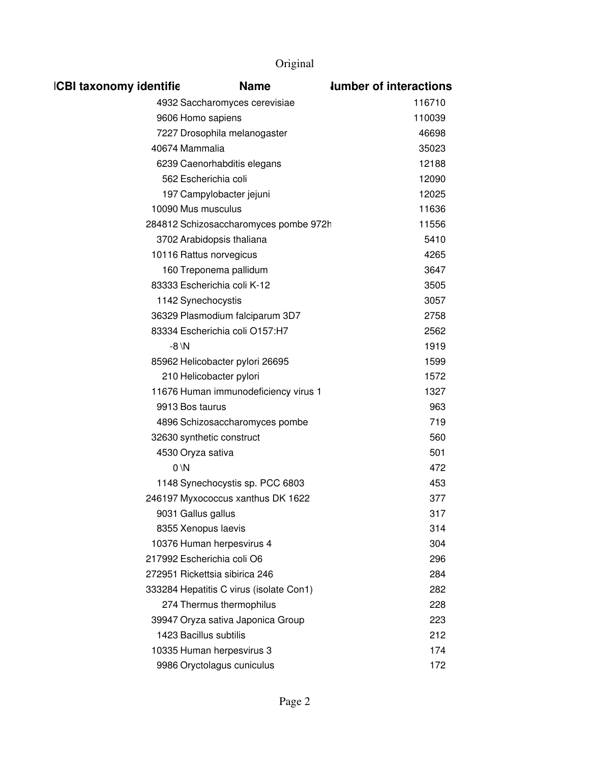| <b>ICBI taxonomy identifie</b> | <b>Name</b>                             | <b>lumber of interactions</b> |
|--------------------------------|-----------------------------------------|-------------------------------|
|                                | 4932 Saccharomyces cerevisiae           | 116710                        |
| 9606 Homo sapiens              |                                         | 110039                        |
|                                | 7227 Drosophila melanogaster            | 46698                         |
| 40674 Mammalia                 |                                         | 35023                         |
|                                | 6239 Caenorhabditis elegans             | 12188                         |
| 562 Escherichia coli           |                                         | 12090                         |
|                                | 197 Campylobacter jejuni                | 12025                         |
| 10090 Mus musculus             |                                         | 11636                         |
|                                | 284812 Schizosaccharomyces pombe 972h   | 11556                         |
|                                | 3702 Arabidopsis thaliana               | 5410                          |
| 10116 Rattus norvegicus        |                                         | 4265                          |
|                                | 160 Treponema pallidum                  | 3647                          |
|                                | 83333 Escherichia coli K-12             | 3505                          |
| 1142 Synechocystis             |                                         | 3057                          |
|                                | 36329 Plasmodium falciparum 3D7         | 2758                          |
|                                | 83334 Escherichia coli O157:H7          | 2562                          |
| $-8 \, N$                      |                                         | 1919                          |
|                                | 85962 Helicobacter pylori 26695         | 1599                          |
|                                | 210 Helicobacter pylori                 | 1572                          |
|                                | 11676 Human immunodeficiency virus 1    | 1327                          |
| 9913 Bos taurus                |                                         | 963                           |
|                                | 4896 Schizosaccharomyces pombe          | 719                           |
| 32630 synthetic construct      |                                         | 560                           |
| 4530 Oryza sativa              |                                         | 501                           |
| $0 \vee N$                     |                                         | 472                           |
|                                | 1148 Synechocystis sp. PCC 6803         | 453                           |
|                                | 246197 Myxococcus xanthus DK 1622       | 377                           |
| 9031 Gallus gallus             |                                         | 317                           |
| 8355 Xenopus laevis            |                                         | 314                           |
|                                | 10376 Human herpesvirus 4               | 304                           |
| 217992 Escherichia coli O6     |                                         | 296                           |
|                                | 272951 Rickettsia sibirica 246          | 284                           |
|                                | 333284 Hepatitis C virus (isolate Con1) | 282                           |
|                                | 274 Thermus thermophilus                | 228                           |
|                                | 39947 Oryza sativa Japonica Group       | 223                           |
| 1423 Bacillus subtilis         |                                         | 212                           |
|                                | 10335 Human herpesvirus 3               | 174                           |
|                                | 9986 Oryctolagus cuniculus              | 172                           |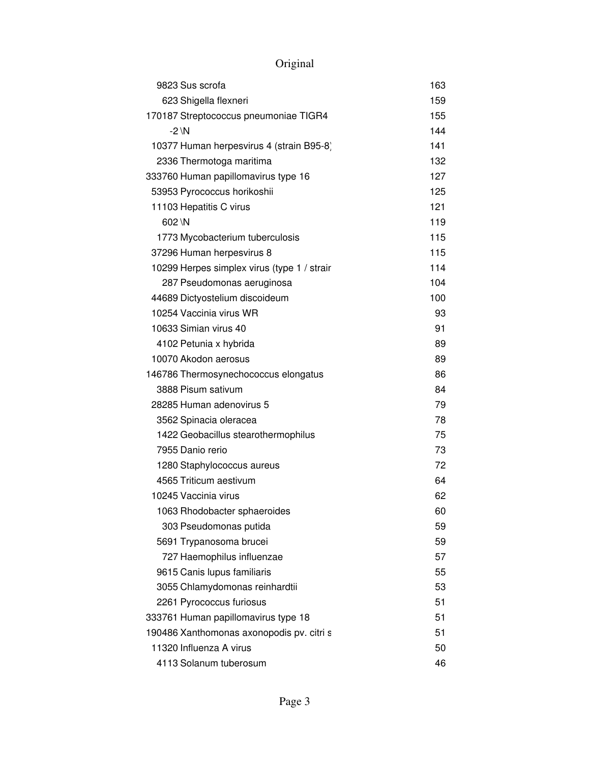| 9823 Sus scrofa                             | 163 |
|---------------------------------------------|-----|
| 623 Shigella flexneri                       | 159 |
| 170187 Streptococcus pneumoniae TIGR4       | 155 |
| $-2 \ N$                                    | 144 |
| 10377 Human herpesvirus 4 (strain B95-8)    | 141 |
| 2336 Thermotoga maritima                    | 132 |
| 333760 Human papillomavirus type 16         | 127 |
| 53953 Pyrococcus horikoshii                 | 125 |
| 11103 Hepatitis C virus                     | 121 |
| 602 \N                                      | 119 |
| 1773 Mycobacterium tuberculosis             | 115 |
| 37296 Human herpesvirus 8                   | 115 |
| 10299 Herpes simplex virus (type 1 / strair | 114 |
| 287 Pseudomonas aeruginosa                  | 104 |
| 44689 Dictyostelium discoideum              | 100 |
| 10254 Vaccinia virus WR                     | 93  |
| 10633 Simian virus 40                       | 91  |
| 4102 Petunia x hybrida                      | 89  |
| 10070 Akodon aerosus                        | 89  |
| 146786 Thermosynechococcus elongatus        | 86  |
| 3888 Pisum sativum                          | 84  |
| 28285 Human adenovirus 5                    | 79  |
| 3562 Spinacia oleracea                      | 78  |
| 1422 Geobacillus stearothermophilus         | 75  |
| 7955 Danio rerio                            | 73  |
| 1280 Staphylococcus aureus                  | 72  |
| 4565 Triticum aestivum                      | 64  |
| 10245 Vaccinia virus                        | 62  |
| 1063 Rhodobacter sphaeroides                | 60  |
| 303 Pseudomonas putida                      | 59  |
| 5691 Trypanosoma brucei                     | 59  |
| 727 Haemophilus influenzae                  | 57  |
| 9615 Canis lupus familiaris                 | 55  |
| 3055 Chlamydomonas reinhardtii              | 53  |
| 2261 Pyrococcus furiosus                    | 51  |
| 333761 Human papillomavirus type 18         | 51  |
| 190486 Xanthomonas axonopodis pv. citri s   | 51  |
| 11320 Influenza A virus                     | 50  |
| 4113 Solanum tuberosum                      | 46  |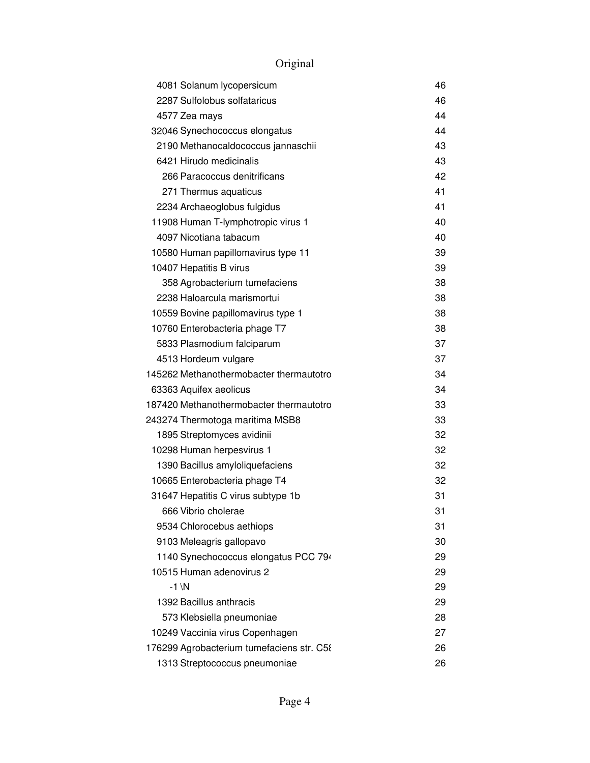|               | 4081 Solanum lycopersicum                 | 46 |
|---------------|-------------------------------------------|----|
|               | 2287 Sulfolobus solfataricus              | 46 |
| 4577 Zea mays |                                           | 44 |
|               | 32046 Synechococcus elongatus             | 44 |
|               | 2190 Methanocaldococcus jannaschii        | 43 |
|               | 6421 Hirudo medicinalis                   | 43 |
|               | 266 Paracoccus denitrificans              | 42 |
|               | 271 Thermus aquaticus                     | 41 |
|               | 2234 Archaeoglobus fulgidus               | 41 |
|               | 11908 Human T-lymphotropic virus 1        | 40 |
|               | 4097 Nicotiana tabacum                    | 40 |
|               | 10580 Human papillomavirus type 11        | 39 |
|               | 10407 Hepatitis B virus                   | 39 |
|               | 358 Agrobacterium tumefaciens             | 38 |
|               | 2238 Haloarcula marismortui               | 38 |
|               | 10559 Bovine papillomavirus type 1        | 38 |
|               | 10760 Enterobacteria phage T7             | 38 |
|               | 5833 Plasmodium falciparum                | 37 |
|               | 4513 Hordeum vulgare                      | 37 |
|               | 145262 Methanothermobacter thermautotro   | 34 |
|               | 63363 Aquifex aeolicus                    | 34 |
|               | 187420 Methanothermobacter thermautotro   | 33 |
|               | 243274 Thermotoga maritima MSB8           | 33 |
|               | 1895 Streptomyces avidinii                | 32 |
|               | 10298 Human herpesvirus 1                 | 32 |
|               | 1390 Bacillus amyloliquefaciens           | 32 |
|               | 10665 Enterobacteria phage T4             | 32 |
|               | 31647 Hepatitis C virus subtype 1b        | 31 |
|               | 666 Vibrio cholerae                       | 31 |
|               | 9534 Chlorocebus aethiops                 | 31 |
|               | 9103 Meleagris gallopavo                  | 30 |
|               | 1140 Synechococcus elongatus PCC 794      | 29 |
|               | 10515 Human adenovirus 2                  | 29 |
| $-1 \ N$      |                                           | 29 |
|               | 1392 Bacillus anthracis                   | 29 |
|               | 573 Klebsiella pneumoniae                 | 28 |
|               | 10249 Vaccinia virus Copenhagen           | 27 |
|               | 176299 Agrobacterium tumefaciens str. C58 | 26 |
|               | 1313 Streptococcus pneumoniae             | 26 |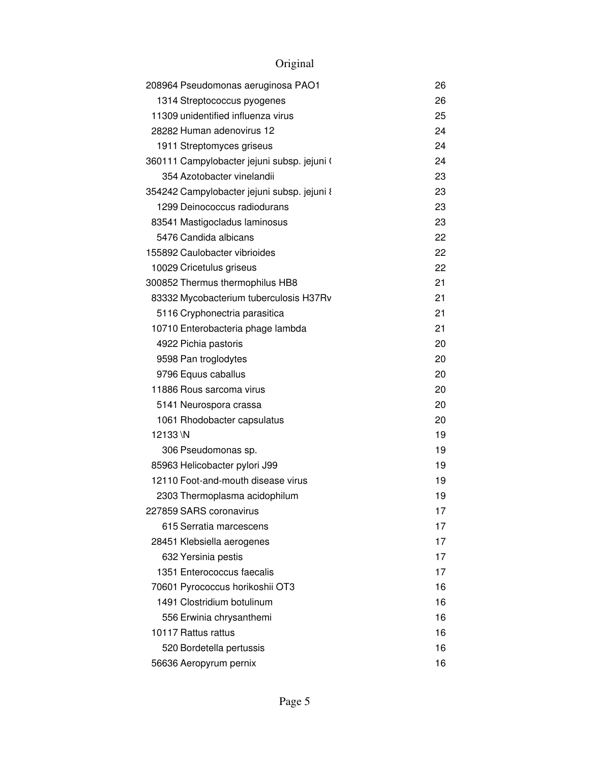| 208964 Pseudomonas aeruginosa PAO1          | 26 |
|---------------------------------------------|----|
| 1314 Streptococcus pyogenes                 | 26 |
| 11309 unidentified influenza virus          | 25 |
| 28282 Human adenovirus 12                   | 24 |
| 1911 Streptomyces griseus                   | 24 |
| 360111 Campylobacter jejuni subsp. jejuni ( | 24 |
| 354 Azotobacter vinelandii                  | 23 |
| 354242 Campylobacter jejuni subsp. jejuni { | 23 |
| 1299 Deinococcus radiodurans                | 23 |
| 83541 Mastigocladus laminosus               | 23 |
| 5476 Candida albicans                       | 22 |
| 155892 Caulobacter vibrioides               | 22 |
| 10029 Cricetulus griseus                    | 22 |
| 300852 Thermus thermophilus HB8             | 21 |
| 83332 Mycobacterium tuberculosis H37Rv      | 21 |
| 5116 Cryphonectria parasitica               | 21 |
| 10710 Enterobacteria phage lambda           | 21 |
| 4922 Pichia pastoris                        | 20 |
| 9598 Pan troglodytes                        | 20 |
| 9796 Equus caballus                         | 20 |
| 11886 Rous sarcoma virus                    | 20 |
| 5141 Neurospora crassa                      | 20 |
| 1061 Rhodobacter capsulatus                 | 20 |
| 12133 \N                                    | 19 |
| 306 Pseudomonas sp.                         | 19 |
| 85963 Helicobacter pylori J99               | 19 |
| 12110 Foot-and-mouth disease virus          | 19 |
| 2303 Thermoplasma acidophilum               | 19 |
| 227859 SARS coronavirus                     | 17 |
| 615 Serratia marcescens                     | 17 |
| 28451 Klebsiella aerogenes                  | 17 |
| 632 Yersinia pestis                         | 17 |
| 1351 Enterococcus faecalis                  | 17 |
| 70601 Pyrococcus horikoshii OT3             | 16 |
| 1491 Clostridium botulinum                  | 16 |
| 556 Erwinia chrysanthemi                    | 16 |
| 10117 Rattus rattus                         | 16 |
| 520 Bordetella pertussis                    | 16 |
| 56636 Aeropyrum pernix                      | 16 |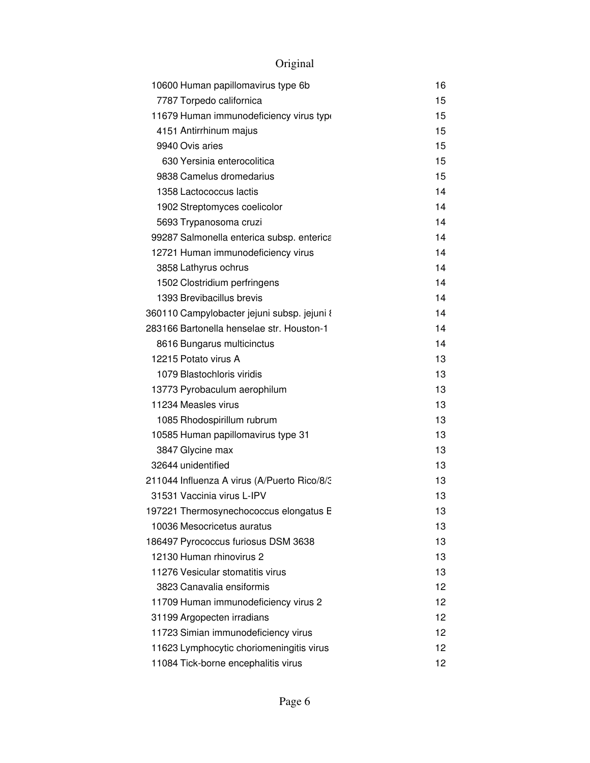| 10600 Human papillomavirus type 6b          | 16 |
|---------------------------------------------|----|
| 7787 Torpedo californica                    | 15 |
| 11679 Human immunodeficiency virus type     | 15 |
| 4151 Antirrhinum majus                      | 15 |
| 9940 Ovis aries                             | 15 |
| 630 Yersinia enterocolitica                 | 15 |
| 9838 Camelus dromedarius                    | 15 |
| 1358 Lactococcus lactis                     | 14 |
| 1902 Streptomyces coelicolor                | 14 |
| 5693 Trypanosoma cruzi                      | 14 |
| 99287 Salmonella enterica subsp. enterica   | 14 |
| 12721 Human immunodeficiency virus          | 14 |
| 3858 Lathyrus ochrus                        | 14 |
| 1502 Clostridium perfringens                | 14 |
| 1393 Brevibacillus brevis                   | 14 |
| 360110 Campylobacter jejuni subsp. jejuni 8 | 14 |
| 283166 Bartonella henselae str. Houston-1   | 14 |
| 8616 Bungarus multicinctus                  | 14 |
| 12215 Potato virus A                        | 13 |
| 1079 Blastochloris viridis                  | 13 |
| 13773 Pyrobaculum aerophilum                | 13 |
| 11234 Measles virus                         | 13 |
| 1085 Rhodospirillum rubrum                  | 13 |
| 10585 Human papillomavirus type 31          | 13 |
| 3847 Glycine max                            | 13 |
| 32644 unidentified                          | 13 |
| 211044 Influenza A virus (A/Puerto Rico/8/3 | 13 |
| 31531 Vaccinia virus L-IPV                  | 13 |
| 197221 Thermosynechococcus elongatus E      | 13 |
| 10036 Mesocricetus auratus                  | 13 |
| 186497 Pyrococcus furiosus DSM 3638         | 13 |
| 12130 Human rhinovirus 2                    | 13 |
| 11276 Vesicular stomatitis virus            | 13 |
| 3823 Canavalia ensiformis                   | 12 |
| 11709 Human immunodeficiency virus 2        | 12 |
| 31199 Argopecten irradians                  | 12 |
| 11723 Simian immunodeficiency virus         | 12 |
| 11623 Lymphocytic choriomeningitis virus    | 12 |
| 11084 Tick-borne encephalitis virus         | 12 |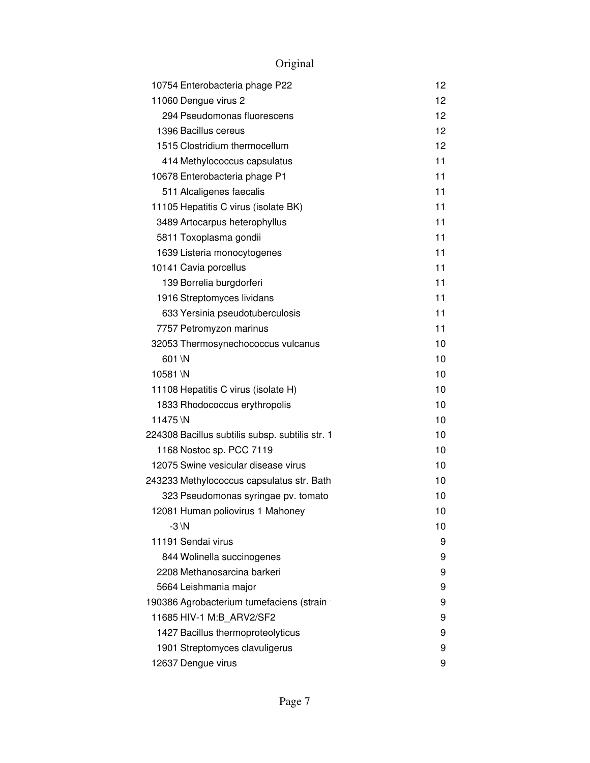| 10754 Enterobacteria phage P22                  | 12 |
|-------------------------------------------------|----|
| 11060 Dengue virus 2                            | 12 |
| 294 Pseudomonas fluorescens                     | 12 |
| 1396 Bacillus cereus                            | 12 |
| 1515 Clostridium thermocellum                   | 12 |
| 414 Methylococcus capsulatus                    | 11 |
| 10678 Enterobacteria phage P1                   | 11 |
| 511 Alcaligenes faecalis                        | 11 |
| 11105 Hepatitis C virus (isolate BK)            | 11 |
| 3489 Artocarpus heterophyllus                   | 11 |
| 5811 Toxoplasma gondii                          | 11 |
| 1639 Listeria monocytogenes                     | 11 |
| 10141 Cavia porcellus                           | 11 |
| 139 Borrelia burgdorferi                        | 11 |
| 1916 Streptomyces lividans                      | 11 |
| 633 Yersinia pseudotuberculosis                 | 11 |
| 7757 Petromyzon marinus                         | 11 |
| 32053 Thermosynechococcus vulcanus              | 10 |
| 601 \N                                          | 10 |
| 10581\N                                         | 10 |
| 11108 Hepatitis C virus (isolate H)             | 10 |
| 1833 Rhodococcus erythropolis                   | 10 |
| 11475 \N                                        | 10 |
| 224308 Bacillus subtilis subsp. subtilis str. 1 | 10 |
| 1168 Nostoc sp. PCC 7119                        | 10 |
| 12075 Swine vesicular disease virus             | 10 |
| 243233 Methylococcus capsulatus str. Bath       | 10 |
| 323 Pseudomonas syringae pv. tomato             | 10 |
| 12081 Human poliovirus 1 Mahoney                | 10 |
| $-3 \vee N$                                     | 10 |
| 11191 Sendai virus                              | 9  |
| 844 Wolinella succinogenes                      | 9  |
| 2208 Methanosarcina barkeri                     | 9  |
| 5664 Leishmania major                           | 9  |
| 190386 Agrobacterium tumefaciens (strain 1      | 9  |
| 11685 HIV-1 M:B_ARV2/SF2                        | 9  |
| 1427 Bacillus thermoproteolyticus               | 9  |
| 1901 Streptomyces clavuligerus                  | 9  |
| 12637 Dengue virus                              | 9  |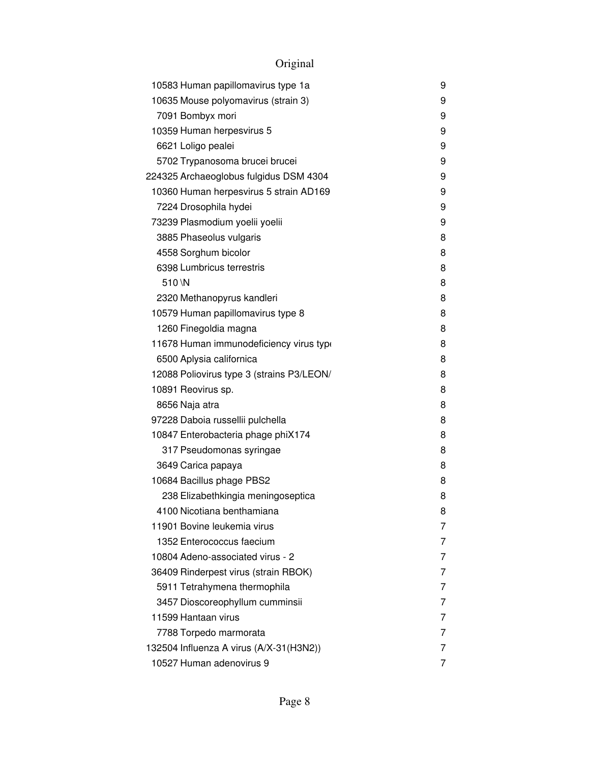| 10583 Human papillomavirus type 1a        | 9 |
|-------------------------------------------|---|
| 10635 Mouse polyomavirus (strain 3)       | 9 |
| 7091 Bombyx mori                          | 9 |
| 10359 Human herpesvirus 5                 | 9 |
| 6621 Loligo pealei                        | 9 |
| 5702 Trypanosoma brucei brucei            | 9 |
| 224325 Archaeoglobus fulgidus DSM 4304    | 9 |
| 10360 Human herpesvirus 5 strain AD169    | 9 |
| 7224 Drosophila hydei                     | 9 |
| 73239 Plasmodium yoelii yoelii            | 9 |
| 3885 Phaseolus vulgaris                   | 8 |
| 4558 Sorghum bicolor                      | 8 |
| 6398 Lumbricus terrestris                 | 8 |
| 510 \N                                    | 8 |
| 2320 Methanopyrus kandleri                | 8 |
| 10579 Human papillomavirus type 8         | 8 |
| 1260 Finegoldia magna                     | 8 |
| 11678 Human immunodeficiency virus type   | 8 |
| 6500 Aplysia californica                  | 8 |
| 12088 Poliovirus type 3 (strains P3/LEON/ | 8 |
| 10891 Reovirus sp.                        | 8 |
| 8656 Naja atra                            | 8 |
| 97228 Daboia russellii pulchella          | 8 |
| 10847 Enterobacteria phage phiX174        | 8 |
| 317 Pseudomonas syringae                  | 8 |
| 3649 Carica papaya                        | 8 |
| 10684 Bacillus phage PBS2                 | 8 |
| 238 Elizabethkingia meningoseptica        | 8 |
| 4100 Nicotiana benthamiana                | 8 |
| 11901 Bovine leukemia virus               | 7 |
| 1352 Enterococcus faecium                 | 7 |
| 10804 Adeno-associated virus - 2          | 7 |
| 36409 Rinderpest virus (strain RBOK)      | 7 |
| 5911 Tetrahymena thermophila              | 7 |
| 3457 Dioscoreophyllum cumminsii           | 7 |
| 11599 Hantaan virus                       | 7 |
| 7788 Torpedo marmorata                    | 7 |
| 132504 Influenza A virus (A/X-31(H3N2))   | 7 |
| 10527 Human adenovirus 9                  | 7 |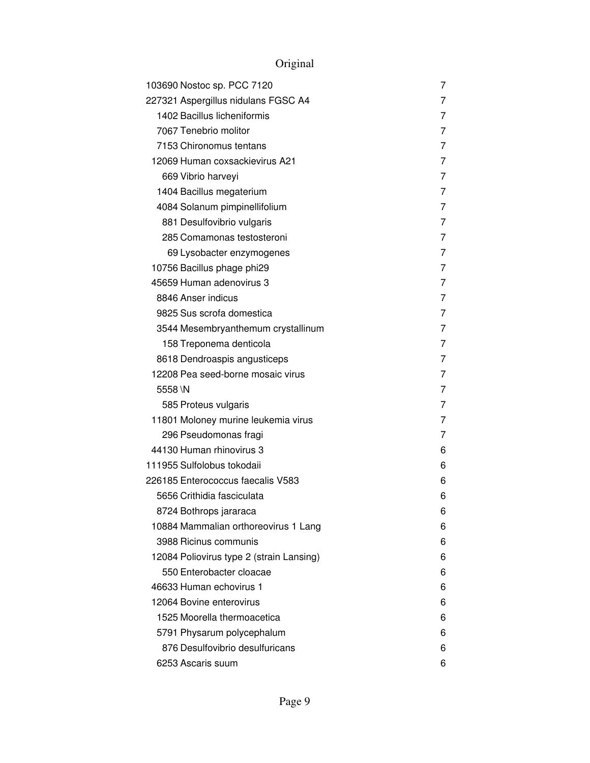| 103690 Nostoc sp. PCC 7120               | 7 |
|------------------------------------------|---|
| 227321 Aspergillus nidulans FGSC A4      | 7 |
| 1402 Bacillus licheniformis              | 7 |
| 7067 Tenebrio molitor                    | 7 |
| 7153 Chironomus tentans                  | 7 |
| 12069 Human coxsackievirus A21           | 7 |
| 669 Vibrio harveyi                       | 7 |
| 1404 Bacillus megaterium                 | 7 |
| 4084 Solanum pimpinellifolium            | 7 |
| 881 Desulfovibrio vulgaris               | 7 |
| 285 Comamonas testosteroni               | 7 |
| 69 Lysobacter enzymogenes                | 7 |
| 10756 Bacillus phage phi29               | 7 |
| 45659 Human adenovirus 3                 | 7 |
| 8846 Anser indicus                       | 7 |
| 9825 Sus scrofa domestica                | 7 |
| 3544 Mesembryanthemum crystallinum       | 7 |
| 158 Treponema denticola                  | 7 |
| 8618 Dendroaspis angusticeps             | 7 |
| 12208 Pea seed-borne mosaic virus        | 7 |
| 5558\N                                   | 7 |
| 585 Proteus vulgaris                     | 7 |
| 11801 Moloney murine leukemia virus      | 7 |
| 296 Pseudomonas fragi                    | 7 |
| 44130 Human rhinovirus 3                 | 6 |
| 111955 Sulfolobus tokodaii               | 6 |
| 226185 Enterococcus faecalis V583        | 6 |
| 5656 Crithidia fasciculata               | 6 |
| 8724 Bothrops jararaca                   | 6 |
| 10884 Mammalian orthoreovirus 1 Lang     | 6 |
| 3988 Ricinus communis                    | 6 |
| 12084 Poliovirus type 2 (strain Lansing) | 6 |
| 550 Enterobacter cloacae                 | 6 |
| 46633 Human echovirus 1                  | 6 |
| 12064 Bovine enterovirus                 | 6 |
| 1525 Moorella thermoacetica              | 6 |
| 5791 Physarum polycephalum               | 6 |
| 876 Desulfovibrio desulfuricans          | 6 |
| 6253 Ascaris suum                        | 6 |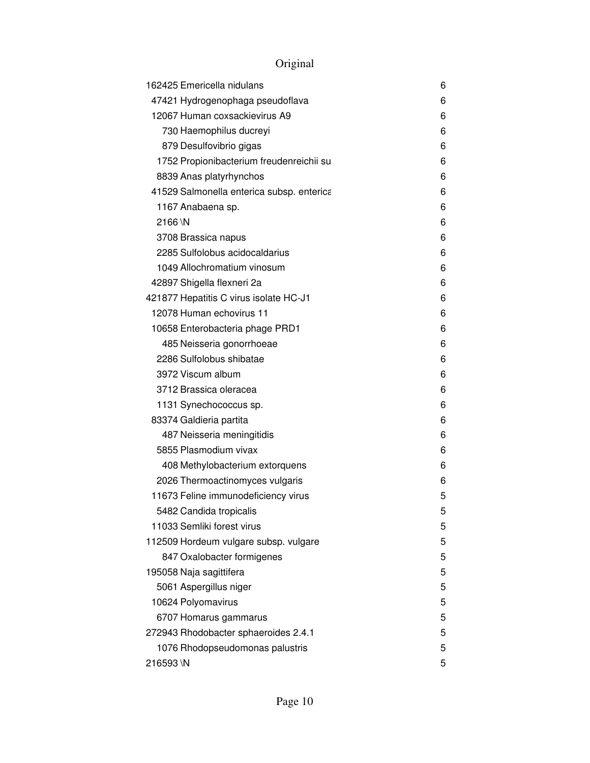| 162425 Emericella nidulans                | 6 |
|-------------------------------------------|---|
| 47421 Hydrogenophaga pseudoflava          | 6 |
| 12067 Human coxsackievirus A9             | 6 |
| 730 Haemophilus ducreyi                   | 6 |
| 879 Desulfovibrio gigas                   | 6 |
| 1752 Propionibacterium freudenreichii su  | 6 |
| 8839 Anas platyrhynchos                   | 6 |
| 41529 Salmonella enterica subsp. enterica | 6 |
| 1167 Anabaena sp.                         | 6 |
| 2166\N                                    | 6 |
| 3708 Brassica napus                       | 6 |
| 2285 Sulfolobus acidocaldarius            | 6 |
| 1049 Allochromatium vinosum               | 6 |
| 42897 Shigella flexneri 2a                | 6 |
| 421877 Hepatitis C virus isolate HC-J1    | 6 |
| 12078 Human echovirus 11                  | 6 |
| 10658 Enterobacteria phage PRD1           | 6 |
| 485 Neisseria gonorrhoeae                 | 6 |
| 2286 Sulfolobus shibatae                  | 6 |
| 3972 Viscum album                         | 6 |
| 3712 Brassica oleracea                    | 6 |
| 1131 Synechococcus sp.                    | 6 |
| 83374 Galdieria partita                   | 6 |
| 487 Neisseria meningitidis                | 6 |
| 5855 Plasmodium vivax                     | 6 |
| 408 Methylobacterium extorquens           | 6 |
| 2026 Thermoactinomyces vulgaris           | 6 |
| 11673 Feline immunodeficiency virus       | 5 |
| 5482 Candida tropicalis                   | 5 |
| 11033 Semliki forest virus                | 5 |
| 112509 Hordeum vulgare subsp. vulgare     | 5 |
| 847 Oxalobacter formigenes                | 5 |
| 195058 Naja sagittifera                   | 5 |
| 5061 Aspergillus niger                    | 5 |
| 10624 Polyomavirus                        | 5 |
| 6707 Homarus gammarus                     | 5 |
| 272943 Rhodobacter sphaeroides 2.4.1      | 5 |
| 1076 Rhodopseudomonas palustris           | 5 |
| 216593\N                                  | 5 |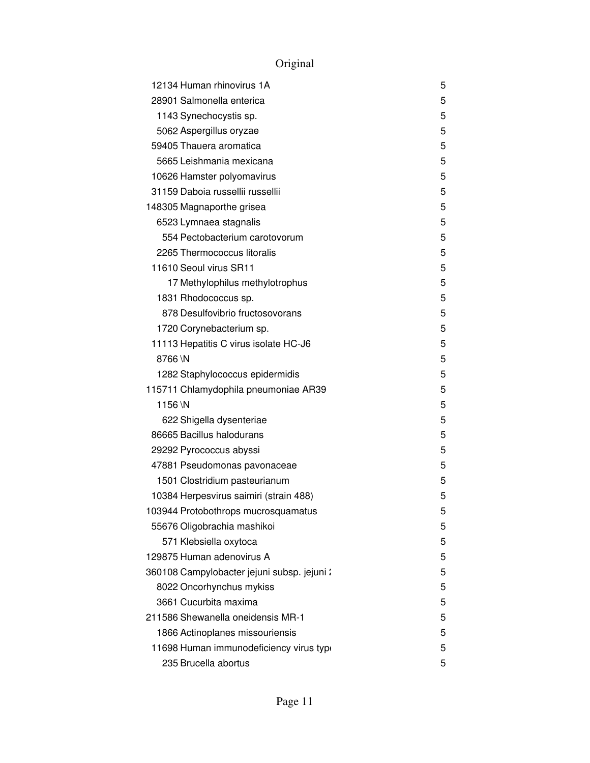| 12134 Human rhinovirus 1A                   | 5 |
|---------------------------------------------|---|
| 28901 Salmonella enterica                   | 5 |
| 1143 Synechocystis sp.                      | 5 |
| 5062 Aspergillus oryzae                     | 5 |
| 59405 Thauera aromatica                     | 5 |
| 5665 Leishmania mexicana                    | 5 |
| 10626 Hamster polyomavirus                  | 5 |
| 31159 Daboia russellii russellii            | 5 |
| 148305 Magnaporthe grisea                   | 5 |
| 6523 Lymnaea stagnalis                      | 5 |
| 554 Pectobacterium carotovorum              | 5 |
| 2265 Thermococcus litoralis                 | 5 |
| 11610 Seoul virus SR11                      | 5 |
| 17 Methylophilus methylotrophus             | 5 |
| 1831 Rhodococcus sp.                        | 5 |
| 878 Desulfovibrio fructosovorans            | 5 |
| 1720 Corynebacterium sp.                    | 5 |
| 11113 Hepatitis C virus isolate HC-J6       | 5 |
| 8766\N                                      | 5 |
| 1282 Staphylococcus epidermidis             | 5 |
| 115711 Chlamydophila pneumoniae AR39        | 5 |
| 1156\N                                      | 5 |
| 622 Shigella dysenteriae                    | 5 |
| 86665 Bacillus halodurans                   | 5 |
| 29292 Pyrococcus abyssi                     | 5 |
| 47881 Pseudomonas pavonaceae                | 5 |
| 1501 Clostridium pasteurianum               | 5 |
| 10384 Herpesvirus saimiri (strain 488)      | 5 |
| 103944 Protobothrops mucrosquamatus         | 5 |
| 55676 Oligobrachia mashikoi                 | 5 |
| 571 Klebsiella oxytoca                      | 5 |
| 129875 Human adenovirus A                   | 5 |
| 360108 Campylobacter jejuni subsp. jejuni : | 5 |
| 8022 Oncorhynchus mykiss                    | 5 |
| 3661 Cucurbita maxima                       | 5 |
| 211586 Shewanella oneidensis MR-1           | 5 |
| 1866 Actinoplanes missouriensis             | 5 |
| 11698 Human immunodeficiency virus type     | 5 |
| 235 Brucella abortus                        | 5 |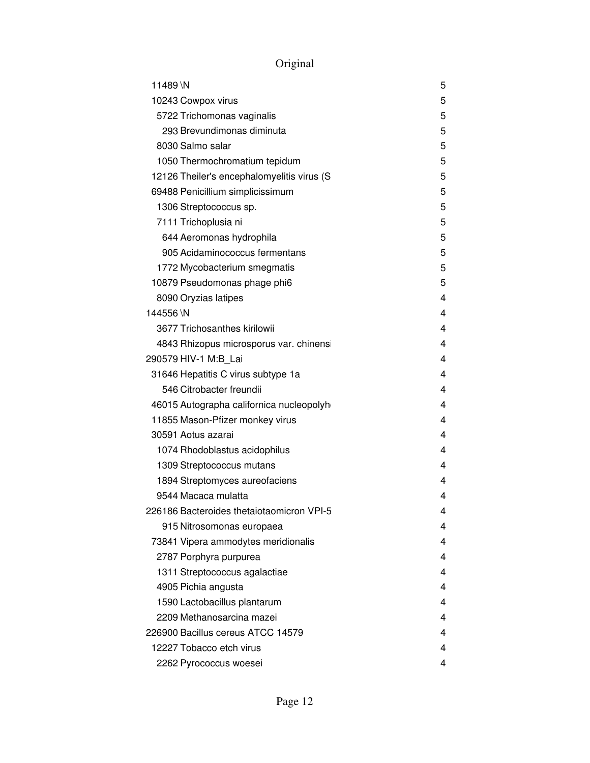|  | Jriginal |
|--|----------|
|  |          |

| 11489 \N                                    | 5 |
|---------------------------------------------|---|
| 10243 Cowpox virus                          | 5 |
| 5722 Trichomonas vaginalis                  | 5 |
| 293 Brevundimonas diminuta                  | 5 |
| 8030 Salmo salar                            | 5 |
| 1050 Thermochromatium tepidum               | 5 |
| 12126 Theiler's encephalomyelitis virus (S) | 5 |
| 69488 Penicillium simplicissimum            | 5 |
| 1306 Streptococcus sp.                      | 5 |
| 7111 Trichoplusia ni                        | 5 |
| 644 Aeromonas hydrophila                    | 5 |
| 905 Acidaminococcus fermentans              | 5 |
| 1772 Mycobacterium smegmatis                | 5 |
| 10879 Pseudomonas phage phi6                | 5 |
| 8090 Oryzias latipes                        | 4 |
| 144556 \N                                   | 4 |
| 3677 Trichosanthes kirilowii                | 4 |
| 4843 Rhizopus microsporus var. chinensi     | 4 |
| 290579 HIV-1 M:B Lai                        | 4 |
| 31646 Hepatitis C virus subtype 1a          | 4 |
| 546 Citrobacter freundii                    | 4 |
| 46015 Autographa californica nucleopolyh    | 4 |
| 11855 Mason-Pfizer monkey virus             | 4 |
| 30591 Aotus azarai                          | 4 |
| 1074 Rhodoblastus acidophilus               | 4 |
| 1309 Streptococcus mutans                   | 4 |
| 1894 Streptomyces aureofaciens              | 4 |
| 9544 Macaca mulatta                         | 4 |
| 226186 Bacteroides thetaiotaomicron VPI-5   | 4 |
| 915 Nitrosomonas europaea                   | 4 |
| 73841 Vipera ammodytes meridionalis         | 4 |
| 2787 Porphyra purpurea                      | 4 |
| 1311 Streptococcus agalactiae               | 4 |
| 4905 Pichia angusta                         | 4 |
| 1590 Lactobacillus plantarum                | 4 |
| 2209 Methanosarcina mazei                   | 4 |
| 226900 Bacillus cereus ATCC 14579           | 4 |
| 12227 Tobacco etch virus                    | 4 |
| 2262 Pyrococcus woesei                      | 4 |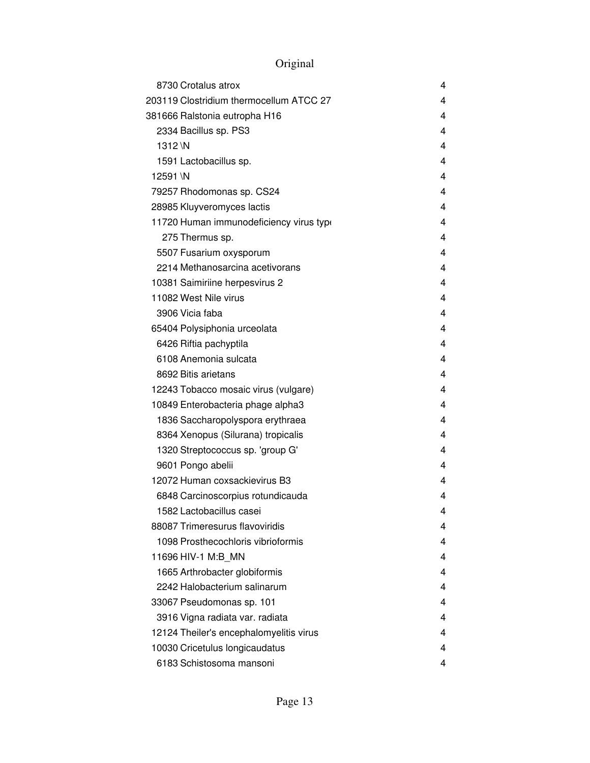| 8730 Crotalus atrox                     | 4 |
|-----------------------------------------|---|
| 203119 Clostridium thermocellum ATCC 27 | 4 |
| 381666 Ralstonia eutropha H16           | 4 |
| 2334 Bacillus sp. PS3                   | 4 |
| 1312 \N                                 | 4 |
| 1591 Lactobacillus sp.                  | 4 |
| 12591 \N                                | 4 |
| 79257 Rhodomonas sp. CS24               | 4 |
| 28985 Kluyveromyces lactis              | 4 |
| 11720 Human immunodeficiency virus type | 4 |
| 275 Thermus sp.                         | 4 |
| 5507 Fusarium oxysporum                 | 4 |
| 2214 Methanosarcina acetivorans         | 4 |
| 10381 Saimiriine herpesvirus 2          | 4 |
| 11082 West Nile virus                   | 4 |
| 3906 Vicia faba                         | 4 |
| 65404 Polysiphonia urceolata            | 4 |
| 6426 Riftia pachyptila                  | 4 |
| 6108 Anemonia sulcata                   | 4 |
| 8692 Bitis arietans                     | 4 |
| 12243 Tobacco mosaic virus (vulgare)    | 4 |
| 10849 Enterobacteria phage alpha3       | 4 |
| 1836 Saccharopolyspora erythraea        | 4 |
| 8364 Xenopus (Silurana) tropicalis      | 4 |
| 1320 Streptococcus sp. 'group G'        | 4 |
| 9601 Pongo abelii                       | 4 |
| 12072 Human coxsackievirus B3           | 4 |
| 6848 Carcinoscorpius rotundicauda       | 4 |
| 1582 Lactobacillus casei                | 4 |
| 88087 Trimeresurus flavoviridis         | 4 |
| 1098 Prosthecochloris vibrioformis      | 4 |
| 11696 HIV-1 M:B MN                      | 4 |
| 1665 Arthrobacter globiformis           | 4 |
| 2242 Halobacterium salinarum            | 4 |
| 33067 Pseudomonas sp. 101               | 4 |
| 3916 Vigna radiata var. radiata         | 4 |
| 12124 Theiler's encephalomyelitis virus | 4 |
| 10030 Cricetulus longicaudatus          | 4 |
| 6183 Schistosoma mansoni                | 4 |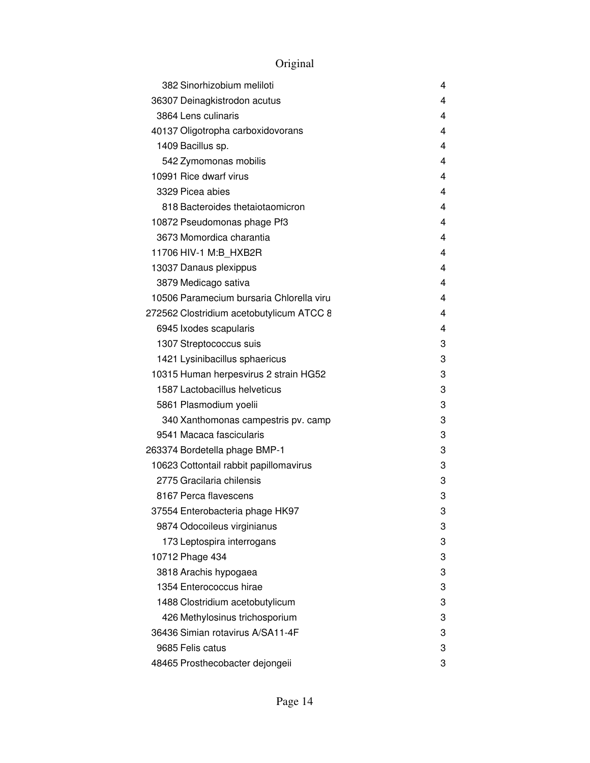| 382 Sinorhizobium meliloti               | 4 |
|------------------------------------------|---|
| 36307 Deinagkistrodon acutus             | 4 |
| 3864 Lens culinaris                      | 4 |
| 40137 Oligotropha carboxidovorans        | 4 |
| 1409 Bacillus sp.                        | 4 |
| 542 Zymomonas mobilis                    | 4 |
| 10991 Rice dwarf virus                   | 4 |
| 3329 Picea abjes                         | 4 |
| 818 Bacteroides thetaiotaomicron         | 4 |
| 10872 Pseudomonas phage Pf3              | 4 |
| 3673 Momordica charantia                 | 4 |
| 11706 HIV-1 M:B_HXB2R                    | 4 |
| 13037 Danaus plexippus                   | 4 |
| 3879 Medicago sativa                     | 4 |
| 10506 Paramecium bursaria Chlorella viru | 4 |
| 272562 Clostridium acetobutylicum ATCC 8 | 4 |
| 6945 Ixodes scapularis                   | 4 |
| 1307 Streptococcus suis                  | 3 |
| 1421 Lysinibacillus sphaericus           | 3 |
| 10315 Human herpesvirus 2 strain HG52    | 3 |
| 1587 Lactobacillus helveticus            | 3 |
| 5861 Plasmodium yoelii                   | 3 |
| 340 Xanthomonas campestris pv. camp      | 3 |
| 9541 Macaca fascicularis                 | 3 |
| 263374 Bordetella phage BMP-1            | 3 |
| 10623 Cottontail rabbit papillomavirus   | 3 |
| 2775 Gracilaria chilensis                | 3 |
| 8167 Perca flavescens                    | 3 |
| 37554 Enterobacteria phage HK97          | 3 |
| 9874 Odocoileus virginianus              | 3 |
| 173 Leptospira interrogans               | 3 |
| 10712 Phage 434                          | 3 |
| 3818 Arachis hypogaea                    | 3 |
| 1354 Enterococcus hirae                  | 3 |
| 1488 Clostridium acetobutylicum          | 3 |
| 426 Methylosinus trichosporium           | 3 |
| 36436 Simian rotavirus A/SA11-4F         | 3 |
| 9685 Felis catus                         | 3 |
| 48465 Prosthecobacter dejongeii          | 3 |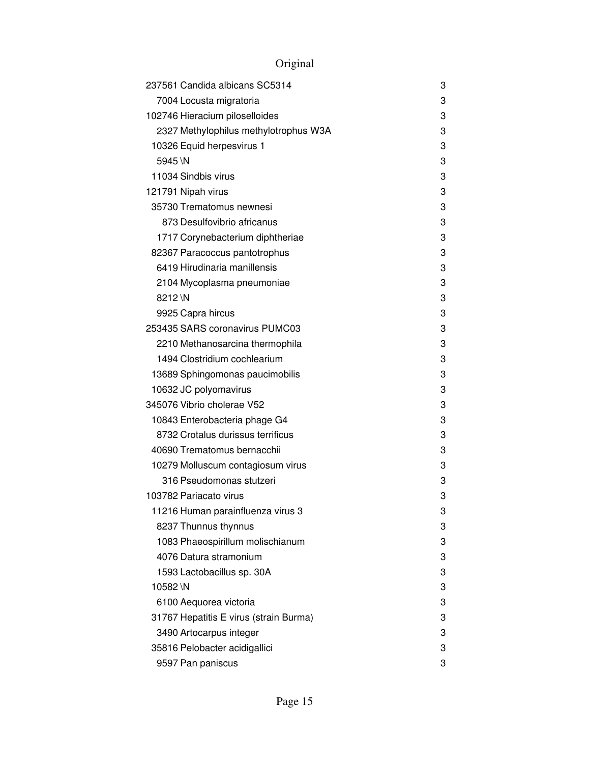| 237561 Candida albicans SC5314         | 3 |
|----------------------------------------|---|
| 7004 Locusta migratoria                | 3 |
| 102746 Hieracium piloselloides         | 3 |
| 2327 Methylophilus methylotrophus W3A  | 3 |
| 10326 Equid herpesvirus 1              | 3 |
| 5945\N                                 | 3 |
| 11034 Sindbis virus                    | 3 |
| 121791 Nipah virus                     | 3 |
| 35730 Trematomus newnesi               | 3 |
| 873 Desulfovibrio africanus            | 3 |
| 1717 Corynebacterium diphtheriae       | 3 |
| 82367 Paracoccus pantotrophus          | 3 |
| 6419 Hirudinaria manillensis           | 3 |
| 2104 Mycoplasma pneumoniae             | 3 |
| 8212 \N                                | 3 |
| 9925 Capra hircus                      | 3 |
| 253435 SARS coronavirus PUMC03         | 3 |
| 2210 Methanosarcina thermophila        | 3 |
| 1494 Clostridium cochlearium           | 3 |
| 13689 Sphingomonas paucimobilis        | 3 |
| 10632 JC polyomavirus                  | 3 |
| 345076 Vibrio cholerae V52             | 3 |
| 10843 Enterobacteria phage G4          | 3 |
| 8732 Crotalus durissus terrificus      | 3 |
| 40690 Trematomus bernacchii            | 3 |
| 10279 Molluscum contagiosum virus      | 3 |
| 316 Pseudomonas stutzeri               | 3 |
| 103782 Pariacato virus                 | 3 |
| 11216 Human parainfluenza virus 3      | 3 |
| 8237 Thunnus thynnus                   | 3 |
| 1083 Phaeospirillum molischianum       | 3 |
| 4076 Datura stramonium                 | 3 |
| 1593 Lactobacillus sp. 30A             | 3 |
| 10582\N                                | 3 |
| 6100 Aequorea victoria                 | 3 |
| 31767 Hepatitis E virus (strain Burma) | 3 |
| 3490 Artocarpus integer                | 3 |
| 35816 Pelobacter acidigallici          | 3 |
| 9597 Pan paniscus                      | 3 |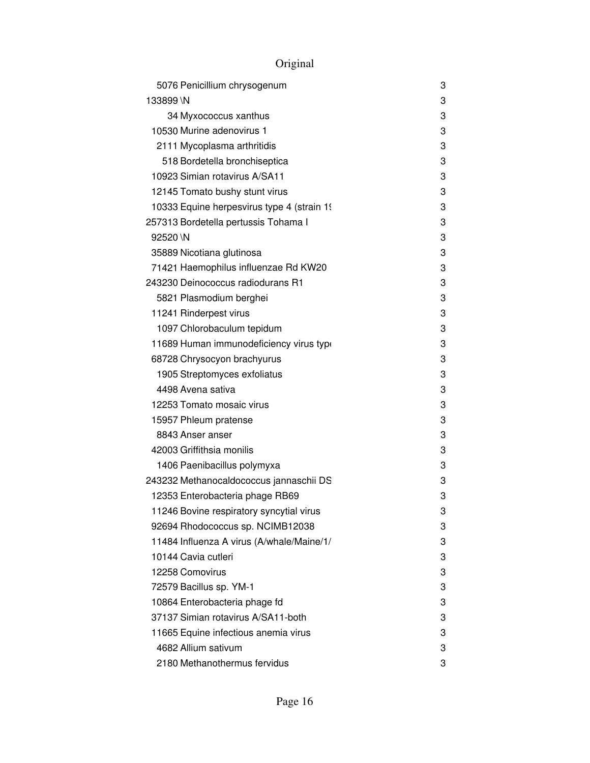| 5076 Penicillium chrysogenum                | 3 |
|---------------------------------------------|---|
| 133899\N                                    | 3 |
| 34 Myxococcus xanthus                       | 3 |
| 10530 Murine adenovirus 1                   | 3 |
| 2111 Mycoplasma arthritidis                 | 3 |
| 518 Bordetella bronchiseptica               | 3 |
| 10923 Simian rotavirus A/SA11               | 3 |
| 12145 Tomato bushy stunt virus              | 3 |
| 10333 Equine herpesvirus type 4 (strain 19) | 3 |
| 257313 Bordetella pertussis Tohama I        | 3 |
| 92520 \N                                    | 3 |
| 35889 Nicotiana glutinosa                   | 3 |
| 71421 Haemophilus influenzae Rd KW20        | 3 |
| 243230 Deinococcus radiodurans R1           | 3 |
| 5821 Plasmodium berghei                     | 3 |
| 11241 Rinderpest virus                      | 3 |
| 1097 Chlorobaculum tepidum                  | 3 |
| 11689 Human immunodeficiency virus type     | 3 |
| 68728 Chrysocyon brachyurus                 | 3 |
| 1905 Streptomyces exfoliatus                | 3 |
| 4498 Avena sativa                           | 3 |
| 12253 Tomato mosaic virus                   | 3 |
| 15957 Phleum pratense                       | 3 |
| 8843 Anser anser                            | 3 |
| 42003 Griffithsia monilis                   | 3 |
| 1406 Paenibacillus polymyxa                 | 3 |
| 243232 Methanocaldococcus jannaschii DS     | 3 |
| 12353 Enterobacteria phage RB69             | 3 |
| 11246 Bovine respiratory syncytial virus    | 3 |
| 92694 Rhodococcus sp. NCIMB12038            | 3 |
| 11484 Influenza A virus (A/whale/Maine/1/   | 3 |
| 10144 Cavia cutleri                         | 3 |
| 12258 Comovirus                             | 3 |
| 72579 Bacillus sp. YM-1                     | 3 |
| 10864 Enterobacteria phage fd               | 3 |
| 37137 Simian rotavirus A/SA11-both          | 3 |
| 11665 Equine infectious anemia virus        | 3 |
| 4682 Allium sativum                         | 3 |
| 2180 Methanothermus fervidus                | 3 |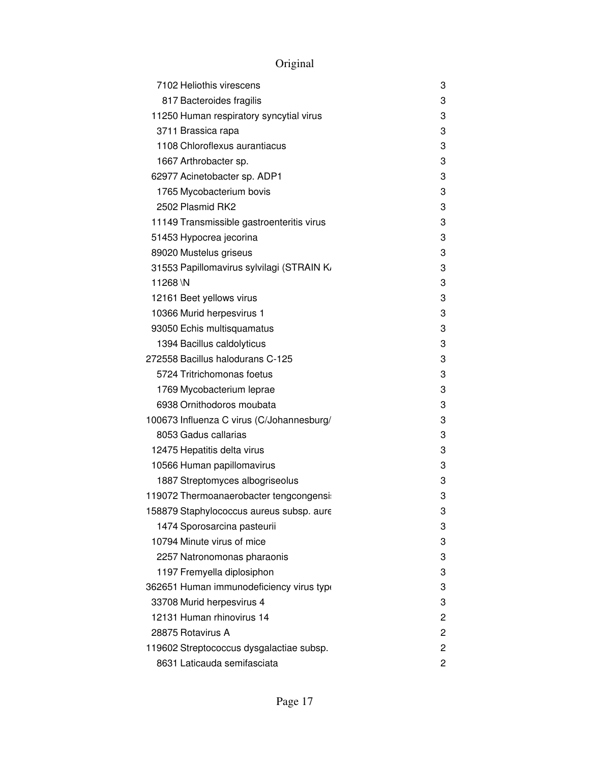| 7102 Heliothis virescens                  | 3 |
|-------------------------------------------|---|
| 817 Bacteroides fragilis                  | 3 |
| 11250 Human respiratory syncytial virus   | 3 |
| 3711 Brassica rapa                        | 3 |
| 1108 Chloroflexus aurantiacus             | 3 |
| 1667 Arthrobacter sp.                     | 3 |
| 62977 Acinetobacter sp. ADP1              | 3 |
| 1765 Mycobacterium bovis                  | 3 |
| 2502 Plasmid RK2                          | 3 |
| 11149 Transmissible gastroenteritis virus | 3 |
| 51453 Hypocrea jecorina                   | 3 |
| 89020 Mustelus griseus                    | 3 |
| 31553 Papillomavirus sylvilagi (STRAIN K  | 3 |
| 11268\N                                   | 3 |
| 12161 Beet yellows virus                  | 3 |
| 10366 Murid herpesvirus 1                 | 3 |
| 93050 Echis multisquamatus                | 3 |
| 1394 Bacillus caldolyticus                | 3 |
| 272558 Bacillus halodurans C-125          | 3 |
| 5724 Tritrichomonas foetus                | 3 |
| 1769 Mycobacterium leprae                 | 3 |
| 6938 Ornithodoros moubata                 | 3 |
| 100673 Influenza C virus (C/Johannesburg/ | 3 |
| 8053 Gadus callarias                      | 3 |
| 12475 Hepatitis delta virus               | 3 |
| 10566 Human papillomavirus                | 3 |
| 1887 Streptomyces albogriseolus           | 3 |
| 119072 Thermoanaerobacter tengcongensi:   | 3 |
| 158879 Staphylococcus aureus subsp. aure  | 3 |
| 1474 Sporosarcina pasteurii               | 3 |
| 10794 Minute virus of mice                | 3 |
| 2257 Natronomonas pharaonis               | 3 |
| 1197 Fremyella diplosiphon                | 3 |
| 362651 Human immunodeficiency virus type  | 3 |
| 33708 Murid herpesvirus 4                 | 3 |
| 12131 Human rhinovirus 14                 | 2 |
| 28875 Rotavirus A                         | 2 |
| 119602 Streptococcus dysgalactiae subsp.  | 2 |
| 8631 Laticauda semifasciata               | 2 |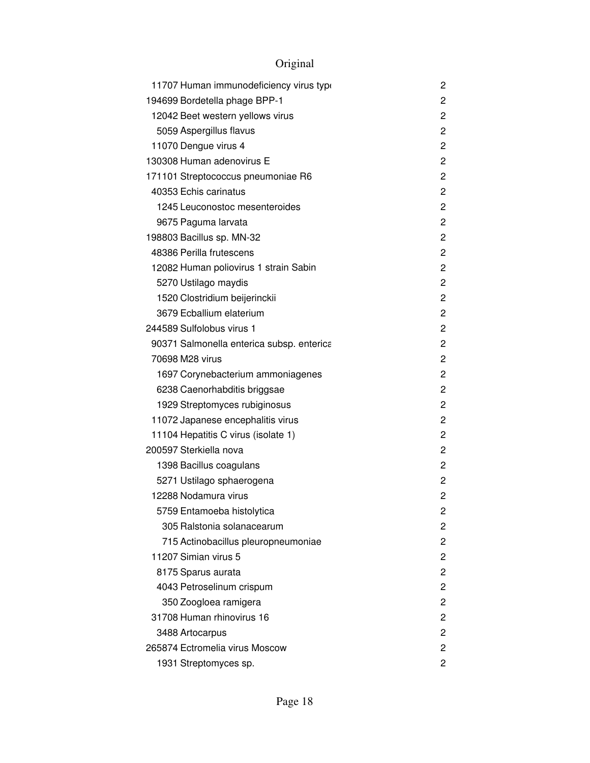| 11707 Human immunodeficiency virus type   | 2              |
|-------------------------------------------|----------------|
| 194699 Bordetella phage BPP-1             | 2              |
| 12042 Beet western yellows virus          | 2              |
| 5059 Aspergillus flavus                   | $\mathbf{2}$   |
| 11070 Dengue virus 4                      | 2              |
| 130308 Human adenovirus E                 | $\overline{c}$ |
| 171101 Streptococcus pneumoniae R6        | 2              |
| 40353 Echis carinatus                     | 2              |
| 1245 Leuconostoc mesenteroides            | $\overline{c}$ |
| 9675 Paguma larvata                       | $\mathbf{2}$   |
| 198803 Bacillus sp. MN-32                 | 2              |
| 48386 Perilla frutescens                  | 2              |
| 12082 Human poliovirus 1 strain Sabin     | 2              |
| 5270 Ustilago maydis                      | 2              |
| 1520 Clostridium beijerinckii             | 2              |
| 3679 Ecballium elaterium                  | 2              |
| 244589 Sulfolobus virus 1                 | 2              |
| 90371 Salmonella enterica subsp. enterica | 2              |
| 70698 M28 virus                           | 2              |
| 1697 Corynebacterium ammoniagenes         | $\mathbf{2}$   |
| 6238 Caenorhabditis briggsae              | 2              |
| 1929 Streptomyces rubiginosus             | $\overline{c}$ |
| 11072 Japanese encephalitis virus         | 2              |
| 11104 Hepatitis C virus (isolate 1)       | 2              |
| 200597 Sterkiella nova                    | 2              |
| 1398 Bacillus coagulans                   | 2              |
| 5271 Ustilago sphaerogena                 | 2              |
| 12288 Nodamura virus                      | 2              |
| 5759 Entamoeba histolytica                | 2              |
| 305 Ralstonia solanacearum                | 2              |
| 715 Actinobacillus pleuropneumoniae       | 2              |
| 11207 Simian virus 5                      | 2              |
| 8175 Sparus aurata                        | 2              |
| 4043 Petroselinum crispum                 | 2              |
| 350 Zoogloea ramigera                     | 2              |
| 31708 Human rhinovirus 16                 | 2              |
| 3488 Artocarpus                           | 2              |
| 265874 Ectromelia virus Moscow            | 2              |
| 1931 Streptomyces sp.                     | 2              |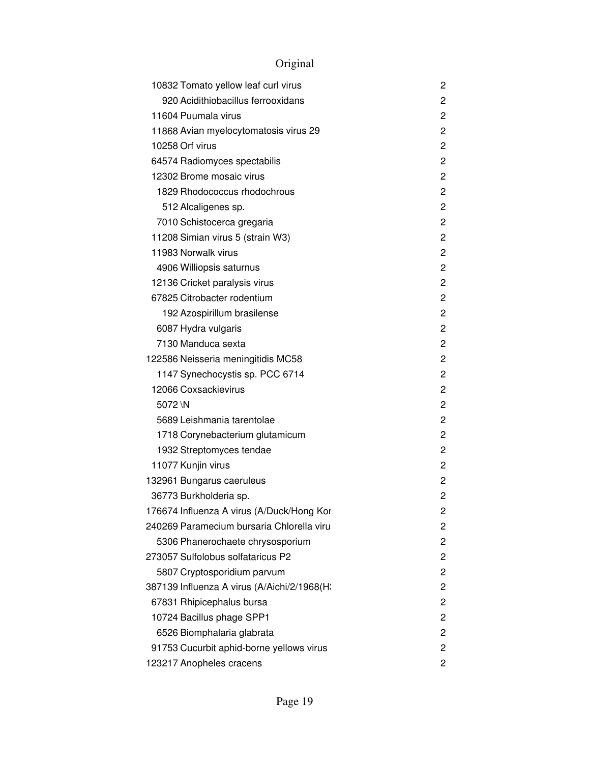| 10832 Tomato yellow leaf curl virus         | 2              |
|---------------------------------------------|----------------|
| 920 Acidithiobacillus ferrooxidans          | 2              |
| 11604 Puumala virus                         | 2              |
| 11868 Avian myelocytomatosis virus 29       | $\overline{c}$ |
| 10258 Orf virus                             | 2              |
| 64574 Radiomyces spectabilis                | $\overline{c}$ |
| 12302 Brome mosaic virus                    | 2              |
| 1829 Rhodococcus rhodochrous                | $\overline{c}$ |
| 512 Alcaligenes sp.                         | $\overline{c}$ |
| 7010 Schistocerca gregaria                  | $\overline{c}$ |
| 11208 Simian virus 5 (strain W3)            | 2              |
| 11983 Norwalk virus                         | $\overline{c}$ |
| 4906 Williopsis saturnus                    | 2              |
| 12136 Cricket paralysis virus               | 2              |
| 67825 Citrobacter rodentium                 | 2              |
| 192 Azospirillum brasilense                 | 2              |
| 6087 Hydra vulgaris                         | 2              |
| 7130 Manduca sexta                          | 2              |
| 122586 Neisseria meningitidis MC58          | 2              |
| 1147 Synechocystis sp. PCC 6714             | 2              |
| 12066 Coxsackievirus                        | 2              |
| 5072\N                                      | 2              |
| 5689 Leishmania tarentolae                  | 2              |
| 1718 Corynebacterium glutamicum             | 2              |
| 1932 Streptomyces tendae                    | $\overline{c}$ |
| 11077 Kunjin virus                          | 2              |
| 132961 Bungarus caeruleus                   | $\overline{c}$ |
| 36773 Burkholderia sp.                      | 2              |
| 176674 Influenza A virus (A/Duck/Hong Kor   | 2              |
| 240269 Paramecium bursaria Chlorella viru   | 2              |
| 5306 Phanerochaete chrysosporium            | 2              |
| 273057 Sulfolobus solfataricus P2           | 2              |
| 5807 Cryptosporidium parvum                 | 2              |
| 387139 Influenza A virus (A/Aichi/2/1968(H; | 2              |
| 67831 Rhipicephalus bursa                   | 2              |
| 10724 Bacillus phage SPP1                   | 2              |
| 6526 Biomphalaria glabrata                  | 2              |
| 91753 Cucurbit aphid-borne yellows virus    | 2              |
| 123217 Anopheles cracens                    | 2              |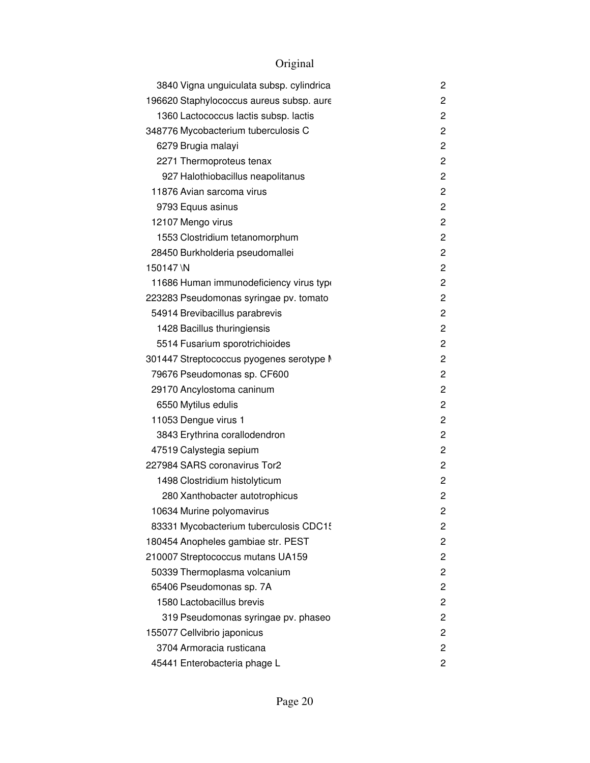| 3840 Vigna unguiculata subsp. cylindrica | 2              |
|------------------------------------------|----------------|
| 196620 Staphylococcus aureus subsp. aure | 2              |
| 1360 Lactococcus lactis subsp. lactis    | 2              |
| 348776 Mycobacterium tuberculosis C      | 2              |
| 6279 Brugia malayi                       | 2              |
| 2271 Thermoproteus tenax                 | 2              |
| 927 Halothiobacillus neapolitanus        | $\overline{c}$ |
| 11876 Avian sarcoma virus                | 2              |
| 9793 Equus asinus                        | 2              |
| 12107 Mengo virus                        | 2              |
| 1553 Clostridium tetanomorphum           | 2              |
| 28450 Burkholderia pseudomallei          | $\overline{c}$ |
| 150147\N                                 | $\overline{c}$ |
| 11686 Human immunodeficiency virus type  | 2              |
| 223283 Pseudomonas syringae pv. tomato   | 2              |
| 54914 Brevibacillus parabrevis           | 2              |
| 1428 Bacillus thuringiensis              | 2              |
| 5514 Fusarium sporotrichioides           | $\overline{c}$ |
| 301447 Streptococcus pyogenes serotype M | 2              |
| 79676 Pseudomonas sp. CF600              | $\overline{c}$ |
| 29170 Ancylostoma caninum                | $\overline{c}$ |
| 6550 Mytilus edulis                      | 2              |
| 11053 Dengue virus 1                     | 2              |
| 3843 Erythrina corallodendron            | 2              |
| 47519 Calystegia sepium                  | 2              |
| 227984 SARS coronavirus Tor2             | $\overline{c}$ |
| 1498 Clostridium histolyticum            | 2              |
| 280 Xanthobacter autotrophicus           | 2              |
| 10634 Murine polyomavirus                | 2              |
| 83331 Mycobacterium tuberculosis CDC15   | 2              |
| 180454 Anopheles gambiae str. PEST       | 2              |
| 210007 Streptococcus mutans UA159        | 2              |
| 50339 Thermoplasma volcanium             | 2              |
| 65406 Pseudomonas sp. 7A                 | 2              |
| 1580 Lactobacillus brevis                | 2              |
| 319 Pseudomonas syringae pv. phaseo      | 2              |
| 155077 Cellvibrio japonicus              | 2              |
| 3704 Armoracia rusticana                 | 2              |
| 45441 Enterobacteria phage L             | 2              |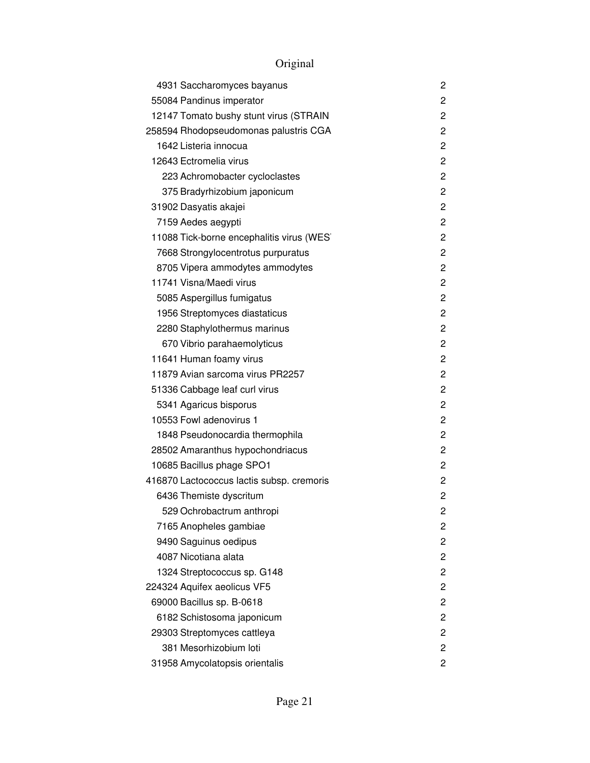| 4931 Saccharomyces bayanus                | 2              |
|-------------------------------------------|----------------|
| 55084 Pandinus imperator                  | 2              |
| 12147 Tomato bushy stunt virus (STRAIN    | 2              |
| 258594 Rhodopseudomonas palustris CGA     | 2              |
| 1642 Listeria innocua                     | 2              |
| 12643 Ectromelia virus                    | 2              |
| 223 Achromobacter cycloclastes            | 2              |
| 375 Bradyrhizobium japonicum              | 2              |
| 31902 Dasyatis akajei                     | 2              |
| 7159 Aedes aegypti                        | 2              |
| 11088 Tick-borne encephalitis virus (WES) | 2              |
| 7668 Strongylocentrotus purpuratus        | 2              |
| 8705 Vipera ammodytes ammodytes           | 2              |
| 11741 Visna/Maedi virus                   | $\overline{c}$ |
| 5085 Aspergillus fumigatus                | 2              |
| 1956 Streptomyces diastaticus             | 2              |
| 2280 Staphylothermus marinus              | 2              |
| 670 Vibrio parahaemolyticus               | 2              |
| 11641 Human foamy virus                   | 2              |
| 11879 Avian sarcoma virus PR2257          | 2              |
| 51336 Cabbage leaf curl virus             | 2              |
| 5341 Agaricus bisporus                    | 2              |
| 10553 Fowl adenovirus 1                   | 2              |
| 1848 Pseudonocardia thermophila           | 2              |
| 28502 Amaranthus hypochondriacus          | 2              |
| 10685 Bacillus phage SPO1                 | 2              |
| 416870 Lactococcus lactis subsp. cremoris | 2              |
| 6436 Themiste dyscritum                   | 2              |
| 529 Ochrobactrum anthropi                 | 2              |
| 7165 Anopheles gambiae                    | 2              |
| 9490 Saguinus oedipus                     | 2              |
| 4087 Nicotiana alata                      | 2              |
| 1324 Streptococcus sp. G148               | 2              |
| 224324 Aquifex aeolicus VF5               | 2              |
| 69000 Bacillus sp. B-0618                 | 2              |
| 6182 Schistosoma japonicum                | 2              |
| 29303 Streptomyces cattleya               | 2              |
| 381 Mesorhizobium loti                    | 2              |
| 31958 Amycolatopsis orientalis            | 2              |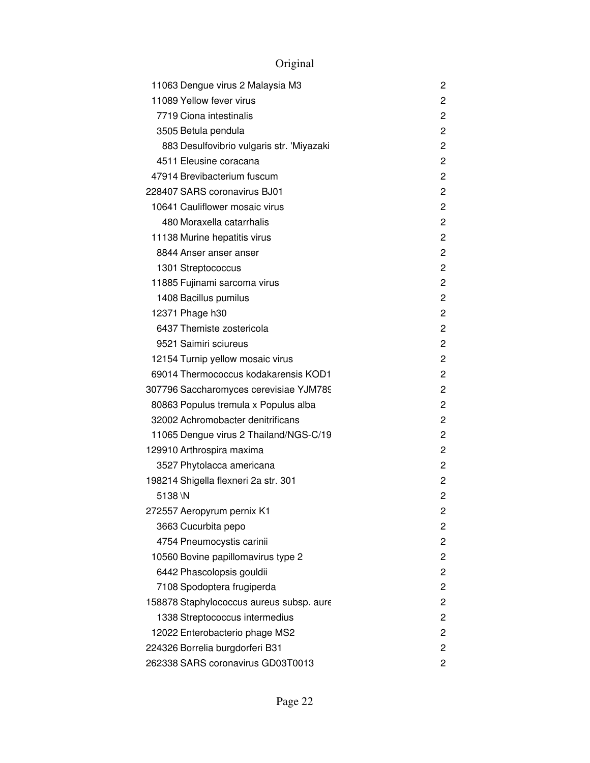| 11063 Dengue virus 2 Malaysia M3          | 2              |
|-------------------------------------------|----------------|
| 11089 Yellow fever virus                  | 2              |
| 7719 Ciona intestinalis                   | $\overline{c}$ |
| 3505 Betula pendula                       | 2              |
| 883 Desulfovibrio vulgaris str. 'Miyazaki | 2              |
| 4511 Eleusine coracana                    | $\overline{c}$ |
| 47914 Brevibacterium fuscum               | 2              |
| 228407 SARS coronavirus BJ01              | 2              |
| 10641 Cauliflower mosaic virus            | $\overline{c}$ |
| 480 Moraxella catarrhalis                 | $\overline{c}$ |
| 11138 Murine hepatitis virus              | 2              |
| 8844 Anser anser anser                    | 2              |
| 1301 Streptococcus                        | 2              |
| 11885 Fujinami sarcoma virus              | $\overline{2}$ |
| 1408 Bacillus pumilus                     | 2              |
| 12371 Phage h30                           | 2              |
| 6437 Themiste zostericola                 | $\overline{2}$ |
| 9521 Saimiri sciureus                     | 2              |
| 12154 Turnip yellow mosaic virus          | $\overline{2}$ |
| 69014 Thermococcus kodakarensis KOD1      | 2              |
| 307796 Saccharomyces cerevisiae YJM789    | $\overline{2}$ |
| 80863 Populus tremula x Populus alba      | $\overline{c}$ |
| 32002 Achromobacter denitrificans         | 2              |
| 11065 Dengue virus 2 Thailand/NGS-C/19    | 2              |
| 129910 Arthrospira maxima                 | 2              |
| 3527 Phytolacca americana                 | 2              |
| 198214 Shigella flexneri 2a str. 301      | $\overline{2}$ |
| 5138\N                                    | $\overline{c}$ |
| 272557 Aeropyrum pernix K1                | 2              |
| 3663 Cucurbita pepo                       | 2              |
| 4754 Pneumocystis carinii                 | 2              |
| 10560 Bovine papillomavirus type 2        | 2              |
| 6442 Phascolopsis gouldii                 | 2              |
| 7108 Spodoptera frugiperda                | $\overline{c}$ |
| 158878 Staphylococcus aureus subsp. aure  | $\mathbf{2}$   |
| 1338 Streptococcus intermedius            | 2              |
| 12022 Enterobacterio phage MS2            | 2              |
| 224326 Borrelia burgdorferi B31           | 2              |
| 262338 SARS coronavirus GD03T0013         | $\overline{c}$ |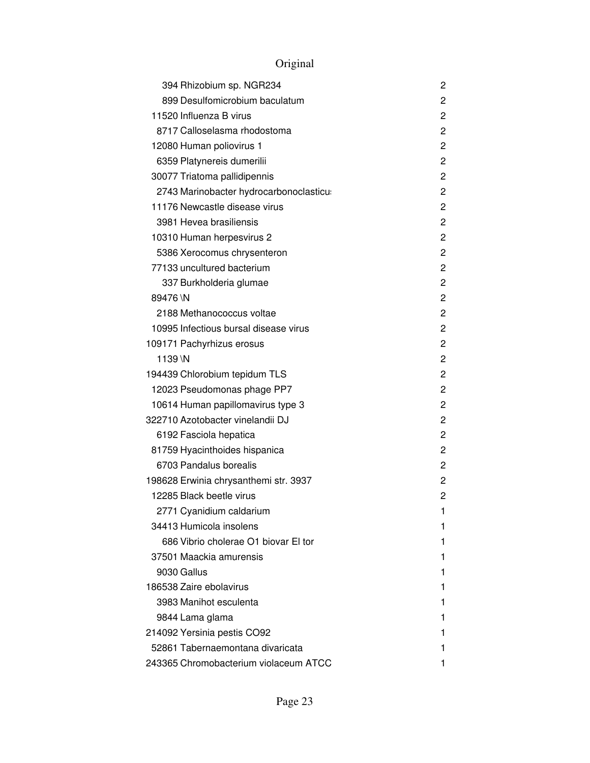| 394 Rhizobium sp. NGR234                | 2              |
|-----------------------------------------|----------------|
| 899 Desulfomicrobium baculatum          | 2              |
| 11520 Influenza B virus                 | 2              |
| 8717 Calloselasma rhodostoma            | $\overline{c}$ |
| 12080 Human poliovirus 1                | 2              |
| 6359 Platynereis dumerilii              | 2              |
| 30077 Triatoma pallidipennis            | 2              |
| 2743 Marinobacter hydrocarbonoclasticus | 2              |
| 11176 Newcastle disease virus           | 2              |
| 3981 Hevea brasiliensis                 | 2              |
| 10310 Human herpesvirus 2               | 2              |
| 5386 Xerocomus chrysenteron             | 2              |
| 77133 uncultured bacterium              | 2              |
| 337 Burkholderia glumae                 | 2              |
| 89476 \N                                | 2              |
| 2188 Methanococcus voltae               | $\overline{c}$ |
| 10995 Infectious bursal disease virus   | 2              |
| 109171 Pachyrhizus erosus               | 2              |
| 1139 \N                                 | 2              |
| 194439 Chlorobium tepidum TLS           | 2              |
| 12023 Pseudomonas phage PP7             | 2              |
| 10614 Human papillomavirus type 3       | 2              |
| 322710 Azotobacter vinelandii DJ        | 2              |
| 6192 Fasciola hepatica                  | 2              |
| 81759 Hyacinthoides hispanica           | 2              |
| 6703 Pandalus borealis                  | 2              |
| 198628 Erwinia chrysanthemi str. 3937   | 2              |
| 12285 Black beetle virus                | 2              |
| 2771 Cyanidium caldarium                | 1              |
| 34413 Humicola insolens                 | 1              |
| 686 Vibrio cholerae O1 biovar El tor    | 1              |
| 37501 Maackia amurensis                 | 1              |
| 9030 Gallus                             | 1              |
| 186538 Zaire ebolavirus                 | 1              |
| 3983 Manihot esculenta                  | 1              |
| 9844 Lama glama                         | 1              |
| 214092 Yersinia pestis CO92             | 1              |
| 52861 Tabernaemontana divaricata        | 1              |
| 243365 Chromobacterium violaceum ATCC   | 1              |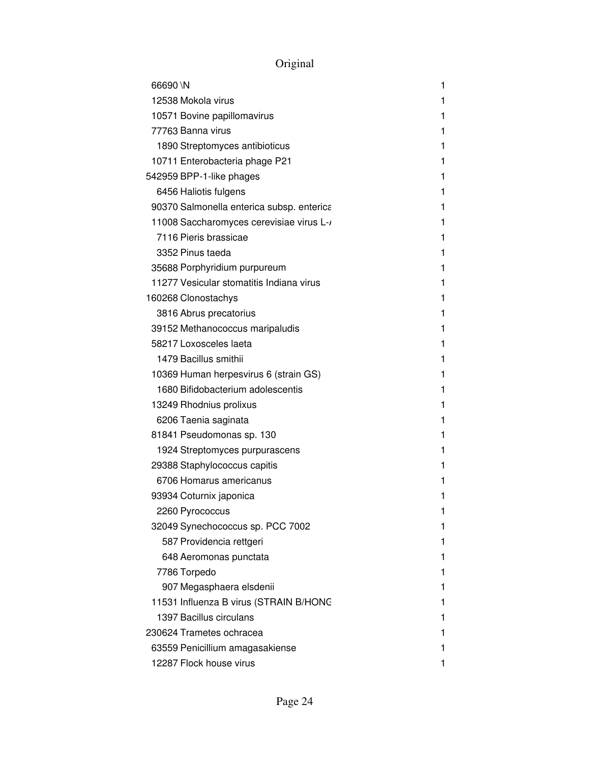| 66690 \N                                  | 1  |
|-------------------------------------------|----|
| 12538 Mokola virus                        | 1  |
| 10571 Bovine papillomavirus               | 1  |
| 77763 Banna virus                         | 1  |
| 1890 Streptomyces antibioticus            | 1  |
| 10711 Enterobacteria phage P21            | 1  |
| 542959 BPP-1-like phages                  | 1  |
| 6456 Haliotis fulgens                     | 1  |
| 90370 Salmonella enterica subsp. enterica | 1  |
| 11008 Saccharomyces cerevisiae virus L-/  | 1  |
| 7116 Pieris brassicae                     | 1  |
| 3352 Pinus taeda                          | 1  |
| 35688 Porphyridium purpureum              | 1  |
| 11277 Vesicular stomatitis Indiana virus  | 1  |
| 160268 Clonostachys                       | 1  |
| 3816 Abrus precatorius                    | 1  |
| 39152 Methanococcus maripaludis           | 1  |
| 58217 Loxosceles laeta                    | 1  |
| 1479 Bacillus smithii                     | 1  |
| 10369 Human herpesvirus 6 (strain GS)     | 1  |
| 1680 Bifidobacterium adolescentis         | 1  |
| 13249 Rhodnius prolixus                   | 1  |
| 6206 Taenia saginata                      | 1  |
| 81841 Pseudomonas sp. 130                 | 1  |
| 1924 Streptomyces purpurascens            | 1  |
| 29388 Staphylococcus capitis              | 1  |
| 6706 Homarus americanus                   | 1  |
| 93934 Coturnix japonica                   | 1  |
| 2260 Pyrococcus                           | 1  |
| 32049 Synechococcus sp. PCC 7002          | 1  |
| 587 Providencia rettgeri                  | 1  |
| 648 Aeromonas punctata                    | 1. |
| 7786 Torpedo                              | 1  |
| 907 Megasphaera elsdenii                  | 1  |
| 11531 Influenza B virus (STRAIN B/HONC    | 1  |
| 1397 Bacillus circulans                   | 1  |
| 230624 Trametes ochracea                  | 1  |
| 63559 Penicillium amagasakiense           | 1. |
| 12287 Flock house virus                   | 1  |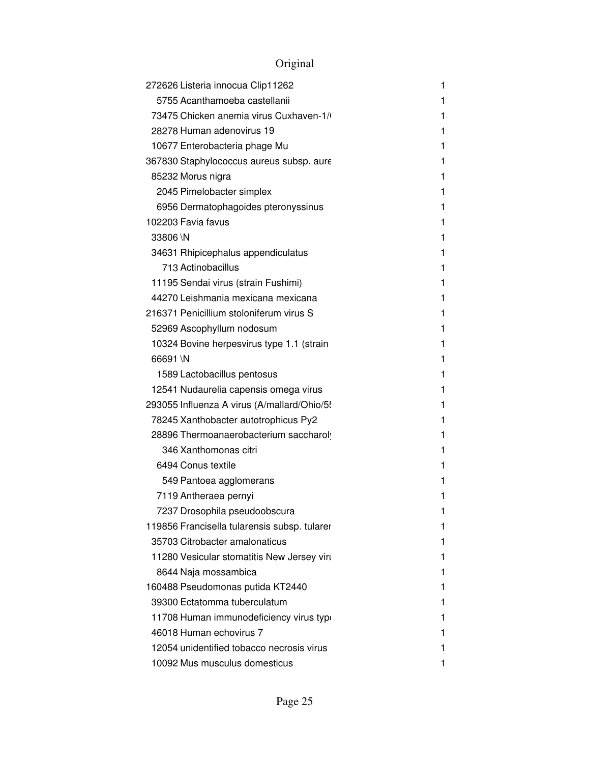| 272626 Listeria innocua Clip11262            | 1 |
|----------------------------------------------|---|
| 5755 Acanthamoeba castellanii                | 1 |
| 73475 Chicken anemia virus Cuxhaven-1/       | 1 |
| 28278 Human adenovirus 19                    | 1 |
| 10677 Enterobacteria phage Mu                | 1 |
| 367830 Staphylococcus aureus subsp. aure     | 1 |
| 85232 Morus nigra                            | 1 |
| 2045 Pimelobacter simplex                    | 1 |
| 6956 Dermatophagoides pteronyssinus          | 1 |
| 102203 Favia favus                           | 1 |
| 33806 \N                                     | 1 |
| 34631 Rhipicephalus appendiculatus           | 1 |
| 713 Actinobacillus                           | 1 |
| 11195 Sendai virus (strain Fushimi)          | 1 |
| 44270 Leishmania mexicana mexicana           | 1 |
| 216371 Penicillium stoloniferum virus S      | 1 |
| 52969 Ascophyllum nodosum                    | 1 |
| 10324 Bovine herpesvirus type 1.1 (strain    | 1 |
| 66691 \N                                     | 1 |
| 1589 Lactobacillus pentosus                  | 1 |
| 12541 Nudaurelia capensis omega virus        | 1 |
| 293055 Influenza A virus (A/mallard/Ohio/5!  | 1 |
| 78245 Xanthobacter autotrophicus Py2         | 1 |
| 28896 Thermoanaerobacterium saccharoly       | 1 |
| 346 Xanthomonas citri                        | 1 |
| 6494 Conus textile                           | 1 |
| 549 Pantoea agglomerans                      | 1 |
| 7119 Antheraea pernyi                        | 1 |
| 7237 Drosophila pseudoobscura                | 1 |
| 119856 Francisella tularensis subsp. tularer | 1 |
| 35703 Citrobacter amalonaticus               |   |
| 11280 Vesicular stomatitis New Jersey virt   | 1 |
| 8644 Naja mossambica                         | 1 |
| 160488 Pseudomonas putida KT2440             | 1 |
| 39300 Ectatomma tuberculatum                 | ı |
| 11708 Human immunodeficiency virus type      | 1 |
| 46018 Human echovirus 7                      |   |
| 12054 unidentified tobacco necrosis virus    | 1 |
| 10092 Mus musculus domesticus                |   |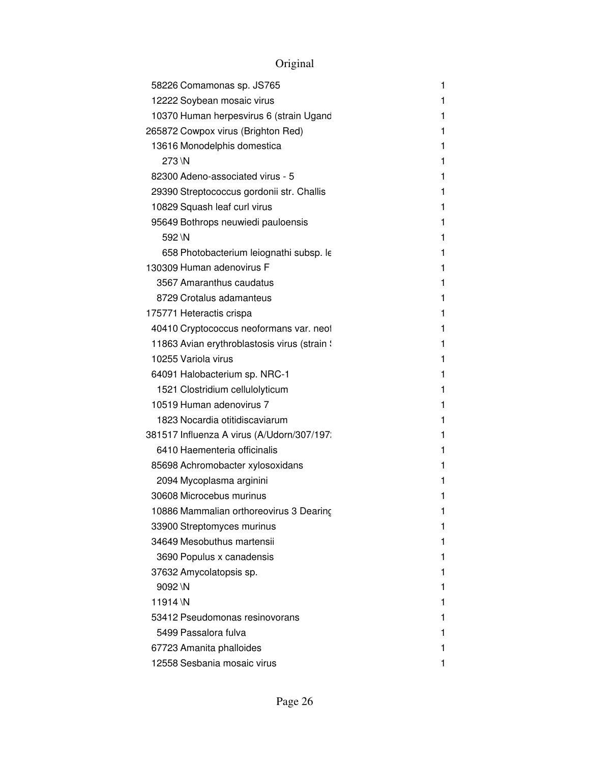| 58226 Comamonas sp. JS765                    | 1  |
|----------------------------------------------|----|
| 12222 Soybean mosaic virus                   | 1  |
| 10370 Human herpesvirus 6 (strain Ugand      | 1  |
| 265872 Cowpox virus (Brighton Red)           | 1  |
| 13616 Monodelphis domestica                  | 1  |
| 273 \N                                       | 1  |
| 82300 Adeno-associated virus - 5             | 1  |
| 29390 Streptococcus gordonii str. Challis    | 1  |
| 10829 Squash leaf curl virus                 | 1  |
| 95649 Bothrops neuwiedi pauloensis           | 1  |
| 592 \N                                       | 1  |
| 658 Photobacterium leiognathi subsp. le      | 1  |
| 130309 Human adenovirus F                    | 1  |
| 3567 Amaranthus caudatus                     | 1  |
| 8729 Crotalus adamanteus                     | 1  |
| 175771 Heteractis crispa                     | 1  |
| 40410 Cryptococcus neoformans var. neof      | 1  |
| 11863 Avian erythroblastosis virus (strain ! | 1  |
| 10255 Variola virus                          | 1  |
| 64091 Halobacterium sp. NRC-1                | 1  |
| 1521 Clostridium cellulolyticum              | 1  |
| 10519 Human adenovirus 7                     | 1  |
| 1823 Nocardia otitidiscaviarum               | 1  |
| 381517 Influenza A virus (A/Udorn/307/197:   | 1  |
| 6410 Haementeria officinalis                 | 1  |
| 85698 Achromobacter xylosoxidans             | 1  |
| 2094 Mycoplasma arginini                     | 1  |
| 30608 Microcebus murinus                     | 1  |
| 10886 Mammalian orthoreovirus 3 Dearing      | 1. |
| 33900 Streptomyces murinus                   | 1  |
| 34649 Mesobuthus martensii                   | 1  |
| 3690 Populus x canadensis                    | 1  |
| 37632 Amycolatopsis sp.                      | 1  |
| 9092 \N                                      | 1  |
| 11914 \N                                     | 1  |
| 53412 Pseudomonas resinovorans               | 1  |
| 5499 Passalora fulva                         | 1  |
| 67723 Amanita phalloides                     | 1  |
| 12558 Sesbania mosaic virus                  | 1  |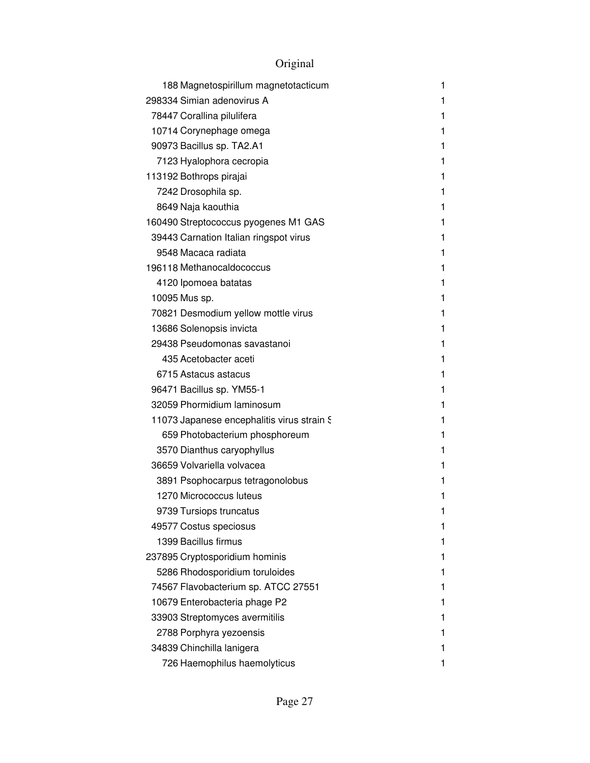| 188 Magnetospirillum magnetotacticum       | 1 |
|--------------------------------------------|---|
| 298334 Simian adenovirus A                 | 1 |
| 78447 Corallina pilulifera                 | 1 |
| 10714 Corynephage omega                    | 1 |
| 90973 Bacillus sp. TA2.A1                  | 1 |
| 7123 Hyalophora cecropia                   | 1 |
| 113192 Bothrops pirajai                    | 1 |
| 7242 Drosophila sp.                        | 1 |
| 8649 Naja kaouthia                         | 1 |
| 160490 Streptococcus pyogenes M1 GAS       | 1 |
| 39443 Carnation Italian ringspot virus     | 1 |
| 9548 Macaca radiata                        | 1 |
| 196118 Methanocaldococcus                  | 1 |
| 4120 Ipomoea batatas                       | 1 |
| 10095 Mus sp.                              | 1 |
| 70821 Desmodium yellow mottle virus        | 1 |
| 13686 Solenopsis invicta                   | 1 |
| 29438 Pseudomonas savastanoi               | 1 |
| 435 Acetobacter aceti                      | 1 |
| 6715 Astacus astacus                       | 1 |
| 96471 Bacillus sp. YM55-1                  | 1 |
| 32059 Phormidium laminosum                 | 1 |
| 11073 Japanese encephalitis virus strain S | 1 |
| 659 Photobacterium phosphoreum             | 1 |
| 3570 Dianthus caryophyllus                 | 1 |
| 36659 Volvariella volvacea                 | 1 |
| 3891 Psophocarpus tetragonolobus           | 1 |
| 1270 Micrococcus luteus                    | 1 |
| 9739 Tursiops truncatus                    | 1 |
| 49577 Costus speciosus                     | 1 |
| 1399 Bacillus firmus                       | 1 |
| 237895 Cryptosporidium hominis             | 1 |
| 5286 Rhodosporidium toruloides             | 1 |
| 74567 Flavobacterium sp. ATCC 27551        | 1 |
| 10679 Enterobacteria phage P2              | 1 |
| 33903 Streptomyces avermitilis             | 1 |
| 2788 Porphyra yezoensis                    | 1 |
| 34839 Chinchilla lanigera                  | 1 |
| 726 Haemophilus haemolyticus               | 1 |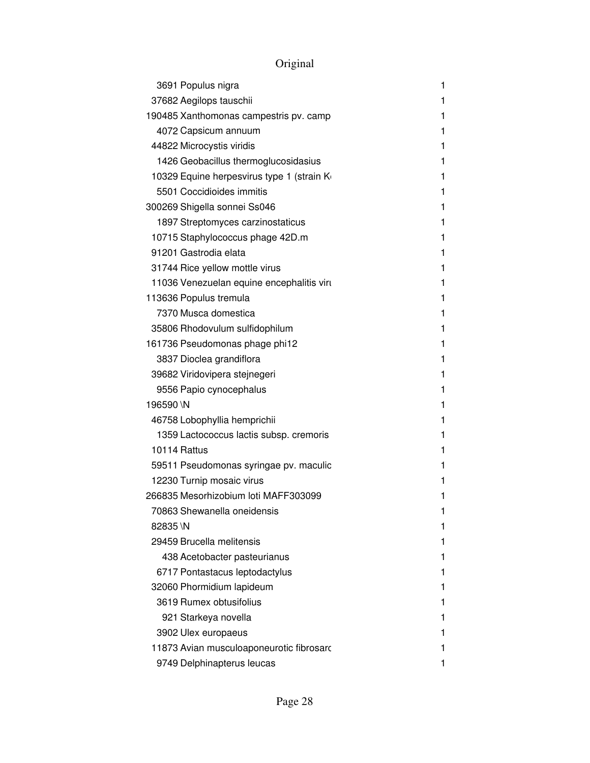| 3691 Populus nigra                         | 1 |
|--------------------------------------------|---|
| 37682 Aegilops tauschii                    | 1 |
| 190485 Xanthomonas campestris pv. camp     | 1 |
| 4072 Capsicum annuum                       | 1 |
| 44822 Microcystis viridis                  | 1 |
| 1426 Geobacillus thermoglucosidasius       | 1 |
| 10329 Equine herpesvirus type 1 (strain Ko | 1 |
| 5501 Coccidioides immitis                  | 1 |
| 300269 Shigella sonnei Ss046               | 1 |
| 1897 Streptomyces carzinostaticus          | 1 |
| 10715 Staphylococcus phage 42D.m           | 1 |
| 91201 Gastrodia elata                      | 1 |
| 31744 Rice yellow mottle virus             | 1 |
| 11036 Venezuelan equine encephalitis virt  | 1 |
| 113636 Populus tremula                     | 1 |
| 7370 Musca domestica                       | 1 |
| 35806 Rhodovulum sulfidophilum             | 1 |
| 161736 Pseudomonas phage phi12             | 1 |
| 3837 Dioclea grandiflora                   | 1 |
| 39682 Viridovipera stejnegeri              | 1 |
| 9556 Papio cynocephalus                    | 1 |
| 196590 \N                                  | 1 |
| 46758 Lobophyllia hemprichii               | 1 |
| 1359 Lactococcus lactis subsp. cremoris    | 1 |
| 10114 Rattus                               | 1 |
| 59511 Pseudomonas syringae pv. maculic     | 1 |
| 12230 Turnip mosaic virus                  | 1 |
| 266835 Mesorhizobium loti MAFF303099       | 1 |
| 70863 Shewanella oneidensis                | 1 |
| 82835 \N                                   | 1 |
| 29459 Brucella melitensis                  | 1 |
| 438 Acetobacter pasteurianus               |   |
| 6717 Pontastacus leptodactylus             |   |
| 32060 Phormidium lapideum                  | 1 |
| 3619 Rumex obtusifolius                    |   |
| 921 Starkeya novella                       |   |
| 3902 Ulex europaeus                        | 1 |
| 11873 Avian musculoaponeurotic fibrosarc   |   |
| 9749 Delphinapterus leucas                 |   |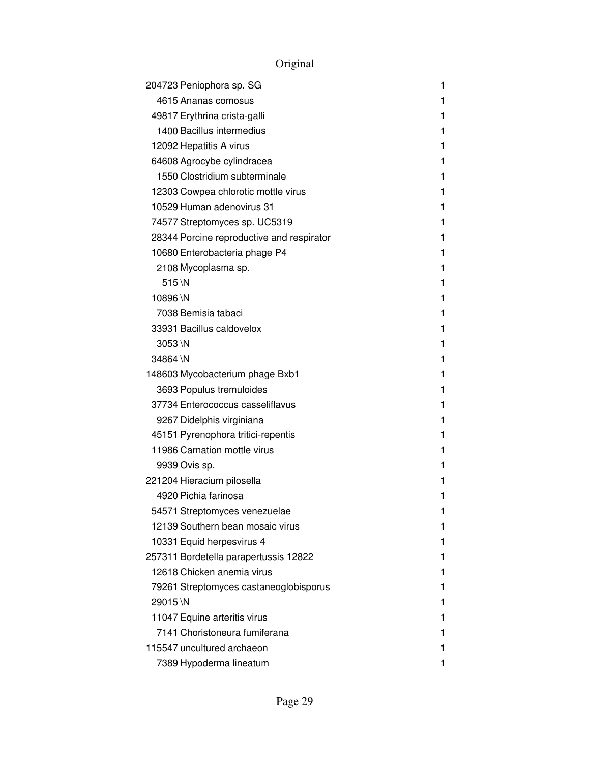| 204723 Peniophora sp. SG                  | 1 |
|-------------------------------------------|---|
| 4615 Ananas comosus                       | 1 |
| 49817 Erythrina crista-galli              | 1 |
| 1400 Bacillus intermedius                 | 1 |
| 12092 Hepatitis A virus                   | 1 |
| 64608 Agrocybe cylindracea                | 1 |
| 1550 Clostridium subterminale             | 1 |
| 12303 Cowpea chlorotic mottle virus       | 1 |
| 10529 Human adenovirus 31                 | 1 |
| 74577 Streptomyces sp. UC5319             | 1 |
| 28344 Porcine reproductive and respirator | 1 |
| 10680 Enterobacteria phage P4             | 1 |
| 2108 Mycoplasma sp.                       | 1 |
| $515$ \N                                  | 1 |
| 10896 \N                                  | 1 |
| 7038 Bemisia tabaci                       | 1 |
| 33931 Bacillus caldovelox                 | 1 |
| 3053 \N                                   | 1 |
| 34864 \N                                  | 1 |
| 148603 Mycobacterium phage Bxb1           | 1 |
| 3693 Populus tremuloides                  | 1 |
| 37734 Enterococcus casseliflavus          | 1 |
| 9267 Didelphis virginiana                 | 1 |
| 45151 Pyrenophora tritici-repentis        | 1 |
| 11986 Carnation mottle virus              | 1 |
| 9939 Ovis sp.                             | 1 |
| 221204 Hieracium pilosella                | 1 |
| 4920 Pichia farinosa                      | 1 |
| 54571 Streptomyces venezuelae             | 1 |
| 12139 Southern bean mosaic virus          | 1 |
| 10331 Equid herpesvirus 4                 | 1 |
| 257311 Bordetella parapertussis 12822     | 1 |
| 12618 Chicken anemia virus                | 1 |
| 79261 Streptomyces castaneoglobisporus    | 1 |
| 29015\N                                   | 1 |
| 11047 Equine arteritis virus              | 1 |
| 7141 Choristoneura fumiferana             | 1 |
| 115547 uncultured archaeon                | 1 |
| 7389 Hypoderma lineatum                   | 1 |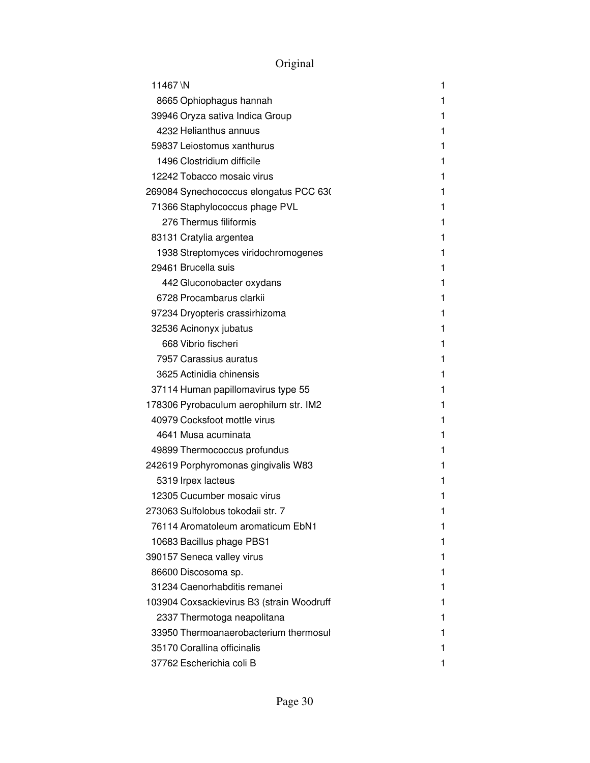| 11467\N                                   | 1 |
|-------------------------------------------|---|
| 8665 Ophiophagus hannah                   | 1 |
| 39946 Oryza sativa Indica Group           | 1 |
| 4232 Helianthus annuus                    | 1 |
| 59837 Leiostomus xanthurus                | 1 |
| 1496 Clostridium difficile                | 1 |
| 12242 Tobacco mosaic virus                | 1 |
| 269084 Synechococcus elongatus PCC 630    | 1 |
| 71366 Staphylococcus phage PVL            | 1 |
| 276 Thermus filiformis                    | 1 |
| 83131 Cratylia argentea                   | 1 |
| 1938 Streptomyces viridochromogenes       | 1 |
| 29461 Brucella suis                       | 1 |
| 442 Gluconobacter oxydans                 | 1 |
| 6728 Procambarus clarkii                  | 1 |
| 97234 Dryopteris crassirhizoma            | 1 |
| 32536 Acinonyx jubatus                    | 1 |
| 668 Vibrio fischeri                       | 1 |
| 7957 Carassius auratus                    | 1 |
| 3625 Actinidia chinensis                  | 1 |
| 37114 Human papillomavirus type 55        | 1 |
| 178306 Pyrobaculum aerophilum str. IM2    | 1 |
| 40979 Cocksfoot mottle virus              | 1 |
| 4641 Musa acuminata                       | 1 |
| 49899 Thermococcus profundus              | 1 |
| 242619 Porphyromonas gingivalis W83       | 1 |
| 5319 Irpex lacteus                        | 1 |
| 12305 Cucumber mosaic virus               | 1 |
| 273063 Sulfolobus tokodaii str. 7         | 1 |
| 76114 Aromatoleum aromaticum EbN1         | 1 |
| 10683 Bacillus phage PBS1                 | 1 |
| 390157 Seneca valley virus                | 1 |
| 86600 Discosoma sp.                       | 1 |
| 31234 Caenorhabditis remanei              | 1 |
| 103904 Coxsackievirus B3 (strain Woodruff | 1 |
| 2337 Thermotoga neapolitana               | 1 |
| 33950 Thermoanaerobacterium thermosul     |   |
| 35170 Corallina officinalis               |   |
| 37762 Escherichia coli B                  |   |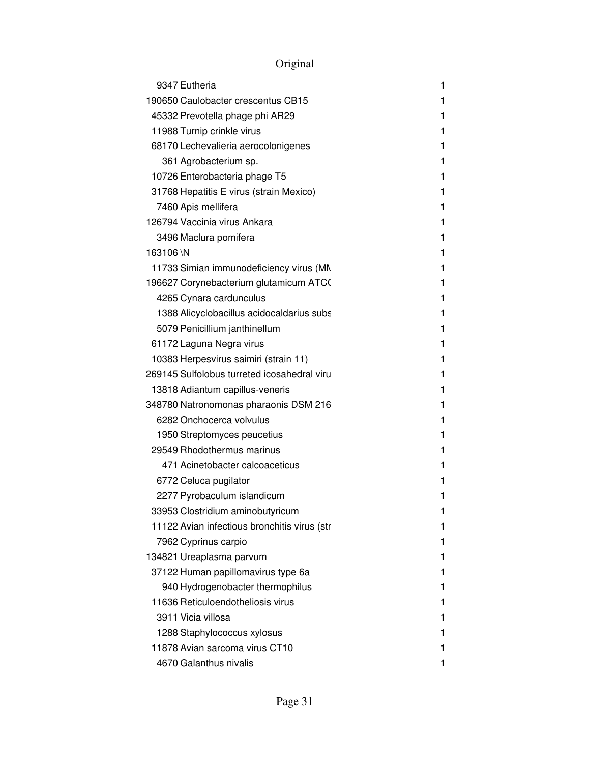| 9347 Eutheria                                | 1  |
|----------------------------------------------|----|
| 190650 Caulobacter crescentus CB15           | 1  |
| 45332 Prevotella phage phi AR29              | 1  |
| 11988 Turnip crinkle virus                   | 1  |
| 68170 Lechevalieria aerocolonigenes          | 1  |
| 361 Agrobacterium sp.                        | 1  |
| 10726 Enterobacteria phage T5                | 1  |
| 31768 Hepatitis E virus (strain Mexico)      | 1  |
| 7460 Apis mellifera                          | 1  |
| 126794 Vaccinia virus Ankara                 | 1  |
| 3496 Maclura pomifera                        | 1  |
| 163106 \N                                    | 1  |
| 11733 Simian immunodeficiency virus (MN      | 1  |
| 196627 Corynebacterium glutamicum ATCO       | 1  |
| 4265 Cynara cardunculus                      | 1  |
| 1388 Alicyclobacillus acidocaldarius subs    | 1  |
| 5079 Penicillium janthinellum                | 1  |
| 61172 Laguna Negra virus                     | 1  |
| 10383 Herpesvirus saimiri (strain 11)        | 1  |
| 269145 Sulfolobus turreted icosahedral viru  | 1  |
| 13818 Adiantum capillus-veneris              | 1  |
| 348780 Natronomonas pharaonis DSM 216        | 1  |
| 6282 Onchocerca volvulus                     | 1  |
| 1950 Streptomyces peucetius                  | 1  |
| 29549 Rhodothermus marinus                   | 1  |
| 471 Acinetobacter calcoaceticus              | 1  |
| 6772 Celuca pugilator                        | 1  |
| 2277 Pyrobaculum islandicum                  | 1  |
| 33953 Clostridium aminobutyricum             | 1. |
| 11122 Avian infectious bronchitis virus (str | 1  |
| 7962 Cyprinus carpio                         | 1  |
| 134821 Ureaplasma parvum                     | 1  |
| 37122 Human papillomavirus type 6a           | 1  |
| 940 Hydrogenobacter thermophilus             | 1  |
| 11636 Reticuloendotheliosis virus            | 1  |
| 3911 Vicia villosa                           | 1  |
| 1288 Staphylococcus xylosus                  | 1  |
| 11878 Avian sarcoma virus CT10               | 1  |
| 4670 Galanthus nivalis                       | 1  |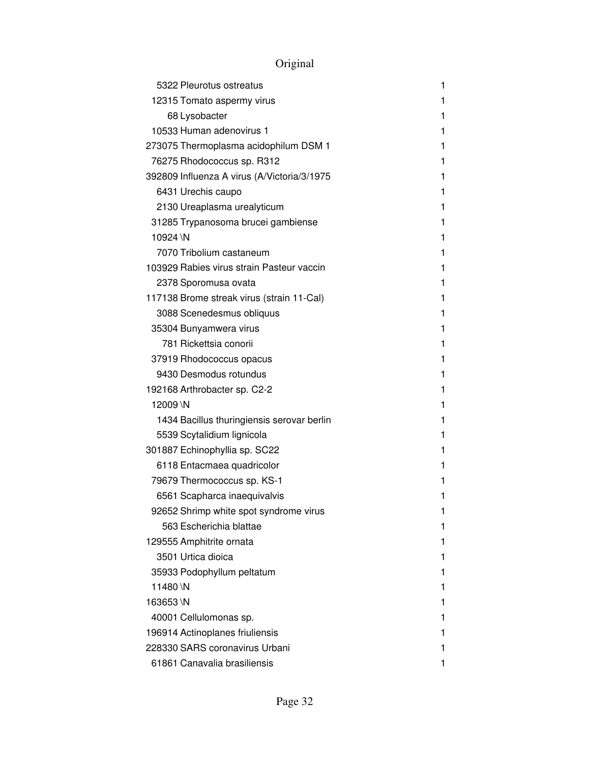| 5322 Pleurotus ostreatus                    | 1 |
|---------------------------------------------|---|
| 12315 Tomato aspermy virus                  | 1 |
| 68 Lysobacter                               | 1 |
| 10533 Human adenovirus 1                    | 1 |
| 273075 Thermoplasma acidophilum DSM 1       | 1 |
| 76275 Rhodococcus sp. R312                  | 1 |
| 392809 Influenza A virus (A/Victoria/3/1975 | 1 |
| 6431 Urechis caupo                          | 1 |
| 2130 Ureaplasma urealyticum                 | 1 |
| 31285 Trypanosoma brucei gambiense          | 1 |
| 10924 \N                                    | 1 |
| 7070 Tribolium castaneum                    | 1 |
| 103929 Rabies virus strain Pasteur vaccin   | 1 |
| 2378 Sporomusa ovata                        | 1 |
| 117138 Brome streak virus (strain 11-Cal)   | 1 |
| 3088 Scenedesmus obliquus                   | 1 |
| 35304 Bunyamwera virus                      | 1 |
| 781 Rickettsia conorii                      | 1 |
| 37919 Rhodococcus opacus                    | 1 |
| 9430 Desmodus rotundus                      | 1 |
| 192168 Arthrobacter sp. C2-2                | 1 |
| 12009 \N                                    | 1 |
| 1434 Bacillus thuringiensis serovar berlin  | 1 |
| 5539 Scytalidium lignicola                  | 1 |
| 301887 Echinophyllia sp. SC22               | 1 |
| 6118 Entacmaea quadricolor                  | 1 |
| 79679 Thermococcus sp. KS-1                 | 1 |
| 6561 Scapharca inaequivalvis                | 1 |
| 92652 Shrimp white spot syndrome virus      | 1 |
| 563 Escherichia blattae                     | 1 |
| 129555 Amphitrite ornata                    | 1 |
| 3501 Urtica dioica                          | 1 |
| 35933 Podophyllum peltatum                  | 1 |
| 11480\N                                     | 1 |
| 163653\N                                    | 1 |
| 40001 Cellulomonas sp.                      | 1 |
| 196914 Actinoplanes friuliensis             | 1 |
| 228330 SARS coronavirus Urbani              | 1 |
| 61861 Canavalia brasiliensis                | 1 |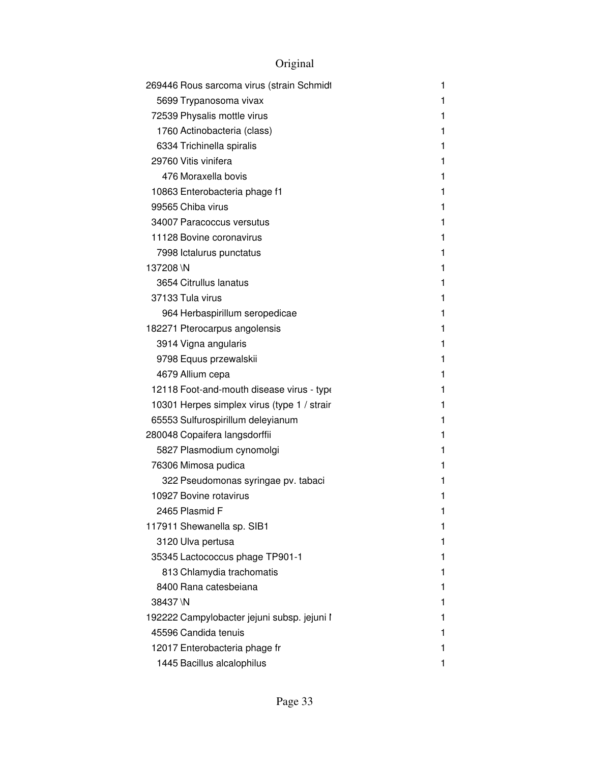| 269446 Rous sarcoma virus (strain Schmidt   | 1 |
|---------------------------------------------|---|
| 5699 Trypanosoma vivax                      | 1 |
| 72539 Physalis mottle virus                 | 1 |
| 1760 Actinobacteria (class)                 | 1 |
| 6334 Trichinella spiralis                   | 1 |
| 29760 Vitis vinifera                        | 1 |
| 476 Moraxella bovis                         | 1 |
| 10863 Enterobacteria phage f1               | 1 |
| 99565 Chiba virus                           | 1 |
| 34007 Paracoccus versutus                   | 1 |
| 11128 Bovine coronavirus                    | 1 |
| 7998 Ictalurus punctatus                    | 1 |
| 137208 \N                                   | 1 |
| 3654 Citrullus lanatus                      | 1 |
| 37133 Tula virus                            | 1 |
| 964 Herbaspirillum seropedicae              | 1 |
| 182271 Pterocarpus angolensis               | 1 |
| 3914 Vigna angularis                        | 1 |
| 9798 Equus przewalskii                      | 1 |
| 4679 Allium cepa                            | 1 |
| 12118 Foot-and-mouth disease virus - type   | 1 |
| 10301 Herpes simplex virus (type 1 / strair | 1 |
| 65553 Sulfurospirillum deleyianum           | 1 |
| 280048 Copaifera langsdorffii               | 1 |
| 5827 Plasmodium cynomolgi                   | 1 |
| 76306 Mimosa pudica                         | 1 |
| 322 Pseudomonas syringae pv. tabaci         | 1 |
| 10927 Bovine rotavirus                      | 1 |
| 2465 Plasmid F                              | 1 |
| 117911 Shewanella sp. SIB1                  | 1 |
| 3120 Ulva pertusa                           | 1 |
| 35345 Lactococcus phage TP901-1             | 1 |
| 813 Chlamydia trachomatis                   | 1 |
| 8400 Rana catesbeiana                       | 1 |
| 38437 \N                                    | 1 |
| 192222 Campylobacter jejuni subsp. jejuni ľ | 1 |
| 45596 Candida tenuis                        | 1 |
| 12017 Enterobacteria phage fr               | 1 |
| 1445 Bacillus alcalophilus                  | 1 |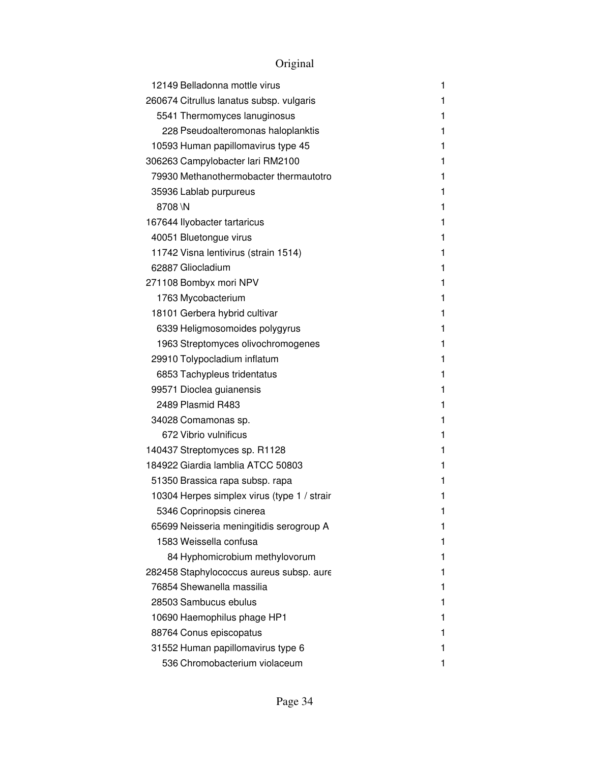| 12149 Belladonna mottle virus               | 1 |
|---------------------------------------------|---|
| 260674 Citrullus lanatus subsp. vulgaris    | 1 |
| 5541 Thermomyces lanuginosus                | 1 |
| 228 Pseudoalteromonas haloplanktis          | 1 |
| 10593 Human papillomavirus type 45          | 1 |
| 306263 Campylobacter lari RM2100            | 1 |
| 79930 Methanothermobacter thermautotro      | 1 |
| 35936 Lablab purpureus                      | 1 |
| 8708\N                                      | 1 |
| 167644 Ilyobacter tartaricus                | 1 |
| 40051 Bluetongue virus                      | 1 |
| 11742 Visna lentivirus (strain 1514)        | 1 |
| 62887 Gliocladium                           | 1 |
| 271108 Bombyx mori NPV                      | 1 |
| 1763 Mycobacterium                          | 1 |
| 18101 Gerbera hybrid cultivar               | 1 |
| 6339 Heligmosomoides polygyrus              | 1 |
| 1963 Streptomyces olivochromogenes          | 1 |
| 29910 Tolypocladium inflatum                | 1 |
| 6853 Tachypleus tridentatus                 | 1 |
| 99571 Dioclea guianensis                    | 1 |
| 2489 Plasmid R483                           | 1 |
| 34028 Comamonas sp.                         | 1 |
| 672 Vibrio vulnificus                       | 1 |
| 140437 Streptomyces sp. R1128               | 1 |
| 184922 Giardia lamblia ATCC 50803           | 1 |
| 51350 Brassica rapa subsp. rapa             | 1 |
| 10304 Herpes simplex virus (type 1 / strair | 1 |
| 5346 Coprinopsis cinerea                    | 1 |
| 65699 Neisseria meningitidis serogroup A    | 1 |
| 1583 Weissella confusa                      |   |
| 84 Hyphomicrobium methylovorum              |   |
| 282458 Staphylococcus aureus subsp. aure    |   |
| 76854 Shewanella massilia                   |   |
| 28503 Sambucus ebulus                       |   |
| 10690 Haemophilus phage HP1                 |   |
| 88764 Conus episcopatus                     |   |
| 31552 Human papillomavirus type 6           |   |
| 536 Chromobacterium violaceum               |   |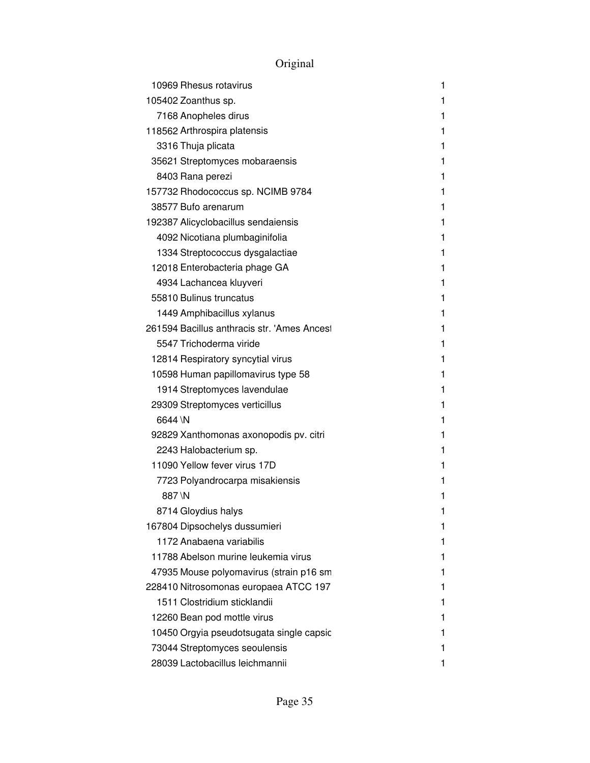| 10969 Rhesus rotavirus                      | 1 |
|---------------------------------------------|---|
| 105402 Zoanthus sp.                         | 1 |
| 7168 Anopheles dirus                        | 1 |
| 118562 Arthrospira platensis                | 1 |
| 3316 Thuja plicata                          | 1 |
| 35621 Streptomyces mobaraensis              | 1 |
| 8403 Rana perezi                            | 1 |
| 157732 Rhodococcus sp. NCIMB 9784           | 1 |
| 38577 Bufo arenarum                         | 1 |
| 192387 Alicyclobacillus sendaiensis         | 1 |
| 4092 Nicotiana plumbaginifolia              | 1 |
| 1334 Streptococcus dysgalactiae             | 1 |
| 12018 Enterobacteria phage GA               | 1 |
| 4934 Lachancea kluyveri                     | 1 |
| 55810 Bulinus truncatus                     | 1 |
| 1449 Amphibacillus xylanus                  | 1 |
| 261594 Bacillus anthracis str. 'Ames Ancest | 1 |
| 5547 Trichoderma viride                     | 1 |
| 12814 Respiratory syncytial virus           | 1 |
| 10598 Human papillomavirus type 58          | 1 |
| 1914 Streptomyces lavendulae                | 1 |
| 29309 Streptomyces verticillus              | 1 |
| 6644 \N                                     | 1 |
| 92829 Xanthomonas axonopodis pv. citri      | 1 |
| 2243 Halobacterium sp.                      | 1 |
| 11090 Yellow fever virus 17D                | 1 |
| 7723 Polyandrocarpa misakiensis             | 1 |
| 887\N                                       | 1 |
| 8714 Gloydius halys                         | 1 |
| 167804 Dipsochelys dussumieri               | 1 |
| 1172 Anabaena variabilis                    | 1 |
| 11788 Abelson murine leukemia virus         | 1 |
| 47935 Mouse polyomavirus (strain p16 sm     | 1 |
| 228410 Nitrosomonas europaea ATCC 197       | 1 |
| 1511 Clostridium sticklandii                | 1 |
| 12260 Bean pod mottle virus                 | 1 |
| 10450 Orgyia pseudotsugata single capsic    | 1 |
| 73044 Streptomyces seoulensis               | 1 |
| 28039 Lactobacillus leichmannii             | 1 |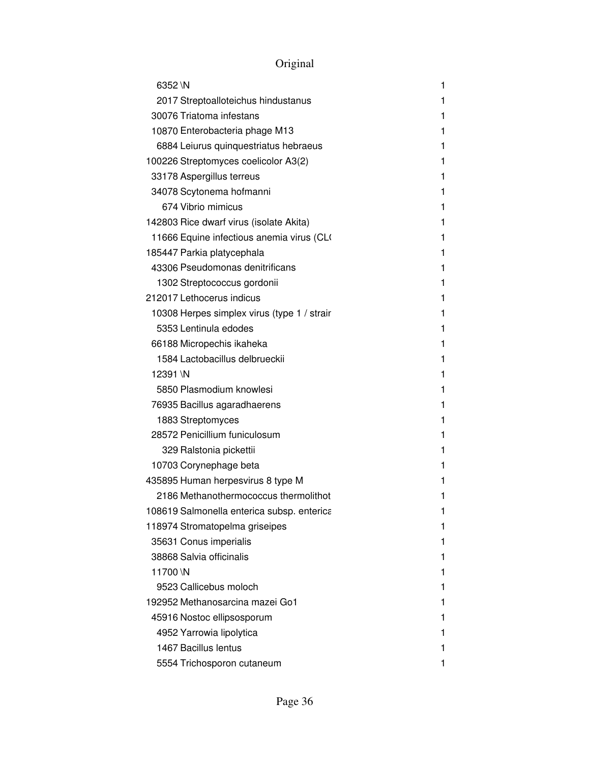| 6352 \N                                     | 1 |
|---------------------------------------------|---|
| 2017 Streptoalloteichus hindustanus         | 1 |
| 30076 Triatoma infestans                    | 1 |
| 10870 Enterobacteria phage M13              | 1 |
| 6884 Leiurus quinquestriatus hebraeus       | 1 |
| 100226 Streptomyces coelicolor A3(2)        | 1 |
| 33178 Aspergillus terreus                   | 1 |
| 34078 Scytonema hofmanni                    | 1 |
| 674 Vibrio mimicus                          | 1 |
| 142803 Rice dwarf virus (isolate Akita)     | 1 |
| 11666 Equine infectious anemia virus (CLO   | 1 |
| 185447 Parkia platycephala                  | 1 |
| 43306 Pseudomonas denitrificans             | 1 |
| 1302 Streptococcus gordonii                 | 1 |
| 212017 Lethocerus indicus                   | 1 |
| 10308 Herpes simplex virus (type 1 / strair | 1 |
| 5353 Lentinula edodes                       | 1 |
| 66188 Micropechis ikaheka                   | 1 |
| 1584 Lactobacillus delbrueckii              | 1 |
| 12391 \N                                    | 1 |
| 5850 Plasmodium knowlesi                    | 1 |
| 76935 Bacillus agaradhaerens                | 1 |
| 1883 Streptomyces                           | 1 |
| 28572 Penicillium funiculosum               | 1 |
| 329 Ralstonia pickettii                     | 1 |
| 10703 Corynephage beta                      | 1 |
| 435895 Human herpesvirus 8 type M           | 1 |
| 2186 Methanothermococcus thermolithot       | 1 |
| 108619 Salmonella enterica subsp. enterica  | 1 |
| 118974 Stromatopelma griseipes              | 1 |
| 35631 Conus imperialis                      | 1 |
| 38868 Salvia officinalis                    | 1 |
| 11700 \N                                    | 1 |
| 9523 Callicebus moloch                      | 1 |
| 192952 Methanosarcina mazei Go1             | 1 |
| 45916 Nostoc ellipsosporum                  | 1 |
| 4952 Yarrowia lipolytica                    | 1 |
| 1467 Bacillus lentus                        | 1 |
| 5554 Trichosporon cutaneum                  | 1 |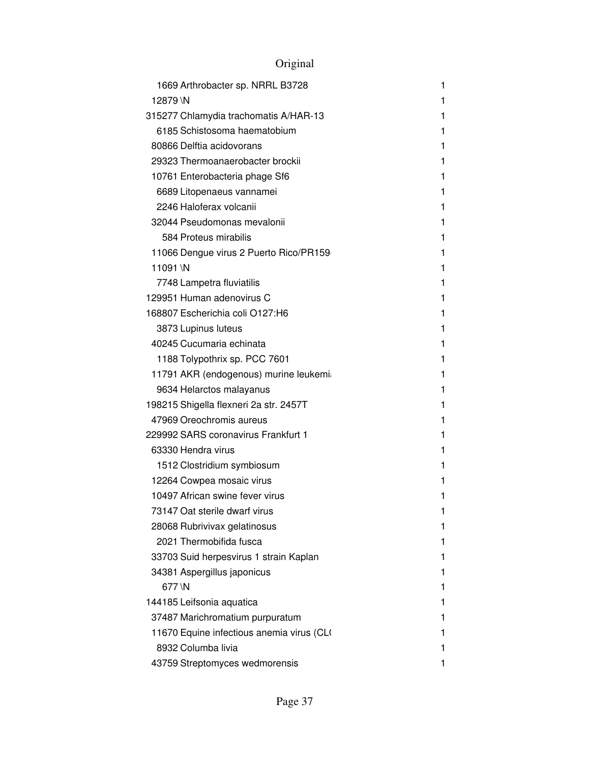|          | 1669 Arthrobacter sp. NRRL B3728          | 1 |
|----------|-------------------------------------------|---|
| 12879 \N |                                           | 1 |
|          | 315277 Chlamydia trachomatis A/HAR-13     | 1 |
|          | 6185 Schistosoma haematobium              | 1 |
|          | 80866 Delftia acidovorans                 | 1 |
|          | 29323 Thermoanaerobacter brockii          | 1 |
|          | 10761 Enterobacteria phage Sf6            | 1 |
|          | 6689 Litopenaeus vannamei                 | 1 |
|          | 2246 Haloferax volcanii                   | 1 |
|          | 32044 Pseudomonas mevalonii               | 1 |
|          | 584 Proteus mirabilis                     | 1 |
|          | 11066 Dengue virus 2 Puerto Rico/PR159    | 1 |
| 11091\N  |                                           | 1 |
|          | 7748 Lampetra fluviatilis                 | 1 |
|          | 129951 Human adenovirus C                 | 1 |
|          | 168807 Escherichia coli O127:H6           | 1 |
|          | 3873 Lupinus luteus                       | 1 |
|          | 40245 Cucumaria echinata                  | 1 |
|          | 1188 Tolypothrix sp. PCC 7601             | 1 |
|          | 11791 AKR (endogenous) murine leukemia    | 1 |
|          | 9634 Helarctos malayanus                  | 1 |
|          | 198215 Shigella flexneri 2a str. 2457T    | 1 |
|          | 47969 Oreochromis aureus                  | 1 |
|          | 229992 SARS coronavirus Frankfurt 1       | 1 |
|          | 63330 Hendra virus                        | 1 |
|          | 1512 Clostridium symbiosum                | 1 |
|          | 12264 Cowpea mosaic virus                 | 1 |
|          | 10497 African swine fever virus           | 1 |
|          | 73147 Oat sterile dwarf virus             | 1 |
|          | 28068 Rubrivivax gelatinosus              | 1 |
|          | 2021 Thermobifida fusca                   | 1 |
|          | 33703 Suid herpesvirus 1 strain Kaplan    | 1 |
|          | 34381 Aspergillus japonicus               | 1 |
| 677 \N   |                                           | 1 |
|          | 144185 Leifsonia aquatica                 | 1 |
|          | 37487 Marichromatium purpuratum           | 1 |
|          | 11670 Equine infectious anemia virus (CLO | 1 |
|          | 8932 Columba livia                        | 1 |
|          | 43759 Streptomyces wedmorensis            | 1 |

# Original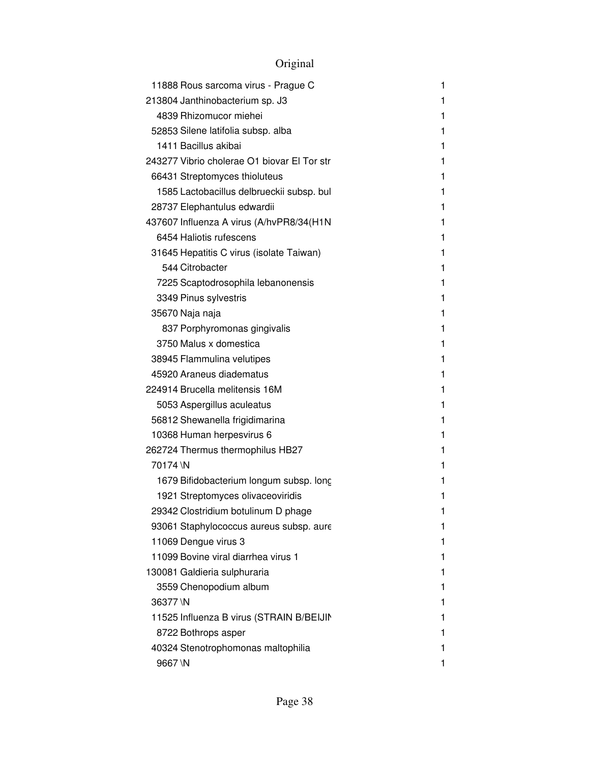# Original

| 11888 Rous sarcoma virus - Prague C         | 1 |
|---------------------------------------------|---|
| 213804 Janthinobacterium sp. J3             | 1 |
| 4839 Rhizomucor miehei                      | 1 |
| 52853 Silene latifolia subsp. alba          | 1 |
| 1411 Bacillus akibai                        | 1 |
| 243277 Vibrio cholerae O1 biovar El Tor str | 1 |
| 66431 Streptomyces thioluteus               | 1 |
| 1585 Lactobacillus delbrueckii subsp. bul   | 1 |
| 28737 Elephantulus edwardii                 | 1 |
| 437607 Influenza A virus (A/hvPR8/34(H1N    | 1 |
| 6454 Haliotis rufescens                     | 1 |
| 31645 Hepatitis C virus (isolate Taiwan)    | 1 |
| 544 Citrobacter                             | 1 |
| 7225 Scaptodrosophila lebanonensis          | 1 |
| 3349 Pinus sylvestris                       | 1 |
| 35670 Naja naja                             | 1 |
| 837 Porphyromonas gingivalis                | 1 |
| 3750 Malus x domestica                      | 1 |
| 38945 Flammulina velutipes                  | 1 |
| 45920 Araneus diadematus                    | 1 |
| 224914 Brucella melitensis 16M              | 1 |
| 5053 Aspergillus aculeatus                  | 1 |
| 56812 Shewanella frigidimarina              | 1 |
| 10368 Human herpesvirus 6                   | 1 |
| 262724 Thermus thermophilus HB27            | 1 |
| 70174 \N                                    | 1 |
| 1679 Bifidobacterium longum subsp. long     | 1 |
| 1921 Streptomyces olivaceoviridis           | 1 |
| 29342 Clostridium botulinum D phage         | 1 |
| 93061 Staphylococcus aureus subsp. aure     | 1 |
| 11069 Dengue virus 3                        | 1 |
| 11099 Bovine viral diarrhea virus 1         | 1 |
| 130081 Galdieria sulphuraria                | 1 |
| 3559 Chenopodium album                      | 1 |
| 36377\N                                     | 1 |
| 11525 Influenza B virus (STRAIN B/BEIJIN    | 1 |
| 8722 Bothrops asper                         | 1 |
| 40324 Stenotrophomonas maltophilia          | 1 |
| 9667\N                                      | 1 |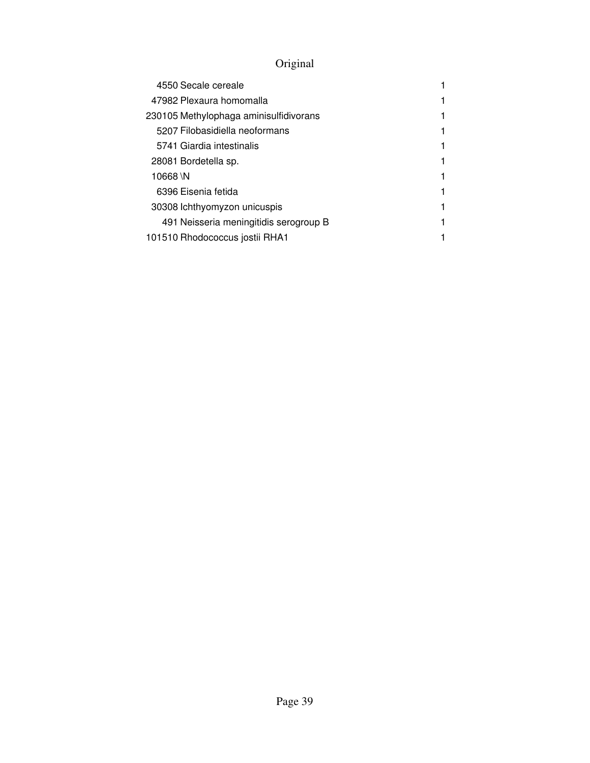# Original

| 4550 Secale cereale                    |  |
|----------------------------------------|--|
| 47982 Plexaura homomalla               |  |
| 230105 Methylophaga aminisulfidivorans |  |
| 5207 Filobasidiella neoformans         |  |
| 5741 Giardia intestinalis              |  |
| 28081 Bordetella sp.                   |  |
| 10668 \N                               |  |
| 6396 Eisenia fetida                    |  |
| 30308 lchthyomyzon unicuspis           |  |
| 491 Neisseria meningitidis serogroup B |  |
| 101510 Rhodococcus jostii RHA1         |  |
|                                        |  |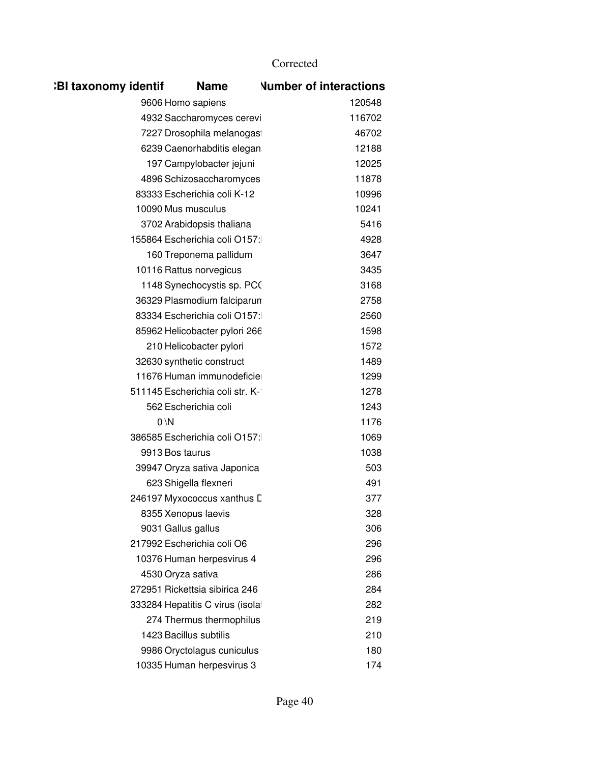| <b>BI taxonomy identif</b> | <b>Name</b>                      | <b>Number of interactions</b> |
|----------------------------|----------------------------------|-------------------------------|
|                            | 9606 Homo sapiens                | 120548                        |
|                            | 4932 Saccharomyces cerevi        | 116702                        |
|                            | 7227 Drosophila melanogas        | 46702                         |
|                            | 6239 Caenorhabditis elegan       | 12188                         |
|                            | 197 Campylobacter jejuni         | 12025                         |
|                            | 4896 Schizosaccharomyces         | 11878                         |
|                            | 83333 Escherichia coli K-12      | 10996                         |
|                            | 10090 Mus musculus               | 10241                         |
|                            | 3702 Arabidopsis thaliana        | 5416                          |
|                            | 155864 Escherichia coli O157:    | 4928                          |
|                            | 160 Treponema pallidum           | 3647                          |
|                            | 10116 Rattus norvegicus          | 3435                          |
|                            | 1148 Synechocystis sp. PCO       | 3168                          |
|                            | 36329 Plasmodium falciparun      | 2758                          |
|                            | 83334 Escherichia coli O157:     | 2560                          |
|                            | 85962 Helicobacter pylori 266    | 1598                          |
|                            | 210 Helicobacter pylori          | 1572                          |
|                            | 32630 synthetic construct        | 1489                          |
|                            | 11676 Human immunodeficie        | 1299                          |
|                            | 511145 Escherichia coli str. K-  | 1278                          |
|                            | 562 Escherichia coli             | 1243                          |
|                            | $0 \vee N$                       | 1176                          |
|                            | 386585 Escherichia coli O157:    | 1069                          |
|                            | 9913 Bos taurus                  | 1038                          |
|                            | 39947 Oryza sativa Japonica      | 503                           |
|                            | 623 Shigella flexneri            | 491                           |
|                            | 246197 Myxococcus xanthus D      | 377                           |
|                            | 8355 Xenopus laevis              | 328                           |
|                            | 9031 Gallus gallus               | 306                           |
|                            | 217992 Escherichia coli O6       | 296                           |
|                            | 10376 Human herpesvirus 4        | 296                           |
|                            | 4530 Oryza sativa                | 286                           |
|                            | 272951 Rickettsia sibirica 246   | 284                           |
|                            | 333284 Hepatitis C virus (isolat | 282                           |
|                            | 274 Thermus thermophilus         | 219                           |
|                            | 1423 Bacillus subtilis           | 210                           |
|                            | 9986 Oryctolagus cuniculus       | 180                           |
|                            | 10335 Human herpesvirus 3        | 174                           |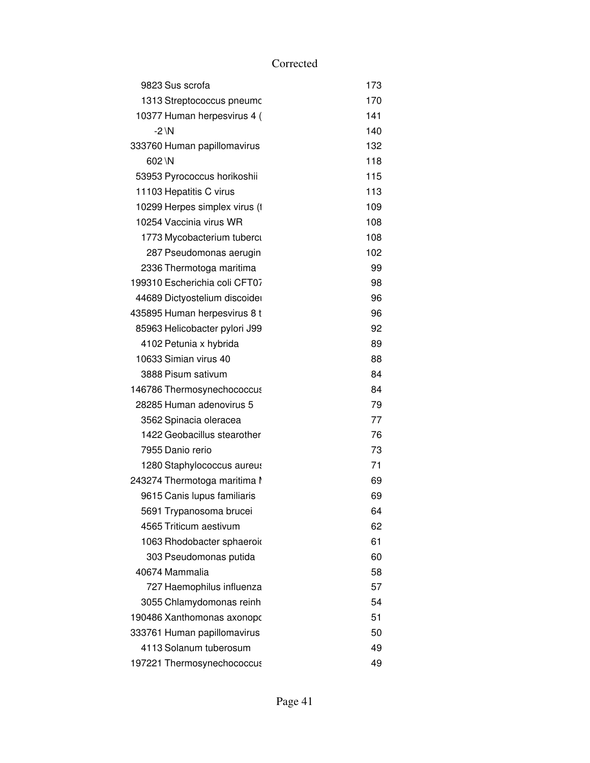|          | 9823 Sus scrofa               | 173 |
|----------|-------------------------------|-----|
|          | 1313 Streptococcus pneumc     | 170 |
|          | 10377 Human herpesvirus 4 (   | 141 |
| $-2 \ N$ |                               | 140 |
|          | 333760 Human papillomavirus   | 132 |
| 602 \N   |                               | 118 |
|          | 53953 Pyrococcus horikoshii   | 115 |
|          | 11103 Hepatitis C virus       | 113 |
|          | 10299 Herpes simplex virus (1 | 109 |
|          | 10254 Vaccinia virus WR       | 108 |
|          | 1773 Mycobacterium tuberci    | 108 |
|          | 287 Pseudomonas aerugin       | 102 |
|          | 2336 Thermotoga maritima      | 99  |
|          | 199310 Escherichia coli CFT07 | 98  |
|          | 44689 Dictyostelium discoider | 96  |
|          | 435895 Human herpesvirus 8 t  | 96  |
|          | 85963 Helicobacter pylori J99 | 92  |
|          | 4102 Petunia x hybrida        | 89  |
|          | 10633 Simian virus 40         | 88  |
|          | 3888 Pisum sativum            | 84  |
|          | 146786 Thermosynechococcus    | 84  |
|          | 28285 Human adenovirus 5      | 79  |
|          | 3562 Spinacia oleracea        | 77  |
|          | 1422 Geobacillus stearother   | 76  |
|          | 7955 Danio rerio              | 73  |
|          | 1280 Staphylococcus aureus    | 71  |
|          | 243274 Thermotoga maritima l  | 69  |
|          | 9615 Canis lupus familiaris   | 69  |
|          | 5691 Trypanosoma brucei       | 64  |
|          | 4565 Triticum aestivum        | 62  |
|          | 1063 Rhodobacter sphaeroid    | 61  |
|          | 303 Pseudomonas putida        | 60  |
|          | 40674 Mammalia                | 58  |
|          | 727 Haemophilus influenza     | 57  |
|          | 3055 Chlamydomonas reinh      | 54  |
|          | 190486 Xanthomonas axonopo    | 51  |
|          | 333761 Human papillomavirus   | 50  |
|          | 4113 Solanum tuberosum        | 49  |
|          | 197221 Thermosynechococcus    | 49  |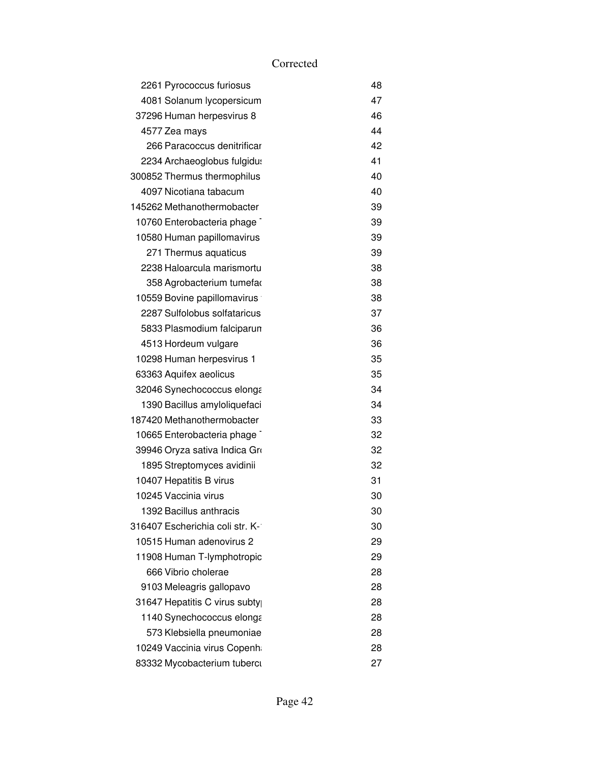| 2261 Pyrococcus furiosus        | 48 |
|---------------------------------|----|
| 4081 Solanum lycopersicum       | 47 |
| 37296 Human herpesvirus 8       | 46 |
| 4577 Zea mays                   | 44 |
| 266 Paracoccus denitrificar     | 42 |
| 2234 Archaeoglobus fulgidu:     | 41 |
| 300852 Thermus thermophilus     | 40 |
| 4097 Nicotiana tabacum          | 40 |
| 145262 Methanothermobacter      | 39 |
| 10760 Enterobacteria phage      | 39 |
| 10580 Human papillomavirus      | 39 |
| 271 Thermus aquaticus           | 39 |
| 2238 Haloarcula marismortu      | 38 |
| 358 Agrobacterium tumefar       | 38 |
| 10559 Bovine papillomavirus     | 38 |
| 2287 Sulfolobus solfataricus    | 37 |
| 5833 Plasmodium falciparun      | 36 |
| 4513 Hordeum vulgare            | 36 |
| 10298 Human herpesvirus 1       | 35 |
| 63363 Aquifex aeolicus          | 35 |
| 32046 Synechococcus elonga      | 34 |
| 1390 Bacillus amyloliquefaci    | 34 |
| 187420 Methanothermobacter      | 33 |
| 10665 Enterobacteria phage      | 32 |
| 39946 Oryza sativa Indica Gro   | 32 |
| 1895 Streptomyces avidinii      | 32 |
| 10407 Hepatitis B virus         | 31 |
| 10245 Vaccinia virus            | 30 |
| 1392 Bacillus anthracis         | 30 |
| 316407 Escherichia coli str. K- | 30 |
| 10515 Human adenovirus 2        | 29 |
| 11908 Human T-lymphotropic      | 29 |
| 666 Vibrio cholerae             | 28 |
| 9103 Meleagris gallopavo        | 28 |
| 31647 Hepatitis C virus subty   | 28 |
| 1140 Synechococcus elonga       | 28 |
| 573 Klebsiella pneumoniae       | 28 |
| 10249 Vaccinia virus Copenh     | 28 |
| 83332 Mycobacterium tuberci     | 27 |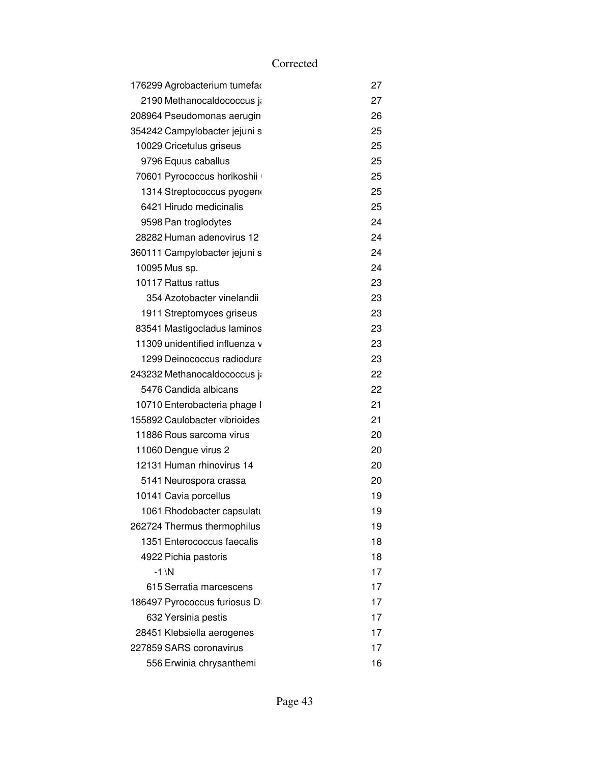| 176299 Agrobacterium tumefar   | 27 |
|--------------------------------|----|
| 2190 Methanocaldococcus ja     | 27 |
| 208964 Pseudomonas aerugin     | 26 |
| 354242 Campylobacter jejuni s  | 25 |
| 10029 Cricetulus griseus       | 25 |
| 9796 Equus caballus            | 25 |
| 70601 Pyrococcus horikoshii    | 25 |
| 1314 Streptococcus pyogen      | 25 |
| 6421 Hirudo medicinalis        | 25 |
| 9598 Pan troglodytes           | 24 |
| 28282 Human adenovirus 12      | 24 |
| 360111 Campylobacter jejuni s  | 24 |
| 10095 Mus sp.                  | 24 |
| 10117 Rattus rattus            | 23 |
| 354 Azotobacter vinelandii     | 23 |
| 1911 Streptomyces griseus      | 23 |
| 83541 Mastigocladus laminos    | 23 |
| 11309 unidentified influenza v | 23 |
| 1299 Deinococcus radiodura     | 23 |
| 243232 Methanocaldococcus ji   | 22 |
| 5476 Candida albicans          | 22 |
| 10710 Enterobacteria phage I   | 21 |
| 155892 Caulobacter vibrioides  | 21 |
| 11886 Rous sarcoma virus       | 20 |
| 11060 Dengue virus 2           | 20 |
| 12131 Human rhinovirus 14      | 20 |
| 5141 Neurospora crassa         | 20 |
| 10141 Cavia porcellus          | 19 |
| 1061 Rhodobacter capsulatu     | 19 |
| 262724 Thermus thermophilus    | 19 |
| 1351 Enterococcus faecalis     | 18 |
| 4922 Pichia pastoris           | 18 |
| $-1 \ N$                       | 17 |
| 615 Serratia marcescens        | 17 |
| 186497 Pyrococcus furiosus D   | 17 |
| 632 Yersinia pestis            | 17 |
| 28451 Klebsiella aerogenes     | 17 |
| 227859 SARS coronavirus        | 17 |
| 556 Erwinia chrysanthemi       | 16 |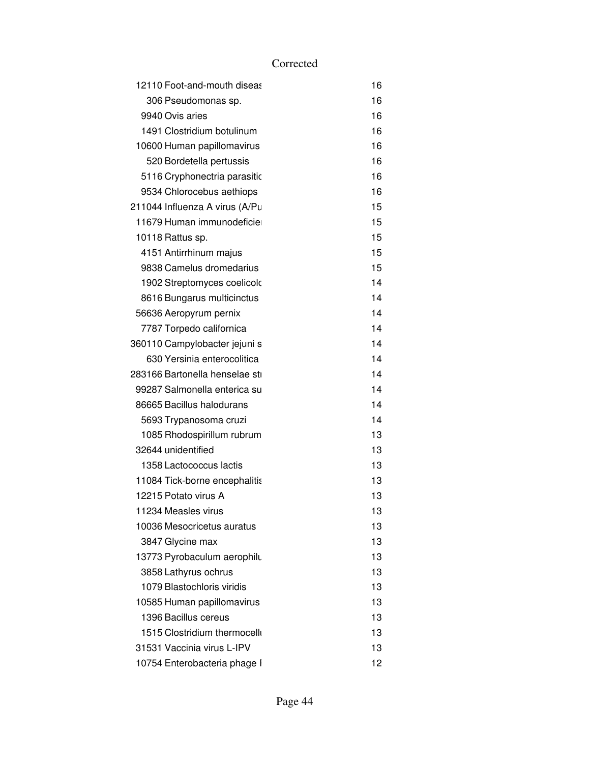| 12110 Foot-and-mouth diseas    | 16 |
|--------------------------------|----|
| 306 Pseudomonas sp.            | 16 |
| 9940 Ovis aries                | 16 |
| 1491 Clostridium botulinum     | 16 |
| 10600 Human papillomavirus     | 16 |
| 520 Bordetella pertussis       | 16 |
| 5116 Cryphonectria parasitic   | 16 |
| 9534 Chlorocebus aethiops      | 16 |
| 211044 Influenza A virus (A/Pu | 15 |
| 11679 Human immunodeficie      | 15 |
| 10118 Rattus sp.               | 15 |
| 4151 Antirrhinum majus         | 15 |
| 9838 Camelus dromedarius       | 15 |
| 1902 Streptomyces coelicolo    | 14 |
| 8616 Bungarus multicinctus     | 14 |
| 56636 Aeropyrum pernix         | 14 |
| 7787 Torpedo californica       | 14 |
| 360110 Campylobacter jejuni s  | 14 |
| 630 Yersinia enterocolitica    | 14 |
| 283166 Bartonella henselae sti | 14 |
| 99287 Salmonella enterica su   | 14 |
| 86665 Bacillus halodurans      | 14 |
| 5693 Trypanosoma cruzi         | 14 |
| 1085 Rhodospirillum rubrum     | 13 |
| 32644 unidentified             | 13 |
| 1358 Lactococcus lactis        | 13 |
| 11084 Tick-borne encephalitis  | 13 |
| 12215 Potato virus A           | 13 |
| 11234 Measles virus            | 13 |
| 10036 Mesocricetus auratus     | 13 |
| 3847 Glycine max               | 13 |
| 13773 Pyrobaculum aerophilu    | 13 |
| 3858 Lathyrus ochrus           | 13 |
| 1079 Blastochloris viridis     | 13 |
| 10585 Human papillomavirus     | 13 |
| 1396 Bacillus cereus           | 13 |
| 1515 Clostridium thermocelli   | 13 |
| 31531 Vaccinia virus L-IPV     | 13 |
| 10754 Enterobacteria phage I   | 12 |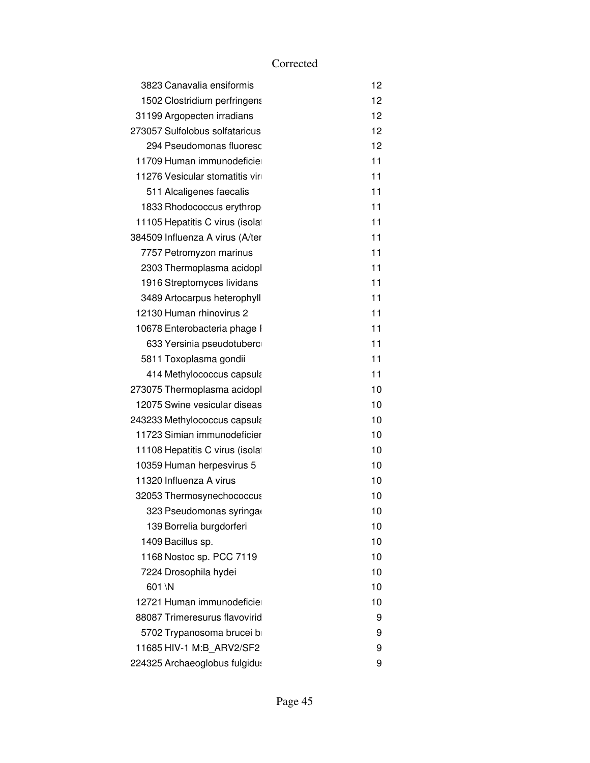| 3823 Canavalia ensiformis                 | 12 |
|-------------------------------------------|----|
| 1502 Clostridium perfringens              | 12 |
| 31199 Argopecten irradians                | 12 |
| 273057 Sulfolobus solfataricus            | 12 |
| 294 Pseudomonas fluoresc                  | 12 |
| 11709 Human immunodeficie                 | 11 |
| 11276 Vesicular stomatitis vir            | 11 |
| 511 Alcaligenes faecalis                  | 11 |
| 1833 Rhodococcus erythrop                 | 11 |
| 11105 Hepatitis C virus (isolat           | 11 |
| 384509 Influenza A virus (A/ter           | 11 |
| 7757 Petromyzon marinus                   | 11 |
| 2303 Thermoplasma acidopl                 | 11 |
| 1916 Streptomyces lividans                | 11 |
| 3489 Artocarpus heterophyll               | 11 |
| 12130 Human rhinovirus 2                  | 11 |
| 10678 Enterobacteria phage I              | 11 |
| 633 Yersinia pseudotuberc                 | 11 |
| 5811 Toxoplasma gondii                    | 11 |
| 414 Methylococcus capsula                 | 11 |
| 273075 Thermoplasma acidopl               | 10 |
| 12075 Swine vesicular diseas              | 10 |
| 243233 Methylococcus capsul $\mathfrak c$ | 10 |
| 11723 Simian immunodeficier               | 10 |
| 11108 Hepatitis C virus (isolat           | 10 |
| 10359 Human herpesvirus 5                 | 10 |
| 11320 Influenza A virus                   | 10 |
| 32053 Thermosynechococcus                 | 10 |
| 323 Pseudomonas syringa                   | 10 |
| 139 Borrelia burgdorferi                  | 10 |
| 1409 Bacillus sp.                         | 10 |
| 1168 Nostoc sp. PCC 7119                  | 10 |
| 7224 Drosophila hydei                     | 10 |
| 601 \N                                    | 10 |
| 12721 Human immunodeficie                 | 10 |
| 88087 Trimeresurus flavovirid             | 9  |
| 5702 Trypanosoma brucei b                 | 9  |
| 11685 HIV-1 M:B ARV2/SF2                  | 9  |
| 224325 Archaeoglobus fulgidu:             | 9  |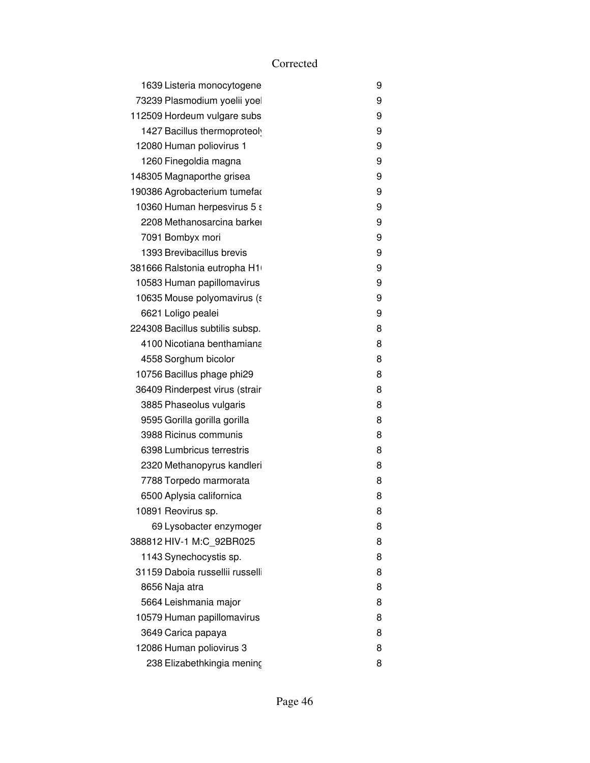| 1639 Listeria monocytogene      | 9 |
|---------------------------------|---|
| 73239 Plasmodium yoelii yoel    | 9 |
| 112509 Hordeum vulgare subs     | 9 |
| 1427 Bacillus thermoproteoly    | 9 |
| 12080 Human poliovirus 1        | 9 |
| 1260 Finegoldia magna           | 9 |
| 148305 Magnaporthe grisea       | 9 |
| 190386 Agrobacterium tumefar    | 9 |
| 10360 Human herpesvirus 5 s     | 9 |
| 2208 Methanosarcina barker      | 9 |
| 7091 Bombyx mori                | 9 |
| 1393 Brevibacillus brevis       | 9 |
| 381666 Ralstonia eutropha H1    | 9 |
| 10583 Human papillomavirus      | 9 |
| 10635 Mouse polyomavirus (s     | 9 |
| 6621 Loligo pealei              | 9 |
| 224308 Bacillus subtilis subsp. | 8 |
| 4100 Nicotiana benthamiana      | 8 |
| 4558 Sorghum bicolor            | 8 |
| 10756 Bacillus phage phi29      | 8 |
| 36409 Rinderpest virus (strair  | 8 |
| 3885 Phaseolus vulgaris         | 8 |
| 9595 Gorilla gorilla gorilla    | 8 |
| 3988 Ricinus communis           | 8 |
| 6398 Lumbricus terrestris       | 8 |
| 2320 Methanopyrus kandleri      | 8 |
| 7788 Torpedo marmorata          | 8 |
| 6500 Aplysia californica        | 8 |
| 10891 Reovirus sp.              | 8 |
| 69 Lysobacter enzymoger         | 8 |
| 388812 HIV-1 M:C_92BR025        | 8 |
| 1143 Synechocystis sp.          | 8 |
| 31159 Daboia russellii russelli | 8 |
| 8656 Naja atra                  | 8 |
| 5664 Leishmania major           | 8 |
| 10579 Human papillomavirus      | 8 |
| 3649 Carica papaya              | 8 |
| 12086 Human poliovirus 3        | 8 |
| 238 Elizabethkingia meninç      | 8 |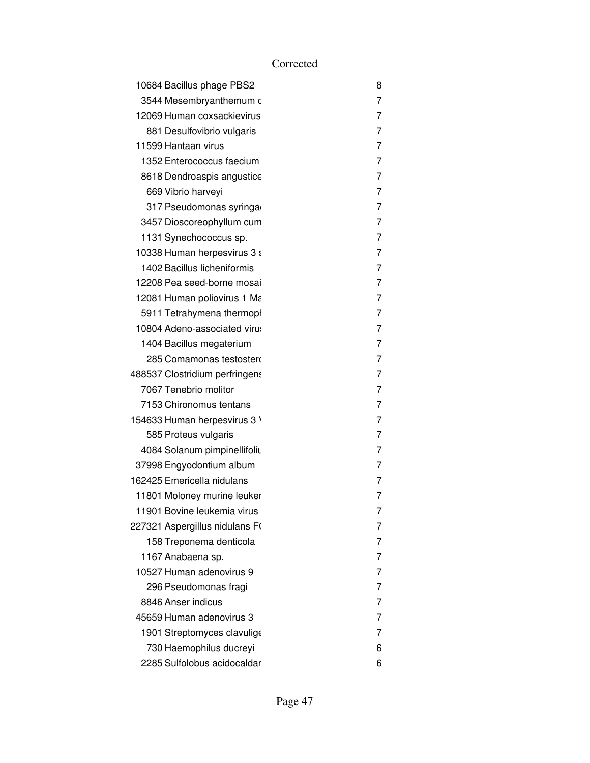| 10684 Bacillus phage PBS2      | 8 |
|--------------------------------|---|
| 3544 Mesembryanthemum c        | 7 |
| 12069 Human coxsackievirus     | 7 |
| 881 Desulfovibrio vulgaris     | 7 |
| 11599 Hantaan virus            | 7 |
| 1352 Enterococcus faecium      | 7 |
| 8618 Dendroaspis angustice     | 7 |
| 669 Vibrio harveyi             | 7 |
| 317 Pseudomonas syringa        | 7 |
| 3457 Dioscoreophyllum cum      | 7 |
| 1131 Synechococcus sp.         | 7 |
| 10338 Human herpesvirus 3 s    | 7 |
| 1402 Bacillus licheniformis    | 7 |
| 12208 Pea seed-borne mosai     | 7 |
| 12081 Human poliovirus 1 Ma    | 7 |
| 5911 Tetrahymena thermopl      | 7 |
| 10804 Adeno-associated virus   | 7 |
| 1404 Bacillus megaterium       | 7 |
| 285 Comamonas testostero       | 7 |
| 488537 Clostridium perfringens | 7 |
| 7067 Tenebrio molitor          | 7 |
| 7153 Chironomus tentans        | 7 |
| 154633 Human herpesvirus 3 \   | 7 |
| 585 Proteus vulgaris           | 7 |
| 4084 Solanum pimpinellifoliu   | 7 |
| 37998 Engyodontium album       | 7 |
| 162425 Emericella nidulans     | 7 |
| 11801 Moloney murine leuker    | 7 |
| 11901 Bovine leukemia virus    | 7 |
| 227321 Aspergillus nidulans F( | 7 |
| 158 Treponema denticola        | 7 |
| 1167 Anabaena sp.              | 7 |
| 10527 Human adenovirus 9       | 7 |
| 296 Pseudomonas fragi          | 7 |
| 8846 Anser indicus             | 7 |
| 45659 Human adenovirus 3       | 7 |
| 1901 Streptomyces clavulige    | 7 |
| 730 Haemophilus ducreyi        | 6 |
| 2285 Sulfolobus acidocaldar    | 6 |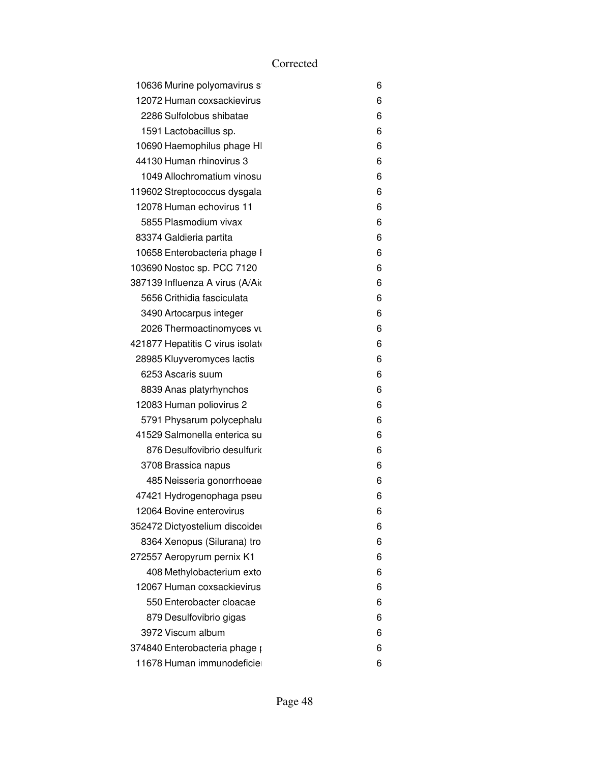| 10636 Murine polyomavirus s      | 6 |
|----------------------------------|---|
| 12072 Human coxsackievirus       | 6 |
| 2286 Sulfolobus shibatae         | 6 |
| 1591 Lactobacillus sp.           | 6 |
| 10690 Haemophilus phage HI       | 6 |
| 44130 Human rhinovirus 3         | 6 |
| 1049 Allochromatium vinosu       | 6 |
| 119602 Streptococcus dysgala     | 6 |
| 12078 Human echovirus 11         | 6 |
| 5855 Plasmodium vivax            | 6 |
| 83374 Galdieria partita          | 6 |
| 10658 Enterobacteria phage I     | 6 |
| 103690 Nostoc sp. PCC 7120       | 6 |
| 387139 Influenza A virus (A/Aio  | 6 |
| 5656 Crithidia fasciculata       | 6 |
| 3490 Artocarpus integer          | 6 |
| 2026 Thermoactinomyces vu        | 6 |
| 421877 Hepatitis C virus isolato | 6 |
| 28985 Kluyveromyces lactis       | 6 |
| 6253 Ascaris suum                | 6 |
| 8839 Anas platyrhynchos          | 6 |
| 12083 Human poliovirus 2         | 6 |
| 5791 Physarum polycephalu        | 6 |
| 41529 Salmonella enterica su     | 6 |
| 876 Desulfovibrio desulfurio     | 6 |
| 3708 Brassica napus              | 6 |
| 485 Neisseria gonorrhoeae        | 6 |
| 47421 Hydrogenophaga pseu        | 6 |
| 12064 Bovine enterovirus         | 6 |
| 352472 Dictyostelium discoider   | 6 |
| 8364 Xenopus (Silurana) tro      | 6 |
| 272557 Aeropyrum pernix K1       | 6 |
| 408 Methylobacterium exto        | 6 |
| 12067 Human coxsackievirus       | 6 |
| 550 Enterobacter cloacae         | 6 |
| 879 Desulfovibrio gigas          | 6 |
| 3972 Viscum album                | 6 |
| 374840 Enterobacteria phage p    | 6 |
| 11678 Human immunodeficie        | 6 |
|                                  |   |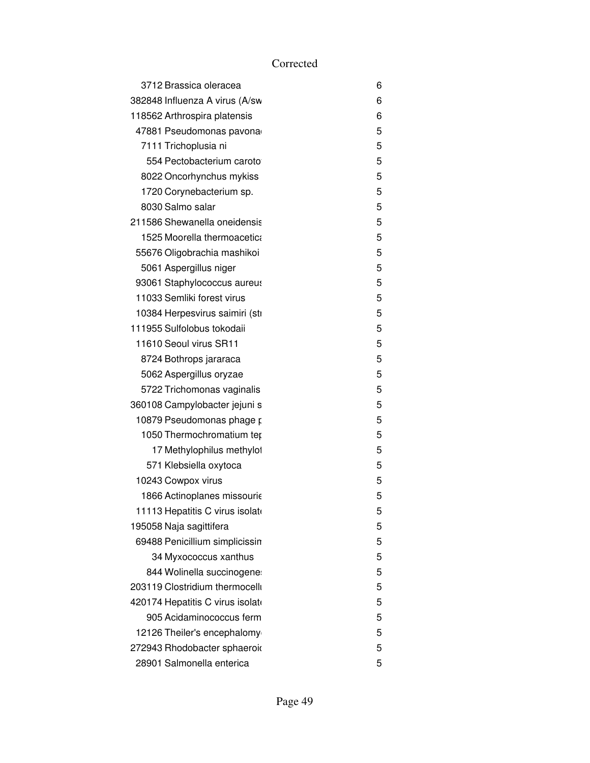| 3712 Brassica oleracea           | 6 |
|----------------------------------|---|
| 382848 Influenza A virus (A/sw   | 6 |
| 118562 Arthrospira platensis     | 6 |
| 47881 Pseudomonas pavona         | 5 |
| 7111 Trichoplusia ni             | 5 |
| 554 Pectobacterium caroto        | 5 |
| 8022 Oncorhynchus mykiss         | 5 |
| 1720 Corynebacterium sp.         | 5 |
| 8030 Salmo salar                 | 5 |
| 211586 Shewanella oneidensis     | 5 |
| 1525 Moorella thermoacetica      | 5 |
| 55676 Oligobrachia mashikoi      | 5 |
| 5061 Aspergillus niger           | 5 |
| 93061 Staphylococcus aureus      | 5 |
| 11033 Semliki forest virus       | 5 |
| 10384 Herpesvirus saimiri (sti   | 5 |
| 111955 Sulfolobus tokodaii       | 5 |
| 11610 Seoul virus SR11           | 5 |
| 8724 Bothrops jararaca           | 5 |
| 5062 Aspergillus oryzae          | 5 |
| 5722 Trichomonas vaginalis       | 5 |
| 360108 Campylobacter jejuni s    | 5 |
| 10879 Pseudomonas phage p        | 5 |
| 1050 Thermochromatium ter        | 5 |
| 17 Methylophilus methylol        | 5 |
| 571 Klebsiella oxytoca           | 5 |
| 10243 Cowpox virus               | 5 |
| 1866 Actinoplanes missourie      | 5 |
| 11113 Hepatitis C virus isolate  | 5 |
| 195058 Naja sagittifera          | 5 |
| 69488 Penicillium simplicissin   | 5 |
| 34 Myxococcus xanthus            | 5 |
| 844 Wolinella succinogene        | 5 |
| 203119 Clostridium thermocelli   | 5 |
| 420174 Hepatitis C virus isolate | 5 |
| 905 Acidaminococcus ferm         | 5 |
| 12126 Theiler's encephalomy      | 5 |
| 272943 Rhodobacter sphaeroid     | 5 |
| 28901 Salmonella enterica        | 5 |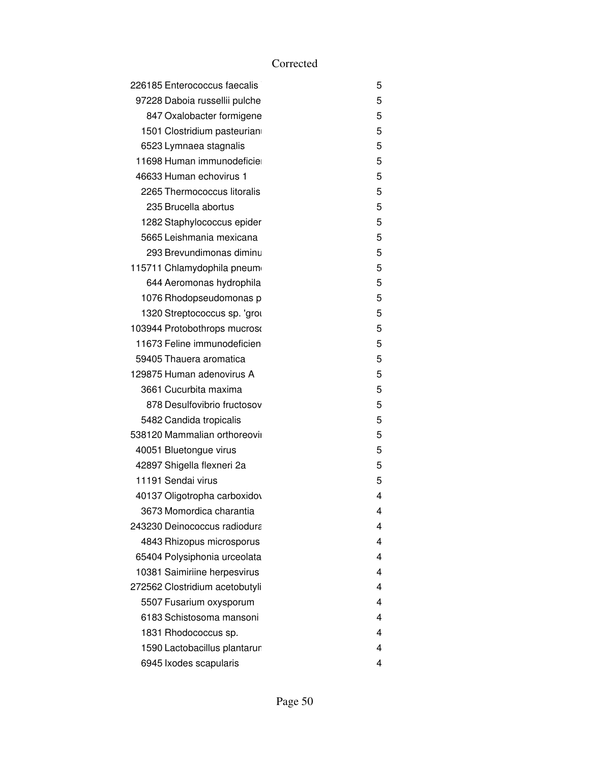| 226185 Enterococcus faecalis   | 5 |
|--------------------------------|---|
| 97228 Daboia russellii pulche  | 5 |
| 847 Oxalobacter formigene      | 5 |
| 1501 Clostridium pasteurian    | 5 |
| 6523 Lymnaea stagnalis         | 5 |
| 11698 Human immunodeficie      | 5 |
| 46633 Human echovirus 1        | 5 |
| 2265 Thermococcus litoralis    | 5 |
| 235 Brucella abortus           | 5 |
| 1282 Staphylococcus epider     | 5 |
| 5665 Leishmania mexicana       | 5 |
| 293 Brevundimonas diminu       | 5 |
| 115711 Chlamydophila pneum     | 5 |
| 644 Aeromonas hydrophila       | 5 |
| 1076 Rhodopseudomonas p        | 5 |
| 1320 Streptococcus sp. 'gror   | 5 |
| 103944 Protobothrops mucroso   | 5 |
| 11673 Feline immunodeficien    | 5 |
| 59405 Thauera aromatica        | 5 |
| 129875 Human adenovirus A      | 5 |
| 3661 Cucurbita maxima          | 5 |
| 878 Desulfovibrio fructosov    | 5 |
| 5482 Candida tropicalis        | 5 |
| 538120 Mammalian orthoreovii   | 5 |
| 40051 Bluetongue virus         | 5 |
| 42897 Shigella flexneri 2a     | 5 |
| 11191 Sendai virus             | 5 |
| 40137 Oligotropha carboxidov   | 4 |
| 3673 Momordica charantia       | 4 |
| 243230 Deinococcus radiodura   | 4 |
| 4843 Rhizopus microsporus      | 4 |
| 65404 Polysiphonia urceolata   | 4 |
| 10381 Saimiriine herpesvirus   | 4 |
| 272562 Clostridium acetobutyli | 4 |
| 5507 Fusarium oxysporum        | 4 |
| 6183 Schistosoma mansoni       | 4 |
| 1831 Rhodococcus sp.           | 4 |
| 1590 Lactobacillus plantarur   | 4 |
| 6945 Ixodes scapularis         | 4 |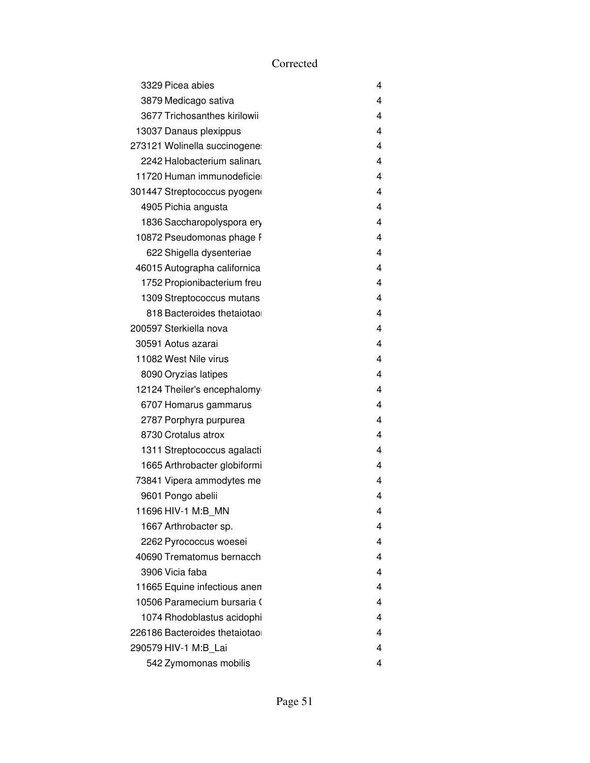| 3329 Picea abies              | 4                       |
|-------------------------------|-------------------------|
| 3879 Medicago sativa          | 4                       |
| 3677 Trichosanthes kirilowii  | 4                       |
| 13037 Danaus plexippus        | 4                       |
| 273121 Wolinella succinogene  | 4                       |
| 2242 Halobacterium salinaru   | 4                       |
| 11720 Human immunodeficie     | 4                       |
| 301447 Streptococcus pyogen   | 4                       |
| 4905 Pichia angusta           | 4                       |
| 1836 Saccharopolyspora ery    | 4                       |
| 10872 Pseudomonas phage F     | 4                       |
| 622 Shigella dysenteriae      | 4                       |
| 46015 Autographa californica  | 4                       |
| 1752 Propionibacterium freu   | 4                       |
| 1309 Streptococcus mutans     | 4                       |
| 818 Bacteroides thetaiotao    | 4                       |
| 200597 Sterkiella nova        | 4                       |
| 30591 Aotus azarai            | 4                       |
| 11082 West Nile virus         | 4                       |
| 8090 Oryzias latipes          | 4                       |
| 12124 Theiler's encephalomy   | 4                       |
| 6707 Homarus gammarus         | 4                       |
| 2787 Porphyra purpurea        | 4                       |
| 8730 Crotalus atrox           | 4                       |
| 1311 Streptococcus agalacti   | 4                       |
| 1665 Arthrobacter globiformi  | 4                       |
| 73841 Vipera ammodytes me     | 4                       |
| 9601 Pongo abelii             | 4                       |
| 11696 HIV-1 M:B MN            | 4                       |
| 1667 Arthrobacter sp.         | 4                       |
| 2262 Pyrococcus woesei        | 4                       |
| 40690 Trematomus bernacch     | 4                       |
| 3906 Vicia faba               | 4                       |
| 11665 Equine infectious anen  | 4                       |
| 10506 Paramecium bursaria (   | 4                       |
| 1074 Rhodoblastus acidophi    | $\overline{\mathbf{4}}$ |
| 226186 Bacteroides thetaiotao | 4                       |
| 290579 HIV-1 M:B_Lai          | 4                       |
| 542 Zymomonas mobilis         | 4                       |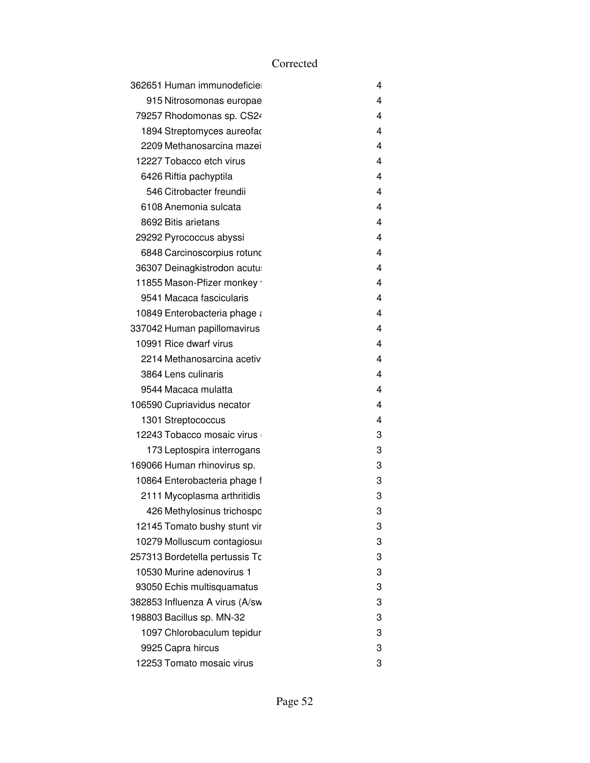| 362651 Human immunodeficie     | 4 |
|--------------------------------|---|
| 915 Nitrosomonas europae       | 4 |
| 79257 Rhodomonas sp. CS24      | 4 |
| 1894 Streptomyces aureofac     | 4 |
| 2209 Methanosarcina mazei      | 4 |
| 12227 Tobacco etch virus       | 4 |
| 6426 Riftia pachyptila         | 4 |
| 546 Citrobacter freundii       | 4 |
| 6108 Anemonia sulcata          | 4 |
| 8692 Bitis arietans            | 4 |
| 29292 Pyrococcus abyssi        | 4 |
| 6848 Carcinoscorpius rotuno    | 4 |
| 36307 Deinagkistrodon acutu    | 4 |
| 11855 Mason-Pfizer monkey      | 4 |
| 9541 Macaca fascicularis       | 4 |
| 10849 Enterobacteria phage a   | 4 |
| 337042 Human papillomavirus    | 4 |
| 10991 Rice dwarf virus         | 4 |
| 2214 Methanosarcina acetiv     | 4 |
| 3864 Lens culinaris            | 4 |
| 9544 Macaca mulatta            | 4 |
| 106590 Cupriavidus necator     | 4 |
| 1301 Streptococcus             | 4 |
| 12243 Tobacco mosaic virus     | 3 |
| 173 Leptospira interrogans     | 3 |
| 169066 Human rhinovirus sp.    | 3 |
| 10864 Enterobacteria phage f   | 3 |
| 2111 Mycoplasma arthritidis    | 3 |
| 426 Methylosinus trichospo     | 3 |
| 12145 Tomato bushy stunt vir   | 3 |
| 10279 Molluscum contagiosui    | 3 |
| 257313 Bordetella pertussis To | 3 |
| 10530 Murine adenovirus 1      | 3 |
| 93050 Echis multisquamatus     | 3 |
| 382853 Influenza A virus (A/sw | 3 |
| 198803 Bacillus sp. MN-32      | 3 |
| 1097 Chlorobaculum tepidur     | 3 |
| 9925 Capra hircus              | 3 |
| 12253 Tomato mosaic virus      | 3 |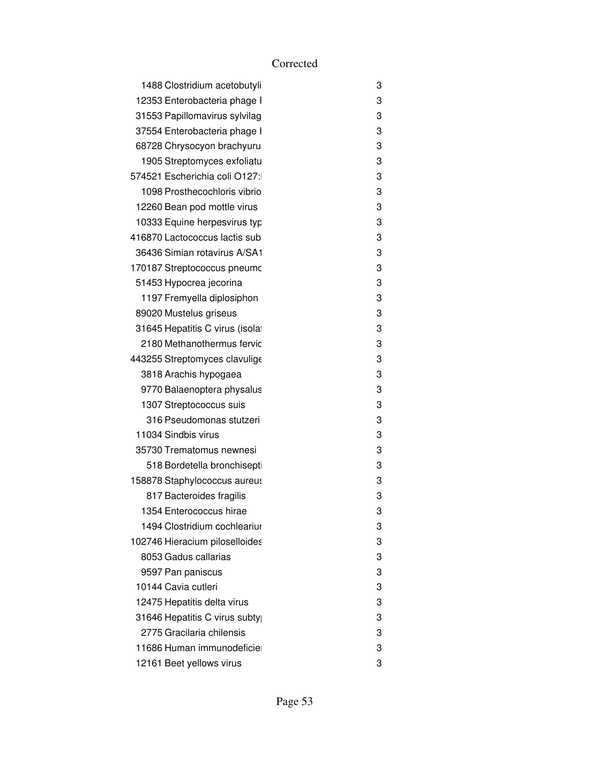| 1488 Clostridium acetobutyli    | 3 |
|---------------------------------|---|
| 12353 Enterobacteria phage I    | 3 |
| 31553 Papillomavirus sylvilag   | 3 |
| 37554 Enterobacteria phage I    | 3 |
| 68728 Chrysocyon brachyuru      | 3 |
| 1905 Streptomyces exfoliatu     | 3 |
| 574521 Escherichia coli O127:   | 3 |
| 1098 Prosthecochloris vibrio    | 3 |
| 12260 Bean pod mottle virus     | 3 |
| 10333 Equine herpesvirus typ    | 3 |
| 416870 Lactococcus lactis sub   | 3 |
| 36436 Simian rotavirus A/SA1    | 3 |
| 170187 Streptococcus pneumc     | 3 |
| 51453 Hypocrea jecorina         | 3 |
| 1197 Fremyella diplosiphon      | 3 |
| 89020 Mustelus griseus          | 3 |
| 31645 Hepatitis C virus (isolat | 3 |
| 2180 Methanothermus fervic      | 3 |
| 443255 Streptomyces clavulige   | 3 |
| 3818 Arachis hypogaea           | 3 |
| 9770 Balaenoptera physalus      | 3 |
| 1307 Streptococcus suis         | 3 |
| 316 Pseudomonas stutzeri        | 3 |
| 11034 Sindbis virus             | 3 |
| 35730 Trematomus newnesi        | 3 |
| 518 Bordetella bronchisepti     | 3 |
| 158878 Staphylococcus aureus    | 3 |
| 817 Bacteroides fragilis        | 3 |
| 1354 Enterococcus hirae         | 3 |
| 1494 Clostridium cochleariur    | 3 |
| 102746 Hieracium piloselloides  | 3 |
| 8053 Gadus callarias            | 3 |
| 9597 Pan paniscus               | 3 |
| 10144 Cavia cutleri             | 3 |
| 12475 Hepatitis delta virus     | 3 |
| 31646 Hepatitis C virus subty   | 3 |
| 2775 Gracilaria chilensis       | 3 |
| 11686 Human immunodeficie       | 3 |
| 12161 Beet yellows virus        | 3 |
|                                 |   |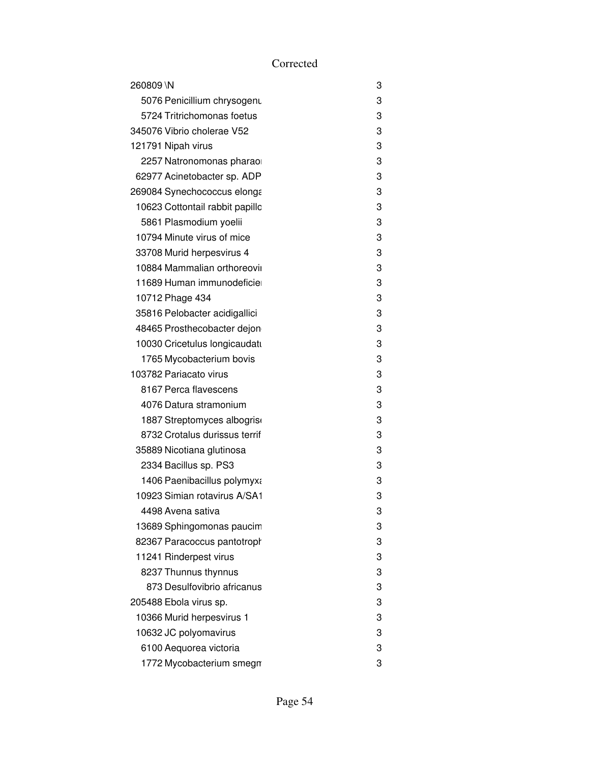| 260809 \N                       | 3 |
|---------------------------------|---|
| 5076 Penicillium chrysogenu     | 3 |
| 5724 Tritrichomonas foetus      | 3 |
| 345076 Vibrio cholerae V52      | 3 |
| 121791 Nipah virus              | 3 |
| 2257 Natronomonas pharao        | 3 |
| 62977 Acinetobacter sp. ADP     | 3 |
| 269084 Synechococcus elonga     | 3 |
| 10623 Cottontail rabbit papillc | 3 |
| 5861 Plasmodium yoelii          | 3 |
| 10794 Minute virus of mice      | 3 |
| 33708 Murid herpesvirus 4       | 3 |
| 10884 Mammalian orthoreovii     | 3 |
| 11689 Human immunodeficie       | 3 |
| 10712 Phage 434                 | 3 |
| 35816 Pelobacter acidigallici   | 3 |
| 48465 Prosthecobacter dejon     | 3 |
| 10030 Cricetulus longicaudatı   | 3 |
| 1765 Mycobacterium bovis        | 3 |
| 103782 Pariacato virus          | 3 |
| 8167 Perca flavescens           | 3 |
| 4076 Datura stramonium          | 3 |
| 1887 Streptomyces albogrise     | 3 |
| 8732 Crotalus durissus terrif   | 3 |
| 35889 Nicotiana glutinosa       | 3 |
| 2334 Bacillus sp. PS3           | 3 |
| 1406 Paenibacillus polymyxa     | 3 |
| 10923 Simian rotavirus A/SA1    | 3 |
| 4498 Avena sativa               | 3 |
| 13689 Sphingomonas paucim       | 3 |
| 82367 Paracoccus pantotroph     | 3 |
| 11241 Rinderpest virus          | 3 |
| 8237 Thunnus thynnus            | 3 |
| 873 Desulfovibrio africanus     | 3 |
| 205488 Ebola virus sp.          | 3 |
| 10366 Murid herpesvirus 1       | 3 |
| 10632 JC polyomavirus           | 3 |
| 6100 Aequorea victoria          | 3 |
| 1772 Mycobacterium smegn        | 3 |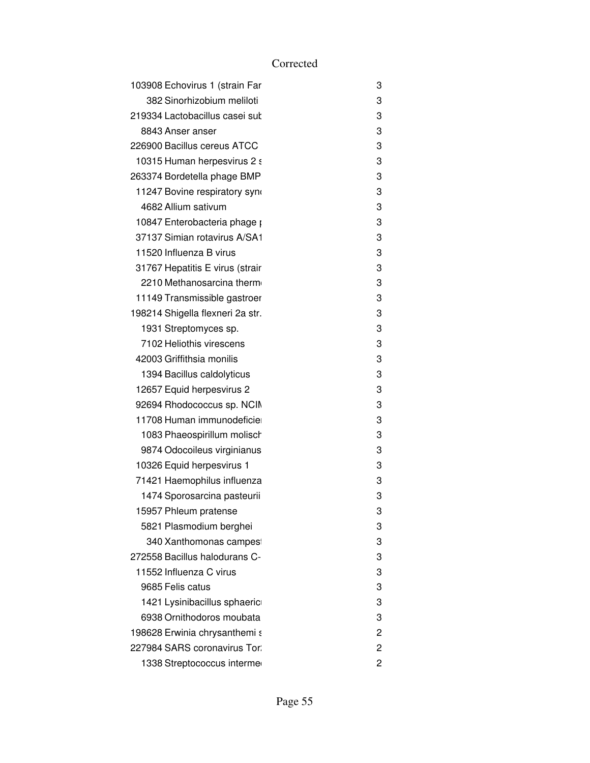| 3 |
|---|
| 3 |
| 3 |
| 3 |
| 3 |
| 3 |
| 3 |
| 3 |
| 3 |
| 3 |
| 3 |
| 3 |
| 3 |
| 3 |
| 3 |
| 3 |
| 3 |
| 3 |
| 3 |
| 3 |
| 3 |
| 3 |
| 3 |
| 3 |
| 3 |
| 3 |
| 3 |
| 3 |
| 3 |
| 3 |
| 3 |
| 3 |
| 3 |
| 3 |
| 3 |
| 3 |
| 2 |
| 2 |
| 2 |
|   |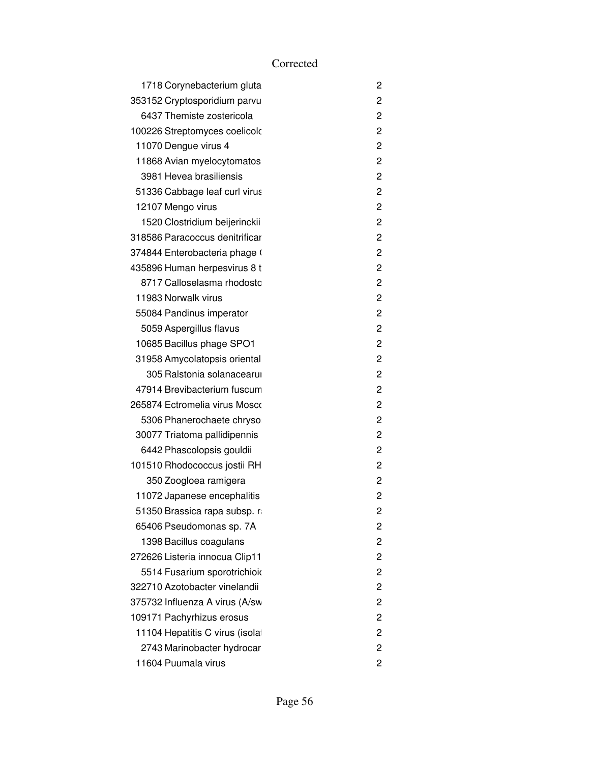| 1718 Corynebacterium gluta      | 2 |
|---------------------------------|---|
| 353152 Cryptosporidium parvu    | 2 |
| 6437 Themiste zostericola       | 2 |
| 100226 Streptomyces coelicolo   | 2 |
| 11070 Dengue virus 4            | 2 |
| 11868 Avian myelocytomatos      | 2 |
| 3981 Hevea brasiliensis         | 2 |
| 51336 Cabbage leaf curl virus   | 2 |
| 12107 Mengo virus               | 2 |
| 1520 Clostridium beijerinckii   | 2 |
| 318586 Paracoccus denitrificar  | 2 |
| 374844 Enterobacteria phage (   | 2 |
| 435896 Human herpesvirus 8 t    | 2 |
| 8717 Calloselasma rhodostc      | 2 |
| 11983 Norwalk virus             | 2 |
| 55084 Pandinus imperator        | 2 |
| 5059 Aspergillus flavus         | 2 |
| 10685 Bacillus phage SPO1       | 2 |
| 31958 Amycolatopsis oriental    | 2 |
| 305 Ralstonia solanacearul      | 2 |
| 47914 Brevibacterium fuscum     | 2 |
| 265874 Ectromelia virus Mosco   | 2 |
| 5306 Phanerochaete chryso       | 2 |
| 30077 Triatoma pallidipennis    | 2 |
| 6442 Phascolopsis gouldii       | 2 |
| 101510 Rhodococcus jostii RH    | 2 |
| 350 Zoogloea ramigera           | 2 |
| 11072 Japanese encephalitis     | 2 |
| 51350 Brassica rapa subsp. r    | 2 |
| 65406 Pseudomonas sp. 7A        | 2 |
| 1398 Bacillus coagulans         | 2 |
| 272626 Listeria innocua Clip11  | 2 |
| 5514 Fusarium sporotrichioid    | 2 |
| 322710 Azotobacter vinelandii   | 2 |
| 375732 Influenza A virus (A/sw  | 2 |
| 109171 Pachyrhizus erosus       | 2 |
| 11104 Hepatitis C virus (isolat | 2 |
| 2743 Marinobacter hydrocar      | 2 |
| 11604 Puumala virus             | 2 |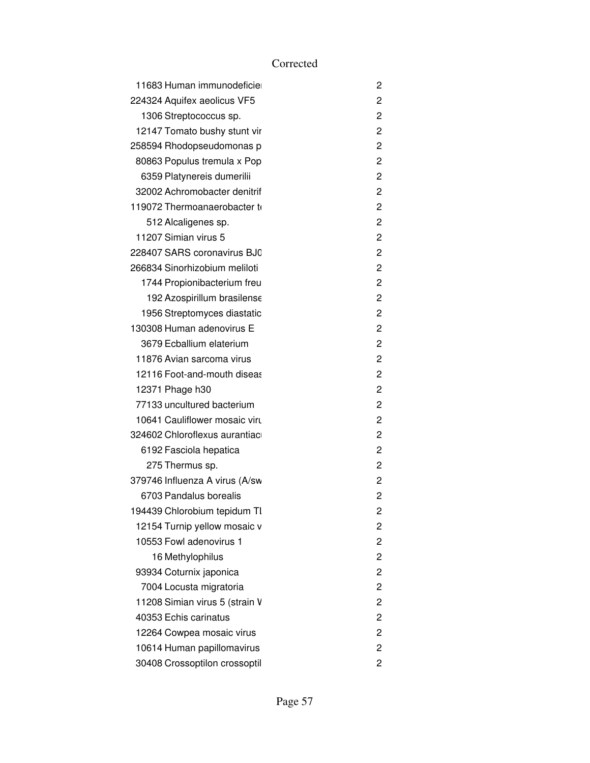| 11683 Human immunodeficie      | 2              |
|--------------------------------|----------------|
| 224324 Aquifex aeolicus VF5    | 2              |
| 1306 Streptococcus sp.         | 2              |
| 12147 Tomato bushy stunt vir   | 2              |
| 258594 Rhodopseudomonas p      | 2              |
| 80863 Populus tremula x Pop    | 2              |
| 6359 Platynereis dumerilii     | 2              |
| 32002 Achromobacter denitrif   | 2              |
| 119072 Thermoanaerobacter to   | 2              |
| 512 Alcaligenes sp.            | 2              |
| 11207 Simian virus 5           | 2              |
| 228407 SARS coronavirus BJ0    | 2              |
| 266834 Sinorhizobium meliloti  | 2              |
| 1744 Propionibacterium freu    | 2              |
| 192 Azospirillum brasilense    | 2              |
| 1956 Streptomyces diastatic    | 2              |
| 130308 Human adenovirus E      | 2              |
| 3679 Ecballium elaterium       | 2              |
| 11876 Avian sarcoma virus      | 2              |
| 12116 Foot-and-mouth diseas    | 2              |
| 12371 Phage h30                | 2              |
| 77133 uncultured bacterium     | 2              |
| 10641 Cauliflower mosaic viru  | 2              |
| 324602 Chloroflexus aurantiac  | 2              |
| 6192 Fasciola hepatica         | 2              |
| 275 Thermus sp.                | 2              |
| 379746 Influenza A virus (A/sw | 2              |
| 6703 Pandalus borealis         | 2              |
| 194439 Chlorobium tepidum TI   | $\overline{c}$ |
| 12154 Turnip yellow mosaic v   | 2              |
| 10553 Fowl adenovirus 1        | 2              |
| 16 Methylophilus               | 2              |
| 93934 Coturnix japonica        | 2              |
| 7004 Locusta migratoria        | 2              |
| 11208 Simian virus 5 (strain V | 2              |
| 40353 Echis carinatus          | 2              |
| 12264 Cowpea mosaic virus      | 2              |
| 10614 Human papillomavirus     | 2              |
| 30408 Crossoptilon crossoptil  | 2              |
|                                |                |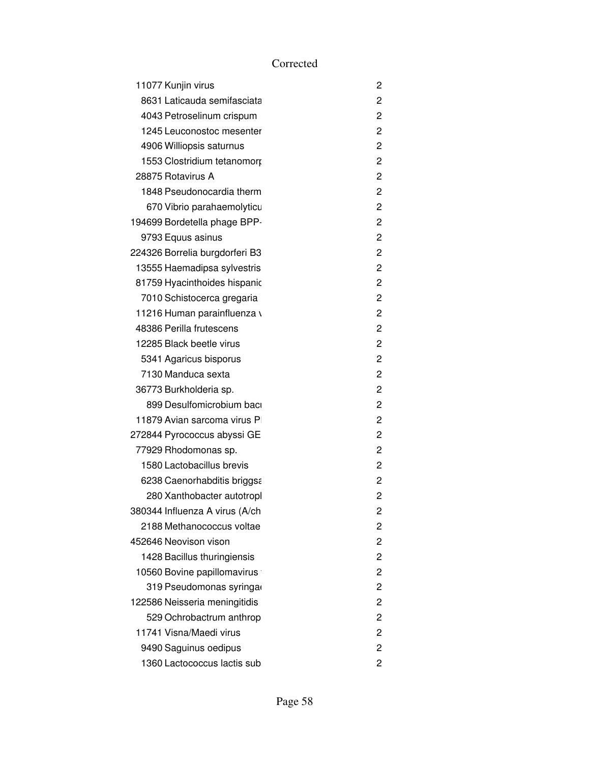| 11077 Kunjin virus             | 2              |
|--------------------------------|----------------|
| 8631 Laticauda semifasciata    | $\overline{c}$ |
| 4043 Petroselinum crispum      | $\overline{c}$ |
| 1245 Leuconostoc mesenter      | 2              |
| 4906 Williopsis saturnus       | $\overline{c}$ |
| 1553 Clostridium tetanomorp    | $\overline{c}$ |
| 28875 Rotavirus A              | $\overline{2}$ |
| 1848 Pseudonocardia therm      | 2              |
| 670 Vibrio parahaemolyticu     | 2              |
| 194699 Bordetella phage BPP-   | $\overline{c}$ |
| 9793 Equus asinus              | 2              |
| 224326 Borrelia burgdorferi B3 | $\overline{c}$ |
| 13555 Haemadipsa sylvestris    | $\overline{c}$ |
| 81759 Hyacinthoides hispanic   | $\overline{c}$ |
| 7010 Schistocerca gregaria     | $\overline{c}$ |
| 11216 Human parainfluenza v    | $\overline{c}$ |
| 48386 Perilla frutescens       | $\overline{c}$ |
| 12285 Black beetle virus       | $\overline{c}$ |
| 5341 Agaricus bisporus         | $\overline{c}$ |
| 7130 Manduca sexta             | $\overline{c}$ |
| 36773 Burkholderia sp.         | $\overline{c}$ |
| 899 Desulfomicrobium bacı      | $\overline{c}$ |
| 11879 Avian sarcoma virus P    | $\overline{c}$ |
| 272844 Pyrococcus abyssi GE    | $\overline{c}$ |
| 77929 Rhodomonas sp.           | $\overline{c}$ |
| 1580 Lactobacillus brevis      | 2              |
| 6238 Caenorhabditis briggsa    | $\overline{c}$ |
| 280 Xanthobacter autotropl     | 2              |
| 380344 Influenza A virus (A/ch | 2              |
| 2188 Methanococcus voltae      | 2              |
| 452646 Neovison vison          | $\overline{c}$ |
| 1428 Bacillus thuringiensis    | $\overline{c}$ |
| 10560 Bovine papillomavirus    | $\overline{c}$ |
| 319 Pseudomonas syringa        | $\overline{c}$ |
| 122586 Neisseria meningitidis  | $\overline{c}$ |
| 529 Ochrobactrum anthrop       | $\overline{c}$ |
| 11741 Visna/Maedi virus        | $\overline{c}$ |
| 9490 Saguinus oedipus          | 2              |
| 1360 Lactococcus lactis sub    | 2              |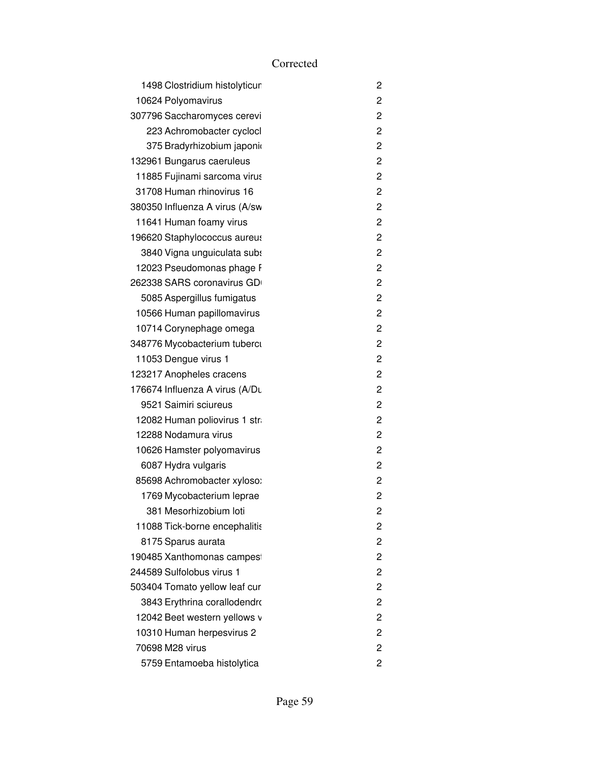| 1498 Clostridium histolyticur  | 2              |
|--------------------------------|----------------|
| 10624 Polyomavirus             | 2              |
| 307796 Saccharomyces cerevi    | 2              |
| 223 Achromobacter cyclocl      | $\overline{2}$ |
| 375 Bradyrhizobium japonio     | 2              |
| 132961 Bungarus caeruleus      | $\overline{2}$ |
| 11885 Fujinami sarcoma virus   | 2              |
| 31708 Human rhinovirus 16      | 2              |
| 380350 Influenza A virus (A/sw | $\overline{2}$ |
| 11641 Human foamy virus        | 2              |
| 196620 Staphylococcus aureus   | 2              |
| 3840 Vigna unguiculata subs    | $\overline{2}$ |
| 12023 Pseudomonas phage F      | $\overline{c}$ |
| 262338 SARS coronavirus GD     | 2              |
| 5085 Aspergillus fumigatus     | $\overline{2}$ |
| 10566 Human papillomavirus     | 2              |
| 10714 Corynephage omega        | $\overline{2}$ |
| 348776 Mycobacterium tuberci   | 2              |
| 11053 Dengue virus 1           | 2              |
| 123217 Anopheles cracens       | $\overline{c}$ |
| 176674 Influenza A virus (A/Du | 2              |
| 9521 Saimiri sciureus          | 2              |
| 12082 Human poliovirus 1 str   | $\overline{2}$ |
| 12288 Nodamura virus           | 2              |
| 10626 Hamster polyomavirus     | $\overline{2}$ |
| 6087 Hydra vulgaris            | 2              |
| 85698 Achromobacter xyloso:    | 2              |
| 1769 Mycobacterium leprae      | $\overline{2}$ |
| 381 Mesorhizobium loti         | 2              |
| 11088 Tick-borne encephalitis  | 2              |
| 8175 Sparus aurata             | 2              |
| 190485 Xanthomonas campes      | 2              |
| 244589 Sulfolobus virus 1      | $\overline{2}$ |
| 503404 Tomato yellow leaf cur  | $\overline{2}$ |
| 3843 Erythrina corallodendro   | 2              |
| 12042 Beet western yellows v   | 2              |
| 10310 Human herpesvirus 2      | 2              |
| 70698 M28 virus                | 2              |
| 5759 Entamoeba histolytica     | 2              |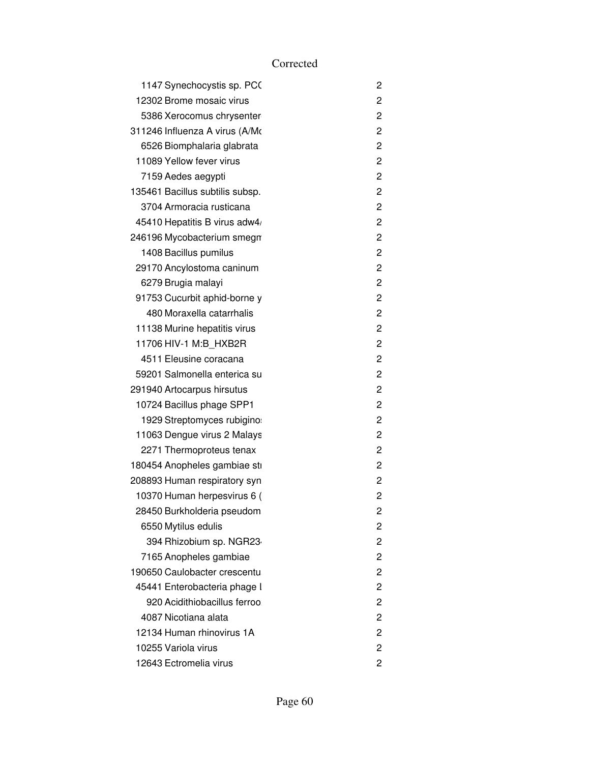| 1147 Synechocystis sp. PCO      | 2              |
|---------------------------------|----------------|
| 12302 Brome mosaic virus        | 2              |
| 5386 Xerocomus chrysenter       | 2              |
| 311246 Influenza A virus (A/Mo  | 2              |
| 6526 Biomphalaria glabrata      | 2              |
| 11089 Yellow fever virus        | $\overline{c}$ |
| 7159 Aedes aegypti              | $\overline{c}$ |
| 135461 Bacillus subtilis subsp. | 2              |
| 3704 Armoracia rusticana        | 2              |
| 45410 Hepatitis B virus adw4/   | $\overline{c}$ |
| 246196 Mycobacterium smegn      | 2              |
| 1408 Bacillus pumilus           | 2              |
| 29170 Ancylostoma caninum       | 2              |
| 6279 Brugia malayi              | $\mathbf{2}$   |
| 91753 Cucurbit aphid-borne y    | 2              |
| 480 Moraxella catarrhalis       | 2              |
| 11138 Murine hepatitis virus    | 2              |
| 11706 HIV-1 M:B_HXB2R           | 2              |
| 4511 Eleusine coracana          | 2              |
| 59201 Salmonella enterica su    | 2              |
| 291940 Artocarpus hirsutus      | 2              |
| 10724 Bacillus phage SPP1       | $\overline{c}$ |
| 1929 Streptomyces rubigino      | 2              |
| 11063 Dengue virus 2 Malays     | 2              |
| 2271 Thermoproteus tenax        | $\overline{c}$ |
| 180454 Anopheles gambiae sti    | $\overline{c}$ |
| 208893 Human respiratory syn    | 2              |
| 10370 Human herpesvirus 6 (     | 2              |
| 28450 Burkholderia pseudom      | 2              |
| 6550 Mytilus edulis             | 2              |
| 394 Rhizobium sp. NGR23         | 2              |
| 7165 Anopheles gambiae          | 2              |
| 190650 Caulobacter crescentu    | 2              |
| 45441 Enterobacteria phage I    | 2              |
| 920 Acidithiobacillus ferroo    | 2              |
| 4087 Nicotiana alata            | 2              |
| 12134 Human rhinovirus 1A       | 2              |
| 10255 Variola virus             | 2              |
| 12643 Ectromelia virus          | 2              |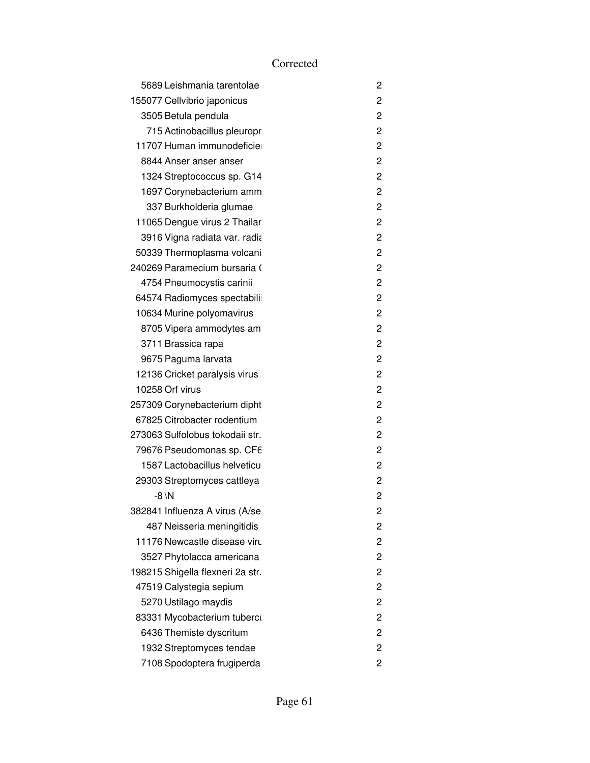| 5689 Leishmania tarentolae       | 2              |
|----------------------------------|----------------|
| 155077 Cellvibrio japonicus      | 2              |
| 3505 Betula pendula              | 2              |
| 715 Actinobacillus pleuropr      | 2              |
| 11707 Human immunodeficie        | 2              |
| 8844 Anser anser anser           | 2              |
| 1324 Streptococcus sp. G14       | 2              |
| 1697 Corynebacterium amm         | 2              |
| 337 Burkholderia glumae          | $\overline{2}$ |
| 11065 Dengue virus 2 Thailar     | 2              |
| 3916 Vigna radiata var. radia    | 2              |
| 50339 Thermoplasma volcani       | $\overline{2}$ |
| 240269 Paramecium bursaria (     | 2              |
| 4754 Pneumocystis carinii        | 2              |
| 64574 Radiomyces spectabili      | $\overline{2}$ |
| 10634 Murine polyomavirus        | 2              |
| 8705 Vipera ammodytes am         | 2              |
| 3711 Brassica rapa               | 2              |
| 9675 Paguma larvata              | 2              |
| 12136 Cricket paralysis virus    | 2              |
| 10258 Orf virus                  | 2              |
| 257309 Corynebacterium dipht     | 2              |
| 67825 Citrobacter rodentium      | 2              |
| 273063 Sulfolobus tokodaii str.  | 2              |
| 79676 Pseudomonas sp. CF6        | 2              |
| 1587 Lactobacillus helveticu     | 2              |
| 29303 Streptomyces cattleya      | 2              |
| $-8 \ N$                         | $\overline{c}$ |
| 382841 Influenza A virus (A/se   | 2              |
| 487 Neisseria meningitidis       | 2              |
| 11176 Newcastle disease viru     | 2              |
| 3527 Phytolacca americana        | 2              |
| 198215 Shigella flexneri 2a str. | 2              |
| 47519 Calystegia sepium          | 2              |
| 5270 Ustilago maydis             | 2              |
| 83331 Mycobacterium tuberci      | 2              |
| 6436 Themiste dyscritum          | 2              |
| 1932 Streptomyces tendae         | 2              |
| 7108 Spodoptera frugiperda       | 2              |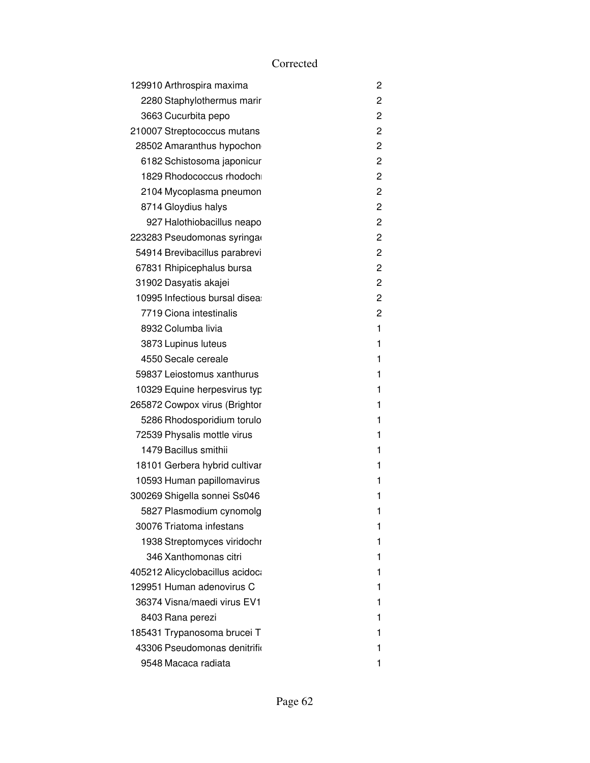| 129910 Arthrospira maxima       | 2              |
|---------------------------------|----------------|
| 2280 Staphylothermus marir      | 2              |
| 3663 Cucurbita pepo             | 2              |
| 210007 Streptococcus mutans     | 2              |
| 28502 Amaranthus hypochon       | 2              |
| 6182 Schistosoma japonicur      | $\overline{c}$ |
| 1829 Rhodococcus rhodoch        | 2              |
| 2104 Mycoplasma pneumon         | 2              |
| 8714 Gloydius halys             | 2              |
| 927 Halothiobacillus neapo      | 2              |
| 223283 Pseudomonas syringa      | 2              |
| 54914 Brevibacillus parabrevi   | 2              |
| 67831 Rhipicephalus bursa       | 2              |
| 31902 Dasyatis akajei           | 2              |
| 10995 Infectious bursal disea   | 2              |
| 7719 Ciona intestinalis         | 2              |
| 8932 Columba livia              | 1              |
| 3873 Lupinus luteus             | 1              |
| 4550 Secale cereale             | 1              |
| 59837 Leiostomus xanthurus      | 1              |
| 10329 Equine herpesvirus typ    | 1              |
| 265872 Cowpox virus (Brightor   | 1              |
| 5286 Rhodosporidium torulo      | 1              |
| 72539 Physalis mottle virus     | 1              |
| 1479 Bacillus smithii           | 1              |
| 18101 Gerbera hybrid cultivar   | 1              |
| 10593 Human papillomavirus      | 1              |
| 300269 Shigella sonnei Ss046    | 1              |
| 5827 Plasmodium cynomolg        | 1              |
| 30076 Triatoma infestans        | 1              |
| 1938 Streptomyces viridochr     | 1              |
| 346 Xanthomonas citri           | 1              |
| 405212 Alicyclobacillus acidoca | 1              |
| 129951 Human adenovirus C       | 1              |
| 36374 Visna/maedi virus EV1     | 1              |
| 8403 Rana perezi                | 1              |
| 185431 Trypanosoma brucei T     | 1              |
| 43306 Pseudomonas denitrific    | 1              |
| 9548 Macaca radiata             | 1              |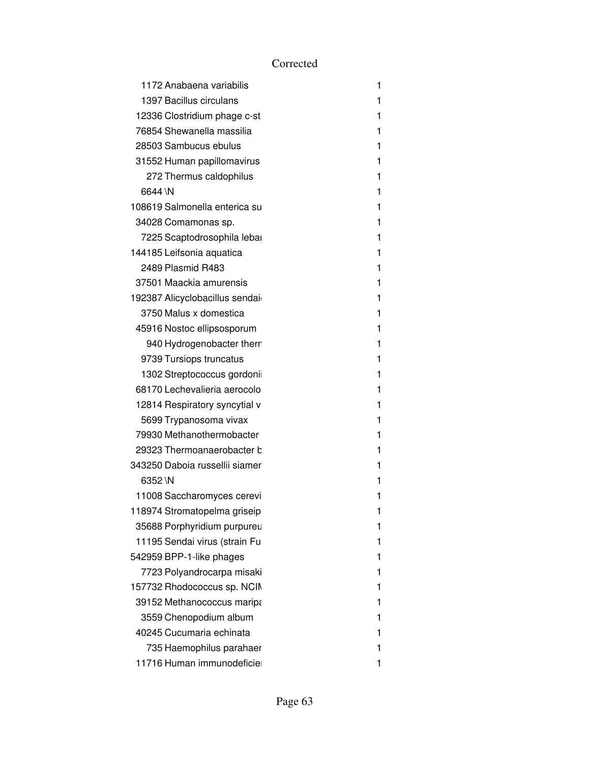| 1172 Anabaena variabilis       | 1 |
|--------------------------------|---|
| 1397 Bacillus circulans        | 1 |
| 12336 Clostridium phage c-st   | 1 |
| 76854 Shewanella massilia      | 1 |
| 28503 Sambucus ebulus          | 1 |
| 31552 Human papillomavirus     | 1 |
| 272 Thermus caldophilus        | 1 |
| 6644 \N                        | 1 |
| 108619 Salmonella enterica su  | 1 |
| 34028 Comamonas sp.            | 1 |
| 7225 Scaptodrosophila lebar    | 1 |
| 144185 Leifsonia aquatica      | 1 |
| 2489 Plasmid R483              | 1 |
| 37501 Maackia amurensis        | 1 |
| 192387 Alicyclobacillus sendai | 1 |
| 3750 Malus x domestica         | 1 |
| 45916 Nostoc ellipsosporum     | 1 |
| 940 Hydrogenobacter therr      | 1 |
| 9739 Tursiops truncatus        | 1 |
| 1302 Streptococcus gordoni     | 1 |
| 68170 Lechevalieria aerocolo   | 1 |
| 12814 Respiratory syncytial v  | 1 |
| 5699 Trypanosoma vivax         | 1 |
| 79930 Methanothermobacter      | 1 |
| 29323 Thermoanaerobacter b     | 1 |
| 343250 Daboia russellii siamer | 1 |
| 6352 \N                        | 1 |
| 11008 Saccharomyces cerevi     | 1 |
| 118974 Stromatopelma griseip   | 1 |
| 35688 Porphyridium purpureu    | 1 |
| 11195 Sendai virus (strain Fu  | 1 |
| 542959 BPP-1-like phages       | 1 |
| 7723 Polyandrocarpa misaki     | 1 |
| 157732 Rhodococcus sp. NCIM    | 1 |
| 39152 Methanococcus maripa     | 1 |
| 3559 Chenopodium album         | 1 |
| 40245 Cucumaria echinata       | 1 |
| 735 Haemophilus parahaer       | 1 |
| 11716 Human immunodeficie      | 1 |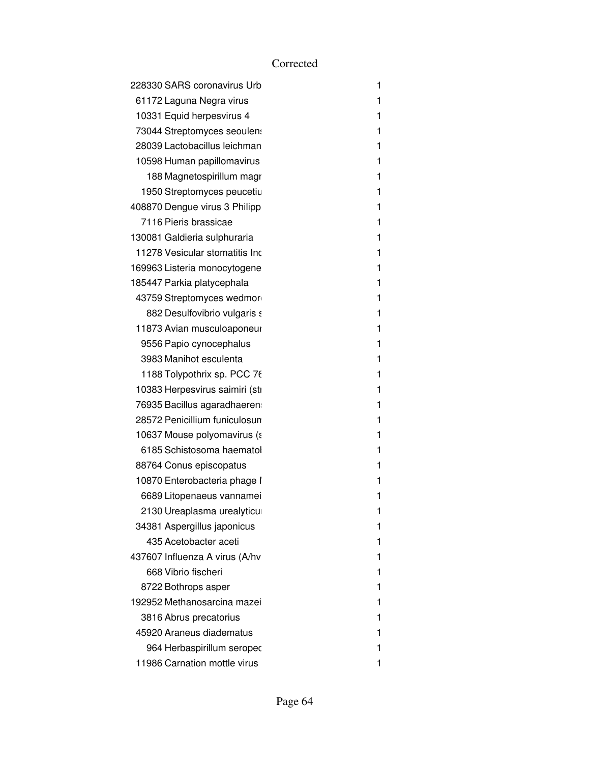| 228330 SARS coronavirus Urb    | 1 |
|--------------------------------|---|
| 61172 Laguna Negra virus       | 1 |
| 10331 Equid herpesvirus 4      | 1 |
| 73044 Streptomyces seoulen:    | 1 |
| 28039 Lactobacillus leichman   | 1 |
| 10598 Human papillomavirus     | 1 |
| 188 Magnetospirillum magr      | 1 |
| 1950 Streptomyces peucetiu     | 1 |
| 408870 Dengue virus 3 Philipp  | 1 |
| 7116 Pieris brassicae          | 1 |
| 130081 Galdieria sulphuraria   | 1 |
| 11278 Vesicular stomatitis Inc | 1 |
| 169963 Listeria monocytogene   | 1 |
| 185447 Parkia platycephala     | 1 |
| 43759 Streptomyces wedmor      | 1 |
| 882 Desulfovibrio vulgaris s   | 1 |
| 11873 Avian musculoaponeur     | 1 |
| 9556 Papio cynocephalus        | 1 |
| 3983 Manihot esculenta         | 1 |
| 1188 Tolypothrix sp. PCC 76    | 1 |
| 10383 Herpesvirus saimiri (sti | 1 |
| 76935 Bacillus agaradhaeren    | 1 |
| 28572 Penicillium funiculosun  | 1 |
| 10637 Mouse polyomavirus (s    | 1 |
| 6185 Schistosoma haematol      | 1 |
| 88764 Conus episcopatus        | 1 |
| 10870 Enterobacteria phage I   | 1 |
| 6689 Litopenaeus vannamei      | 1 |
| 2130 Ureaplasma urealyticu     | 1 |
| 34381 Aspergillus japonicus    | 1 |
| 435 Acetobacter aceti          | 1 |
| 437607 Influenza A virus (A/hv | 1 |
| 668 Vibrio fischeri            | 1 |
| 8722 Bothrops asper            | 1 |
| 192952 Methanosarcina mazei    | 1 |
| 3816 Abrus precatorius         | 1 |
| 45920 Araneus diadematus       | 1 |
| 964 Herbaspirillum seropec     | 1 |
| 11986 Carnation mottle virus   | 1 |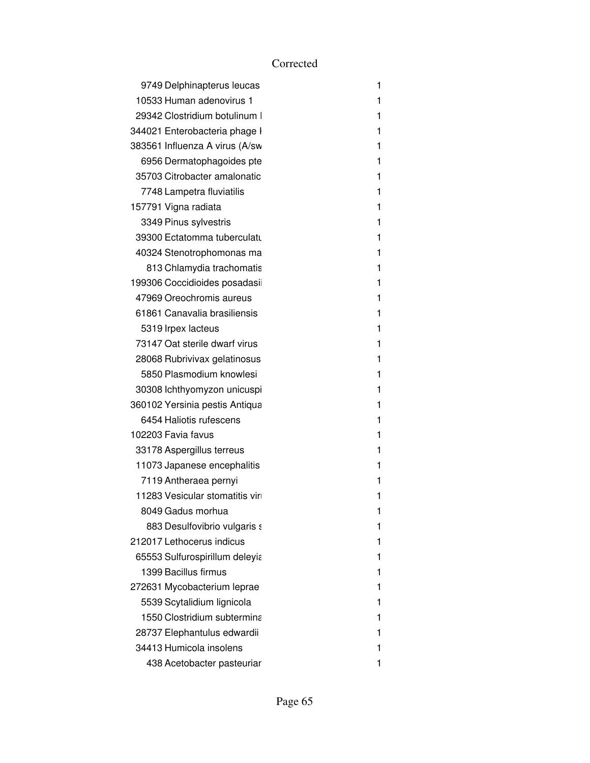| 9749 Delphinapterus leucas     | 1 |
|--------------------------------|---|
| 10533 Human adenovirus 1       | 1 |
| 29342 Clostridium botulinum    | 1 |
| 344021 Enterobacteria phage I  | 1 |
| 383561 Influenza A virus (A/sw | 1 |
| 6956 Dermatophagoides pte      | 1 |
| 35703 Citrobacter amalonatic   | 1 |
| 7748 Lampetra fluviatilis      | 1 |
| 157791 Vigna radiata           | 1 |
| 3349 Pinus sylvestris          | 1 |
| 39300 Ectatomma tuberculatu    | 1 |
| 40324 Stenotrophomonas ma      | 1 |
| 813 Chlamydia trachomatis      | 1 |
| 199306 Coccidioides posadasi   | 1 |
| 47969 Oreochromis aureus       | 1 |
| 61861 Canavalia brasiliensis   | 1 |
| 5319 Irpex lacteus             | 1 |
| 73147 Oat sterile dwarf virus  | 1 |
| 28068 Rubrivivax gelatinosus   | 1 |
| 5850 Plasmodium knowlesi       | 1 |
| 30308 lchthyomyzon unicuspi    | 1 |
| 360102 Yersinia pestis Antiqua | 1 |
| 6454 Haliotis rufescens        | 1 |
| 102203 Favia favus             | 1 |
| 33178 Aspergillus terreus      | 1 |
| 11073 Japanese encephalitis    | 1 |
| 7119 Antheraea pernyi          | 1 |
| 11283 Vesicular stomatitis vir | 1 |
| 8049 Gadus morhua              | 1 |
| 883 Desulfovibrio vulgaris s   | 1 |
| 212017 Lethocerus indicus      | 1 |
| 65553 Sulfurospirillum deleyia | 1 |
| 1399 Bacillus firmus           | 1 |
| 272631 Mycobacterium leprae    | 1 |
| 5539 Scytalidium lignicola     | 1 |
| 1550 Clostridium subtermina    | 1 |
| 28737 Elephantulus edwardii    | 1 |
| 34413 Humicola insolens        | 1 |
| 438 Acetobacter pasteuriar     | 1 |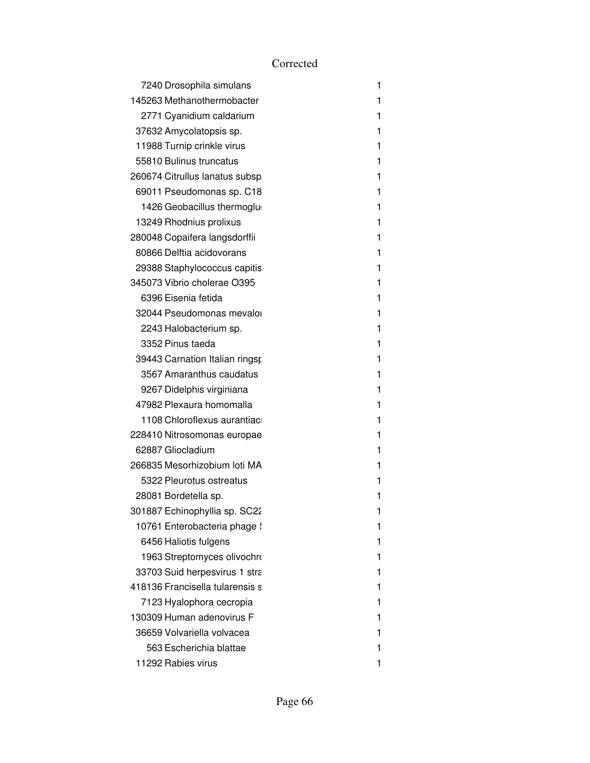| 7240 Drosophila simulans        | 1 |
|---------------------------------|---|
| 145263 Methanothermobacter      | 1 |
| 2771 Cyanidium caldarium        | 1 |
| 37632 Amycolatopsis sp.         | 1 |
| 11988 Turnip crinkle virus      | 1 |
| 55810 Bulinus truncatus         | 1 |
| 260674 Citrullus lanatus subsp  | 1 |
| 69011 Pseudomonas sp. C18       | 1 |
| 1426 Geobacillus thermoglu      | 1 |
| 13249 Rhodnius prolixus         | 1 |
| 280048 Copaifera langsdorffii   | 1 |
| 80866 Delftia acidovorans       | 1 |
| 29388 Staphylococcus capitis    | 1 |
| 345073 Vibrio cholerae O395     | 1 |
| 6396 Eisenia fetida             | 1 |
| 32044 Pseudomonas mevalor       | 1 |
| 2243 Halobacterium sp.          | 1 |
| 3352 Pinus taeda                | 1 |
| 39443 Carnation Italian ringsp  | 1 |
| 3567 Amaranthus caudatus        | 1 |
| 9267 Didelphis virginiana       | 1 |
| 47982 Plexaura homomalla        | 1 |
| 1108 Chloroflexus aurantiac     | 1 |
| 228410 Nitrosomonas europae     | 1 |
| 62887 Gliocladium               | 1 |
| 266835 Mesorhizobium loti MA    | 1 |
| 5322 Pleurotus ostreatus        | 1 |
| 28081 Bordetella sp.            | 1 |
| 301887 Echinophyllia sp. SC22   | 1 |
| 10761 Enterobacteria phage :    | 1 |
| 6456 Haliotis fulgens           | 1 |
| 1963 Streptomyces olivochro     | 1 |
| 33703 Suid herpesvirus 1 stra   | 1 |
| 418136 Francisella tularensis s | 1 |
| 7123 Hyalophora cecropia        | 1 |
| 130309 Human adenovirus F       | 1 |
| 36659 Volvariella volvacea      | 1 |
| 563 Escherichia blattae         | 1 |
| 11292 Rabies virus              | 1 |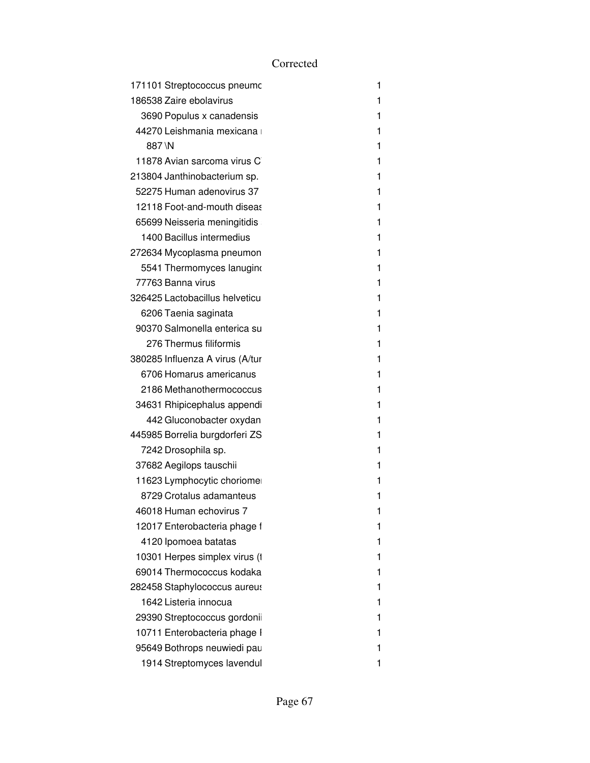|        | 171101 Streptococcus pneumc     | 1 |
|--------|---------------------------------|---|
|        | 186538 Zaire ebolavirus         | 1 |
|        | 3690 Populus x canadensis       | 1 |
|        | 44270 Leishmania mexicana       | 1 |
| 887 \N |                                 | 1 |
|        | 11878 Avian sarcoma virus C     | 1 |
|        | 213804 Janthinobacterium sp.    | 1 |
|        | 52275 Human adenovirus 37       | 1 |
|        | 12118 Foot-and-mouth diseas     | 1 |
|        | 65699 Neisseria meningitidis    | 1 |
|        | 1400 Bacillus intermedius       | 1 |
|        | 272634 Mycoplasma pneumon       | 1 |
|        | 5541 Thermomyces lanugino       | 1 |
|        | 77763 Banna virus               | 1 |
|        | 326425 Lactobacillus helveticu  | 1 |
|        | 6206 Taenia saginata            | 1 |
|        | 90370 Salmonella enterica su    | 1 |
|        | 276 Thermus filiformis          | 1 |
|        | 380285 Influenza A virus (A/tur | 1 |
|        | 6706 Homarus americanus         | 1 |
|        | 2186 Methanothermococcus        | 1 |
|        | 34631 Rhipicephalus appendi     | 1 |
|        | 442 Gluconobacter oxydan        | 1 |
|        | 445985 Borrelia burgdorferi ZS  | 1 |
|        | 7242 Drosophila sp.             | 1 |
|        | 37682 Aegilops tauschii         | 1 |
|        | 11623 Lymphocytic choriome      | 1 |
|        | 8729 Crotalus adamanteus        | 1 |
|        | 46018 Human echovirus 7         | 1 |
|        | 12017 Enterobacteria phage f    | 1 |
|        | 4120 Ipomoea batatas            | 1 |
|        | 10301 Herpes simplex virus (1   | 1 |
|        | 69014 Thermococcus kodaka       | 1 |
|        | 282458 Staphylococcus aureus    | 1 |
|        | 1642 Listeria innocua           | 1 |
|        | 29390 Streptococcus gordoni     | 1 |
|        | 10711 Enterobacteria phage I    | 1 |
|        | 95649 Bothrops neuwiedi pau     | 1 |
|        | 1914 Streptomyces lavendul      | 1 |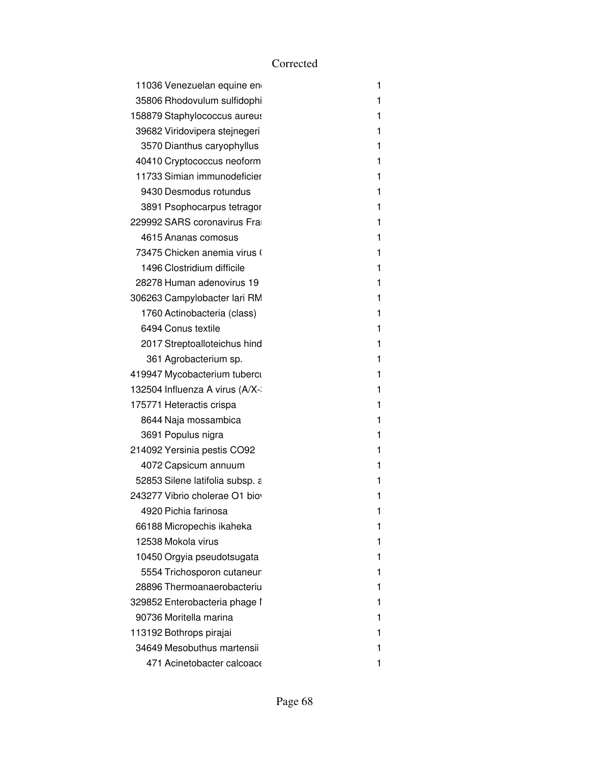| 11036 Venezuelan equine en      | 1 |
|---------------------------------|---|
| 35806 Rhodovulum sulfidophi     | 1 |
| 158879 Staphylococcus aureus    | 1 |
| 39682 Viridovipera stejnegeri   | 1 |
| 3570 Dianthus caryophyllus      | 1 |
| 40410 Cryptococcus neoform      | 1 |
| 11733 Simian immunodeficier     | 1 |
| 9430 Desmodus rotundus          | 1 |
| 3891 Psophocarpus tetragor      | 1 |
| 229992 SARS coronavirus Fra     | 1 |
| 4615 Ananas comosus             | 1 |
| 73475 Chicken anemia virus (    | 1 |
| 1496 Clostridium difficile      | 1 |
| 28278 Human adenovirus 19       | 1 |
| 306263 Campylobacter lari RM    | 1 |
| 1760 Actinobacteria (class)     | 1 |
| 6494 Conus textile              | 1 |
| 2017 Streptoalloteichus hind    | 1 |
| 361 Agrobacterium sp.           | 1 |
| 419947 Mycobacterium tuberci    | 1 |
| 132504 Influenza A virus (A/X-  | 1 |
| 175771 Heteractis crispa        | 1 |
| 8644 Naja mossambica            | 1 |
| 3691 Populus nigra              | 1 |
| 214092 Yersinia pestis CO92     | 1 |
| 4072 Capsicum annuum            | 1 |
| 52853 Silene latifolia subsp. a | 1 |
| 243277 Vibrio cholerae O1 bio   | 1 |
| 4920 Pichia farinosa            | 1 |
| 66188 Micropechis ikaheka       | 1 |
| 12538 Mokola virus              | 1 |
| 10450 Orgyia pseudotsugata      | 1 |
| 5554 Trichosporon cutaneur      | 1 |
| 28896 Thermoanaerobacteriu      | 1 |
| 329852 Enterobacteria phage I   | 1 |
| 90736 Moritella marina          | 1 |
| 113192 Bothrops pirajai         | 1 |
| 34649 Mesobuthus martensii      | 1 |
| 471 Acinetobacter calcoace      | 1 |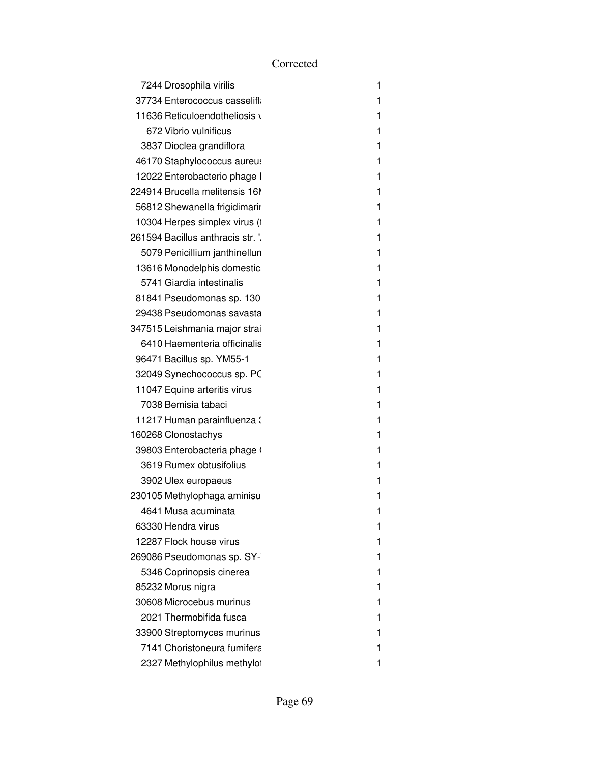| 7244 Drosophila virilis           | 1 |
|-----------------------------------|---|
| 37734 Enterococcus casselifla     | 1 |
| 11636 Reticuloendotheliosis v     | 1 |
| 672 Vibrio vulnificus             | 1 |
| 3837 Dioclea grandiflora          | 1 |
| 46170 Staphylococcus aureus       | 1 |
| 12022 Enterobacterio phage I      | 1 |
| 224914 Brucella melitensis 16M    | 1 |
| 56812 Shewanella frigidimarir     | 1 |
| 10304 Herpes simplex virus (1     | 1 |
| 261594 Bacillus anthracis str. '. | 1 |
| 5079 Penicillium janthinellun     | 1 |
| 13616 Monodelphis domestic        | 1 |
| 5741 Giardia intestinalis         | 1 |
| 81841 Pseudomonas sp. 130         | 1 |
| 29438 Pseudomonas savasta         | 1 |
| 347515 Leishmania major strai     | 1 |
| 6410 Haementeria officinalis      | 1 |
| 96471 Bacillus sp. YM55-1         | 1 |
| 32049 Synechococcus sp. PC        | 1 |
| 11047 Equine arteritis virus      | 1 |
| 7038 Bemisia tabaci               | 1 |
| 11217 Human parainfluenza :       | 1 |
| 160268 Clonostachys               | 1 |
| 39803 Enterobacteria phage (      | 1 |
| 3619 Rumex obtusifolius           | 1 |
| 3902 Ulex europaeus               | 1 |
| 230105 Methylophaga aminisu       | 1 |
| 4641 Musa acuminata               | 1 |
| 63330 Hendra virus                | 1 |
| 12287 Flock house virus           | 1 |
| 269086 Pseudomonas sp. SY-        | 1 |
| 5346 Coprinopsis cinerea          | 1 |
| 85232 Morus nigra                 | 1 |
| 30608 Microcebus murinus          | 1 |
| 2021 Thermobifida fusca           | 1 |
| 33900 Streptomyces murinus        | 1 |
| 7141 Choristoneura fumifera       | 1 |
| 2327 Methylophilus methylol       | 1 |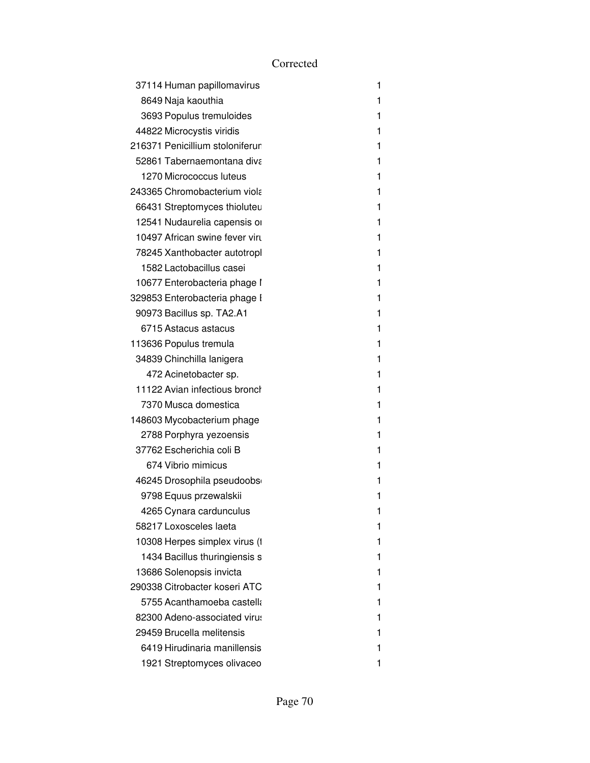| 37114 Human papillomavirus      | 1 |
|---------------------------------|---|
| 8649 Naja kaouthia              | 1 |
| 3693 Populus tremuloides        | 1 |
| 44822 Microcystis viridis       | 1 |
| 216371 Penicillium stoloniferur | 1 |
| 52861 Tabernaemontana diva      | 1 |
| 1270 Micrococcus luteus         | 1 |
| 243365 Chromobacterium viola    | 1 |
| 66431 Streptomyces thioluteu    | 1 |
| 12541 Nudaurelia capensis or    | 1 |
| 10497 African swine fever virt  | 1 |
| 78245 Xanthobacter autotropl    | 1 |
| 1582 Lactobacillus casei        | 1 |
| 10677 Enterobacteria phage I    | 1 |
| 329853 Enterobacteria phage I   | 1 |
| 90973 Bacillus sp. TA2.A1       | 1 |
| 6715 Astacus astacus            | 1 |
| 113636 Populus tremula          | 1 |
| 34839 Chinchilla lanigera       | 1 |
| 472 Acinetobacter sp.           | 1 |
| 11122 Avian infectious bronch   | 1 |
| 7370 Musca domestica            | 1 |
| 148603 Mycobacterium phage      | 1 |
| 2788 Porphyra yezoensis         | 1 |
| 37762 Escherichia coli B        | 1 |
| 674 Vibrio mimicus              | 1 |
| 46245 Drosophila pseudoobs      | 1 |
| 9798 Equus przewalskii          | 1 |
| 4265 Cynara cardunculus         | 1 |
| 58217 Loxosceles laeta          | 1 |
| 10308 Herpes simplex virus (1   | 1 |
| 1434 Bacillus thuringiensis s   | 1 |
| 13686 Solenopsis invicta        | 1 |
| 290338 Citrobacter koseri ATC   | 1 |
| 5755 Acanthamoeba castella      | 1 |
| 82300 Adeno-associated virus    | 1 |
| 29459 Brucella melitensis       | 1 |
| 6419 Hirudinaria manillensis    | 1 |
| 1921 Streptomyces olivaceo      | 1 |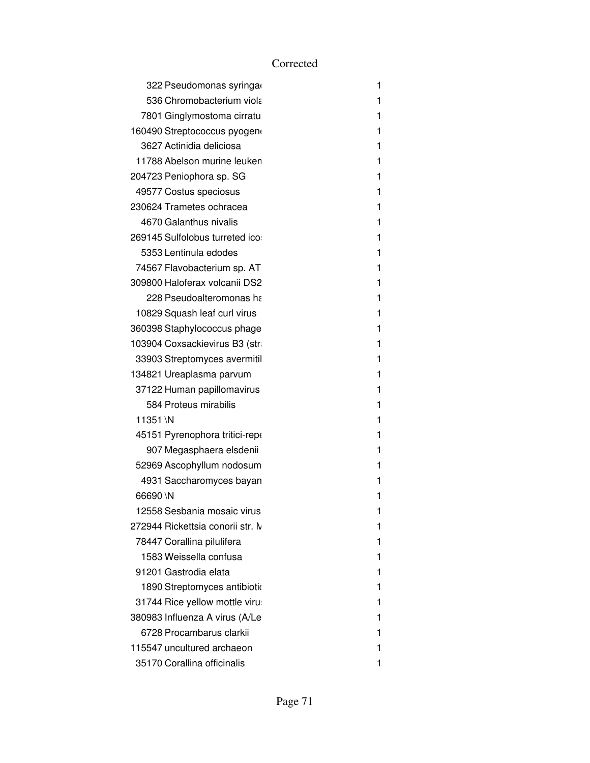|          | 322 Pseudomonas syringa          | 1 |
|----------|----------------------------------|---|
|          | 536 Chromobacterium viola        | 1 |
|          | 7801 Ginglymostoma cirratu       | 1 |
|          | 160490 Streptococcus pyogen      | 1 |
|          | 3627 Actinidia deliciosa         | 1 |
|          | 11788 Abelson murine leuken      | 1 |
|          | 204723 Peniophora sp. SG         | 1 |
|          | 49577 Costus speciosus           | 1 |
|          | 230624 Trametes ochracea         | 1 |
|          | 4670 Galanthus nivalis           | 1 |
|          | 269145 Sulfolobus turreted ico:  | 1 |
|          | 5353 Lentinula edodes            | 1 |
|          | 74567 Flavobacterium sp. AT      | 1 |
|          | 309800 Haloferax volcanii DS2    | 1 |
|          | 228 Pseudoalteromonas ha         | 1 |
|          | 10829 Squash leaf curl virus     | 1 |
|          | 360398 Staphylococcus phage      | 1 |
|          | 103904 Coxsackievirus B3 (str.   | 1 |
|          | 33903 Streptomyces avermitil     | 1 |
|          | 134821 Ureaplasma parvum         | 1 |
|          | 37122 Human papillomavirus       | 1 |
|          | 584 Proteus mirabilis            | 1 |
| 11351 \N |                                  | 1 |
|          | 45151 Pyrenophora tritici-rep    | 1 |
|          | 907 Megasphaera elsdenii         | 1 |
|          | 52969 Ascophyllum nodosum        | 1 |
|          | 4931 Saccharomyces bayan         | 1 |
| 66690 \N |                                  | 1 |
|          | 12558 Sesbania mosaic virus      | 1 |
|          | 272944 Rickettsia conorii str. M | 1 |
|          | 78447 Corallina pilulifera       | 1 |
|          | 1583 Weissella confusa           | 1 |
|          | 91201 Gastrodia elata            | 1 |
|          | 1890 Streptomyces antibiotio     | 1 |
|          | 31744 Rice yellow mottle virus   | 1 |
|          | 380983 Influenza A virus (A/Le   | 1 |
|          | 6728 Procambarus clarkii         | 1 |
|          | 115547 uncultured archaeon       | 1 |
|          | 35170 Corallina officinalis      | 1 |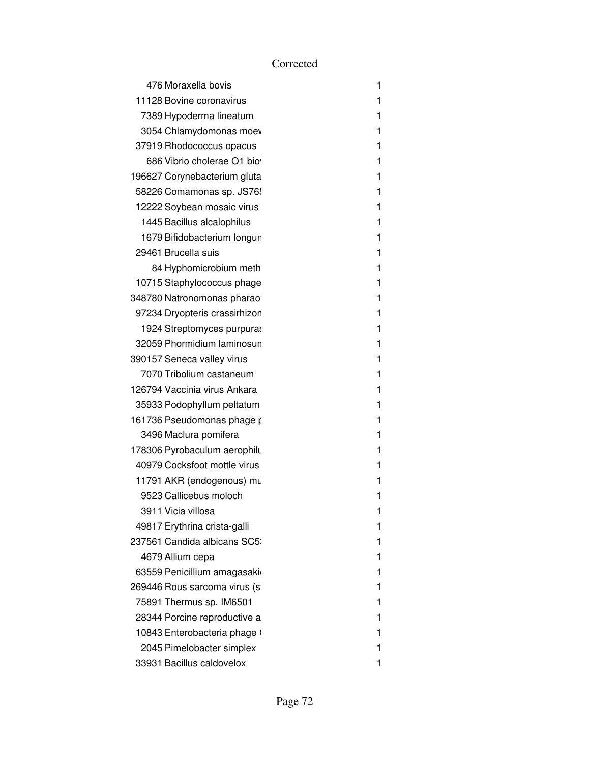| 476 Moraxella bovis           | 1 |
|-------------------------------|---|
| 11128 Bovine coronavirus      | 1 |
| 7389 Hypoderma lineatum       | 1 |
| 3054 Chlamydomonas moev       | 1 |
| 37919 Rhodococcus opacus      | 1 |
| 686 Vibrio cholerae O1 bio    | 1 |
| 196627 Corynebacterium gluta  | 1 |
| 58226 Comamonas sp. JS76!     | 1 |
| 12222 Soybean mosaic virus    | 1 |
| 1445 Bacillus alcalophilus    | 1 |
| 1679 Bifidobacterium longun   | 1 |
| 29461 Brucella suis           | 1 |
| 84 Hyphomicrobium meth        | 1 |
| 10715 Staphylococcus phage    | 1 |
| 348780 Natronomonas pharao    | 1 |
| 97234 Dryopteris crassirhizon | 1 |
| 1924 Streptomyces purpuras    | 1 |
| 32059 Phormidium laminosun    | 1 |
| 390157 Seneca valley virus    | 1 |
| 7070 Tribolium castaneum      | 1 |
| 126794 Vaccinia virus Ankara  | 1 |
| 35933 Podophyllum peltatum    | 1 |
| 161736 Pseudomonas phage p    | 1 |
| 3496 Maclura pomifera         | 1 |
| 178306 Pyrobaculum aerophilu  | 1 |
| 40979 Cocksfoot mottle virus  | 1 |
| 11791 AKR (endogenous) mu     | 1 |
| 9523 Callicebus moloch        | 1 |
| 3911 Vicia villosa            | 1 |
| 49817 Erythrina crista-galli  | 1 |
| 237561 Candida albicans SC5:  | 1 |
| 4679 Allium cepa              | 1 |
| 63559 Penicillium amagasaki   | 1 |
| 269446 Rous sarcoma virus (si | 1 |
| 75891 Thermus sp. IM6501      | 1 |
| 28344 Porcine reproductive a  | 1 |
| 10843 Enterobacteria phage (  | 1 |
| 2045 Pimelobacter simplex     | 1 |
| 33931 Bacillus caldovelox     | 1 |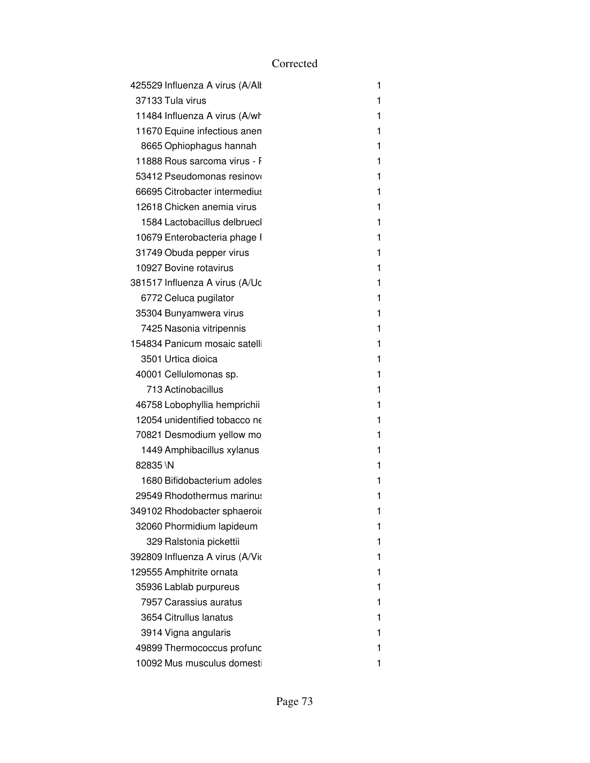| 425529 Influenza A virus (A/All | 1 |
|---------------------------------|---|
| 37133 Tula virus                | 1 |
| 11484 Influenza A virus (A/wh   | 1 |
| 11670 Equine infectious anen    | 1 |
| 8665 Ophiophagus hannah         | 1 |
| 11888 Rous sarcoma virus - F    | 1 |
| 53412 Pseudomonas resinovo      | 1 |
| 66695 Citrobacter intermedius   | 1 |
| 12618 Chicken anemia virus      | 1 |
| 1584 Lactobacillus delbruecl    | 1 |
| 10679 Enterobacteria phage I    | 1 |
| 31749 Obuda pepper virus        | 1 |
| 10927 Bovine rotavirus          | 1 |
| 381517 Influenza A virus (A/Uc  | 1 |
| 6772 Celuca pugilator           | 1 |
| 35304 Bunyamwera virus          | 1 |
| 7425 Nasonia vitripennis        | 1 |
| 154834 Panicum mosaic satelli   | 1 |
| 3501 Urtica dioica              | 1 |
| 40001 Cellulomonas sp.          | 1 |
| 713 Actinobacillus              | 1 |
| 46758 Lobophyllia hemprichii    | 1 |
| 12054 unidentified tobacco ne   | 1 |
| 70821 Desmodium yellow mo       | 1 |
| 1449 Amphibacillus xylanus      | 1 |
| 82835\N                         | 1 |
| 1680 Bifidobacterium adoles     | 1 |
| 29549 Rhodothermus marinus      | 1 |
| 349102 Rhodobacter sphaeroid    | 1 |
| 32060 Phormidium lapideum       | 1 |
| 329 Ralstonia pickettii         | 1 |
| 392809 Influenza A virus (A/Vio | 1 |
| 129555 Amphitrite ornata        | 1 |
| 35936 Lablab purpureus          | 1 |
| 7957 Carassius auratus          | 1 |
| 3654 Citrullus lanatus          | 1 |
| 3914 Vigna angularis            | 1 |
| 49899 Thermococcus profunc      | 1 |
| 10092 Mus musculus domesti      | 1 |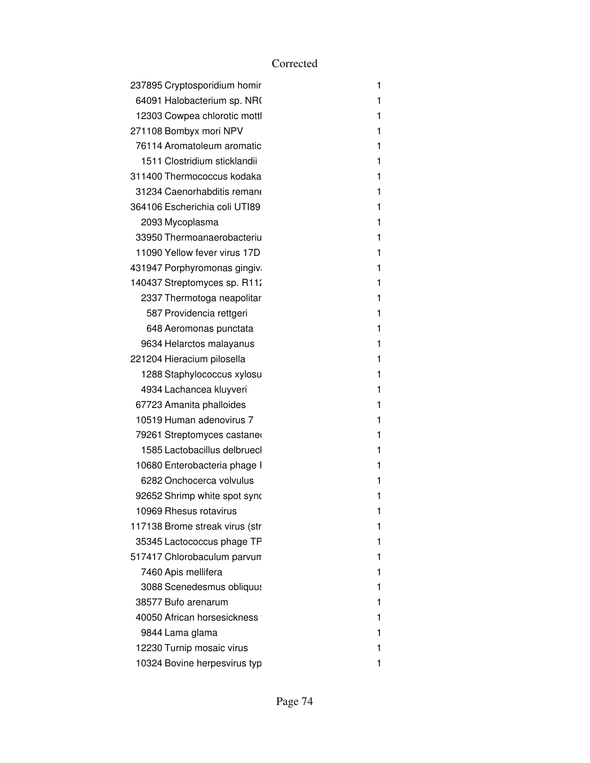| 237895 Cryptosporidium homir   | 1 |
|--------------------------------|---|
| 64091 Halobacterium sp. NR     | 1 |
| 12303 Cowpea chlorotic mottl   | 1 |
| 271108 Bombyx mori NPV         | 1 |
| 76114 Aromatoleum aromatic     | 1 |
| 1511 Clostridium sticklandii   | 1 |
| 311400 Thermococcus kodaka     | 1 |
| 31234 Caenorhabditis remano    | 1 |
| 364106 Escherichia coli UTI89  | 1 |
| 2093 Mycoplasma                | 1 |
| 33950 Thermoanaerobacteriu     | 1 |
| 11090 Yellow fever virus 17D   | 1 |
| 431947 Porphyromonas gingiv    | 1 |
| 140437 Streptomyces sp. R112   | 1 |
| 2337 Thermotoga neapolitar     | 1 |
| 587 Providencia rettgeri       | 1 |
| 648 Aeromonas punctata         | 1 |
| 9634 Helarctos malayanus       | 1 |
| 221204 Hieracium pilosella     | 1 |
| 1288 Staphylococcus xylosu     | 1 |
| 4934 Lachancea kluyveri        | 1 |
| 67723 Amanita phalloides       | 1 |
| 10519 Human adenovirus 7       | 1 |
| 79261 Streptomyces castaner    | 1 |
| 1585 Lactobacillus delbruecl   | 1 |
| 10680 Enterobacteria phage I   | 1 |
| 6282 Onchocerca volvulus       | 1 |
| 92652 Shrimp white spot syno   | 1 |
| 10969 Rhesus rotavirus         | 1 |
| 117138 Brome streak virus (str | 1 |
| 35345 Lactococcus phage TP     |   |
| 517417 Chlorobaculum parvun    | 1 |
| 7460 Apis mellifera            | 1 |
| 3088 Scenedesmus obliquus      | 1 |
| 38577 Bufo arenarum            | 1 |
| 40050 African horsesickness    | 1 |
| 9844 Lama glama                | 1 |
| 12230 Turnip mosaic virus      | 1 |
| 10324 Bovine herpesvirus typ   | 1 |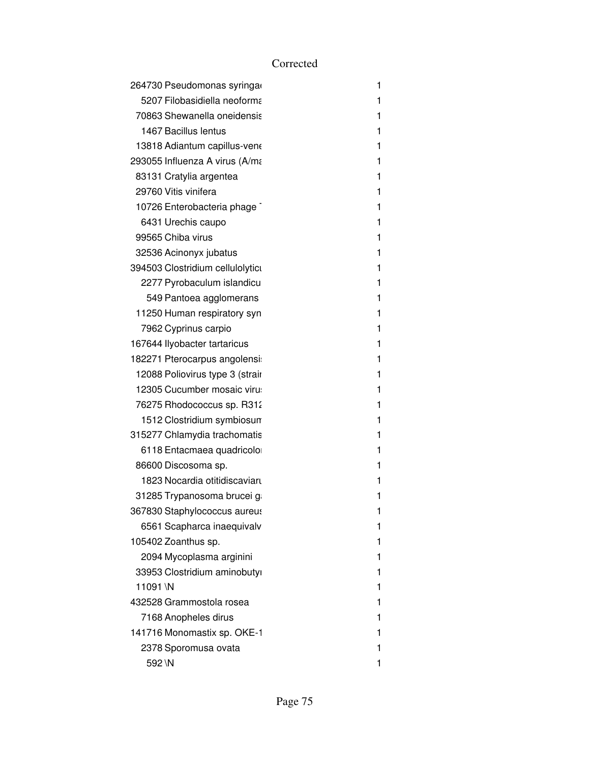|         | 264730 Pseudomonas syringa       | 1 |
|---------|----------------------------------|---|
|         | 5207 Filobasidiella neoforma     | 1 |
|         | 70863 Shewanella oneidensis      | 1 |
|         | 1467 Bacillus lentus             | 1 |
|         | 13818 Adiantum capillus-vene     | 1 |
|         | 293055 Influenza A virus (A/ma   | 1 |
|         | 83131 Cratylia argentea          | 1 |
|         | 29760 Vitis vinifera             | 1 |
|         | 10726 Enterobacteria phage       | 1 |
|         | 6431 Urechis caupo               | 1 |
|         | 99565 Chiba virus                | 1 |
|         | 32536 Acinonyx jubatus           | 1 |
|         | 394503 Clostridium cellulolyticu | 1 |
|         | 2277 Pyrobaculum islandicu       | 1 |
|         | 549 Pantoea agglomerans          | 1 |
|         | 11250 Human respiratory syn      | 1 |
|         | 7962 Cyprinus carpio             | 1 |
|         | 167644 llyobacter tartaricus     | 1 |
|         | 182271 Pterocarpus angolensi     | 1 |
|         | 12088 Poliovirus type 3 (strair  | 1 |
|         | 12305 Cucumber mosaic viru       | 1 |
|         | 76275 Rhodococcus sp. R312       | 1 |
|         | 1512 Clostridium symbiosun       | 1 |
|         | 315277 Chlamydia trachomatis     | 1 |
|         | 6118 Entacmaea quadricolo        | 1 |
|         | 86600 Discosoma sp.              | 1 |
|         | 1823 Nocardia otitidiscaviaru    | 1 |
|         | 31285 Trypanosoma brucei g       | 1 |
|         | 367830 Staphylococcus aureus     | 1 |
|         | 6561 Scapharca inaequivalv       | 1 |
|         | 105402 Zoanthus sp.              | 1 |
|         | 2094 Mycoplasma arginini         | 1 |
|         | 33953 Clostridium aminobutyi     | 1 |
| 11091\N |                                  | 1 |
|         | 432528 Grammostola rosea         | 1 |
|         | 7168 Anopheles dirus             | 1 |
|         | 141716 Monomastix sp. OKE-1      | 1 |
|         | 2378 Sporomusa ovata             | 1 |
| 592 \N  |                                  | 1 |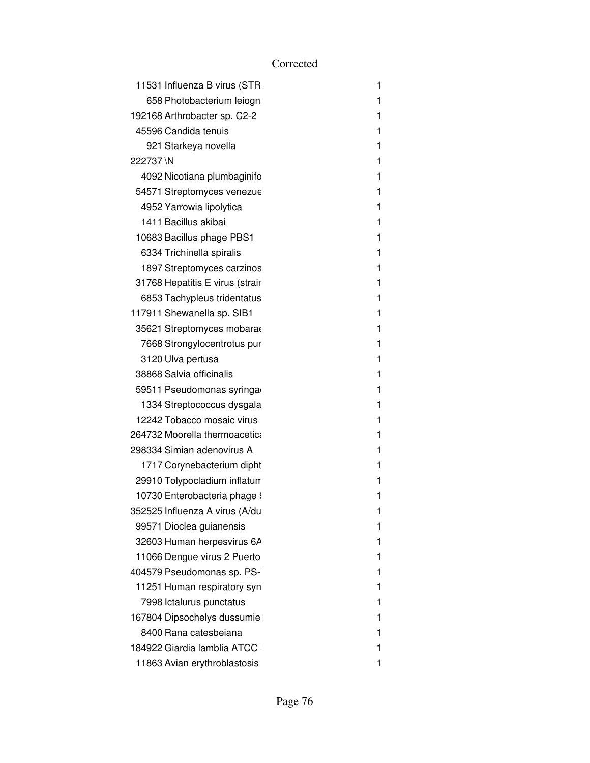|           | 11531 Influenza B virus (STR    | 1 |
|-----------|---------------------------------|---|
|           | 658 Photobacterium leiogn       | 1 |
|           | 192168 Arthrobacter sp. C2-2    | 1 |
|           | 45596 Candida tenuis            | 1 |
|           | 921 Starkeya novella            | 1 |
| 222737 \N |                                 | 1 |
|           | 4092 Nicotiana plumbaginifo     | 1 |
|           | 54571 Streptomyces venezue      | 1 |
|           | 4952 Yarrowia lipolytica        | 1 |
|           | 1411 Bacillus akibai            | 1 |
|           | 10683 Bacillus phage PBS1       | 1 |
|           | 6334 Trichinella spiralis       | 1 |
|           | 1897 Streptomyces carzinos      | 1 |
|           | 31768 Hepatitis E virus (strair | 1 |
|           | 6853 Tachypleus tridentatus     | 1 |
|           | 117911 Shewanella sp. SIB1      | 1 |
|           | 35621 Streptomyces mobara       | 1 |
|           | 7668 Strongylocentrotus pur     | 1 |
|           | 3120 Ulva pertusa               | 1 |
|           | 38868 Salvia officinalis        | 1 |
|           | 59511 Pseudomonas syringa       | 1 |
|           | 1334 Streptococcus dysgala      | 1 |
|           | 12242 Tobacco mosaic virus      | 1 |
|           | 264732 Moorella thermoacetica   | 1 |
|           | 298334 Simian adenovirus A      | 1 |
|           | 1717 Corynebacterium dipht      | 1 |
|           | 29910 Tolypocladium inflatum    | 1 |
|           | 10730 Enterobacteria phage 9    | 1 |
|           | 352525 Influenza A virus (A/du  | 1 |
|           | 99571 Dioclea guianensis        | 1 |
|           | 32603 Human herpesvirus 6A      | 1 |
|           | 11066 Dengue virus 2 Puerto     | 1 |
|           | 404579 Pseudomonas sp. PS-      | 1 |
|           | 11251 Human respiratory syn     | 1 |
|           | 7998 Ictalurus punctatus        | 1 |
|           | 167804 Dipsochelys dussumie     | 1 |
|           | 8400 Rana catesbeiana           | 1 |
|           | 184922 Giardia lamblia ATCC     | 1 |
|           | 11863 Avian erythroblastosis    | 1 |